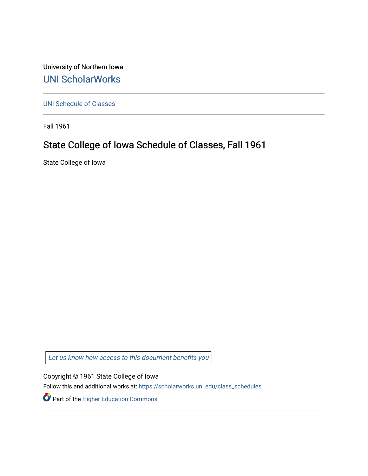University of Northern Iowa [UNI ScholarWorks](https://scholarworks.uni.edu/) 

[UNI Schedule of Classes](https://scholarworks.uni.edu/class_schedules) 

Fall 1961

# State College of Iowa Schedule of Classes, Fall 1961

State College of Iowa

Let us know how access to this document benefits you

Copyright © 1961 State College of Iowa

Follow this and additional works at: [https://scholarworks.uni.edu/class\\_schedules](https://scholarworks.uni.edu/class_schedules?utm_source=scholarworks.uni.edu%2Fclass_schedules%2F180&utm_medium=PDF&utm_campaign=PDFCoverPages)

Part of the [Higher Education Commons](http://network.bepress.com/hgg/discipline/1245?utm_source=scholarworks.uni.edu%2Fclass_schedules%2F180&utm_medium=PDF&utm_campaign=PDFCoverPages)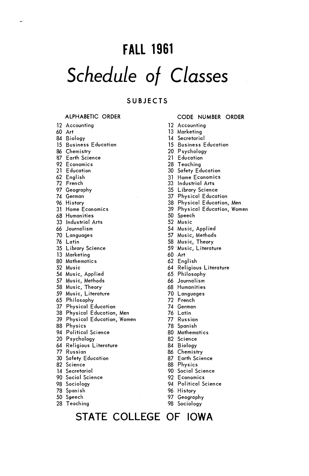# **FALL 1961**  *Schedule of* Classes

# **SUBJECTS**

### **ALPHABETIC ORDER**

12 Accounting 60 Art 84 Biology 15 Business Education 86 Chemistry 87 Earth Science 92 Economics 21 Education 62 English 72 French 97 Geography 74 German 96 History 31 Home Economics 68 Humanities 33 Industrial Arts 66 Journalism 70 Languages 76 Latin 35 Library Science 13 Marketing 80 Mathematics 52 Music 54 Music, Applied 57 Music, Methods 58 Music, Theory 59 Music, Literature 65 Philosophy 37 Physical Education 38 Physical Education, Men 39 Physical Education, Women 88 Physics 94 Political Science 20 Psychology 64 Religious Literature 77 Russian 30 Safety Education 82 Science 14 Secretarial 90 Social Science 98 Sociology 78 Spanish

- 50 Speech
- 
- 28 Teaching

### CODE **NUMBER ORDER**

- 12 Accounting
- 13 Marketing
- 14 Secretarial
- 15 Business Education
- 20 Psychology
- 21 Education
- 28 Teaching
- 30 Safety Education
- 31 Home Economics
- 33 Industrial Arts
- 35 Library Science
- 37 Physical Education
- 38 Physical Education, Men
- 39 Physical Education, Women
- 50 Speech
- 52 Music
- 54 Music, Applied
- 57 Music, Methods
- 58 Music, Theory
- 59 ·Music, Literature
- 60 .Art
- 62 English
- 64 Religious Literature
- 65 Philosophy
- 66 Journalism
- 68 Humanities
- 70 Languages
- 72 French
- 74 German
- 76 Latin
- 77 Russian
- 78 Spanish
- 80 Mathematics
- 82 Science
- 84 Biology
- 86 Chemistry
- 87 Earth Science
- 
- 88 Physics
- 90 Social Science
- 92 Economics
- 94 Political Science
- 96 History

**STATE COLLEGE OF IOWA** 

- 97 Geography
- 98 Sociology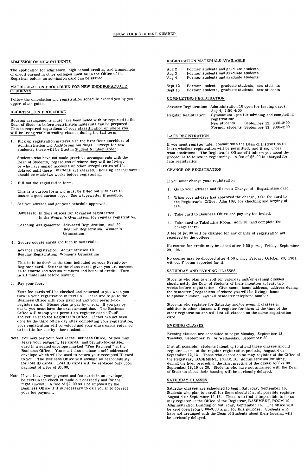#### ADMISSION OF NEW STUDENTS

The application for admission, high school credits, and transcripts of credit earned in other colleges must be in the Office of the Registrar before an admission card can be issued.

# MATRICULATION PROCEDURE FOR NEW UNDERGRADUATE STUDENTS

Follow the orientation and registration schedule handed you by your upper-class guide.

#### REGISTRATION PROCEDURE

Housing arrangements must have been made with or reported to the Dean of Students before registration materials can be prepared.<br>This is required regardless of your classification or where you<br>will be living while attending classes during the fall term.

1. Pick up registration materials in the first floor corridors of Administration and Auditorium buildings. Except for new<br>students, these will be filed in Student Number Order.

Students who have not made previous arrangements with the Dean of Students, regardless of where they will be living, or who have unpaid accounts or other irregularities will be delayed until these matters, are cleared. Housing arrangements should be made two weeks before registering.

2. Fill out the registration form.

This is a carbon form and must be filled out with care to insure a good carbon copy. Use a typewriter if possible.

3. See you adviser and get your schedule approved.

Advisers: In their offices for advanced registration. In the Women's Gymnasium for regular registration.

- Teaching Assignments: Advanced Registration, Aud 29 Regular Registration, Women's Gymnasium.
- 4. Secure course cards and turn in materials.

Advance Registration: Administration 10 Regular Registration: Women's Gymnasium

This is to be done at the time indicated on your Permit-to-Register card. See that the class cards given you are correct as to course and section numbers and hours of credit. Turn in all materials before leaving.

5. Pay your fees.

Your fee cards will be checked and returned to you when you turn in your registration materials. These are to go to the Business Office with your payment and your permit-to-register card. Please plan to pay by check. If you pay by cases<br>register card. Please plan to pay by check. I to the file for use by other students.

- Note You may pay your fees at the Business Office, or you may leave your payment, fee cards, and permit-to-register card in a sealed envelope marked "Fee Payment" at the Business Office. You must also enclose a self-addressed envelope which will be used to return your receipted ID card to you. The Business Office will assume no responsibility for lost ID cards. Lost ID cards will be replaced only upon payment of a fee of \$3. 00.
- Note If you leave your payment and fee cards in an envelope, be certain the check is made out correctly and for the right amount. A fine of \$2. 00 will be imposed by the Business Office if it is necessary to call you in to correct your fee payment.

#### REGISTRATION MATERIALS AVAILABLE

- Aug 2 Former students and graduate students Former students and graduate students
- Aug 3
- ·Aug 4 Former students and graduate students
- Sept 12 Former students, graduate students, new students
- Sept 13 Former students, graduate students, new students

#### COMPLETING REGISTRATION

|                       | Advance Registration: Administration 10 open for issuing cards, |                                            |  |  |  |
|-----------------------|-----------------------------------------------------------------|--------------------------------------------|--|--|--|
|                       | Aug 4, 7:50-4:00                                                |                                            |  |  |  |
| Regular Registration: | registration:                                                   | Gymnasium open for advising and completing |  |  |  |
|                       | New students                                                    | September 12, 8:00-3:00                    |  |  |  |
|                       |                                                                 | Former students September 13, 8:00-3:00    |  |  |  |

#### LATE REGISTRATION

If you must register late, consult with the Dean of Instruction to learn whether registration will be permitted, and if so, under what conditions. The Registrar's Office will inform you about the procedure to follow in registering. A fee of \$5. 00 is charged for late registration.

#### CHANGE OF REGISTRATION

If you must change your registration

- 1. Go to your adviser and fill out a Change-of -Registration card.
- 2. When your adviser has approved the change, take the card to the Registrar's Office, Adm 109, for checking and levying of fee.
- 3. Take card to Business Office and pay any fee levied.
- 4. Take card to Tabulating Room, Adm 10, and complete the change there.

A fee of \$2. 00 will be charged for any change ot registration not required by the college.

No course for credit may be added after 4: 50 p. m., Friday, September 29, 1961.

No course may be dropped after 4:50 p. m., Friday, October 20, 1961, without F being reported for it.

#### SATURDAY AND EVENING CLASSES

Students who plan to enroll for Saturday and/or evening classes should notify the Dean of Students of their intention at least two<br>weeks before registration. Give name, home address, address during<br>the semester ( regardless of where you will be living), home telephone number, and fall semester telephone number.

Students who register for Saturday and/or evening classes in addition to other classes will register for them at the time of the other registration and will list all classes on the same registration card.

#### EVENING CLASSES

Evening classes are scheduled to begin Monday, September 18, Tuesday, September 19, or Wednesday, September 20.

If at all possible, students intending to attend these classes should register at one of the regular registration periods, August 4 or September 12, 13. Those who cannot do so may register at the Office of<br>the Registrar, BASEMENT, ROOM 10, Administration Building,<br>during the hour preceding the first meeting of the class: 6:00-7:00<br>September 18, 19 or 20.

#### SATURDAY CLASSES

Saturday classes are scheduled to begin Saturday, September 16.<br>Students who plan to enroll for them should if at all possible register<br>August 4 or September 12, 13. Those who find it impossible to do so<br>may register at th be seriously delayed.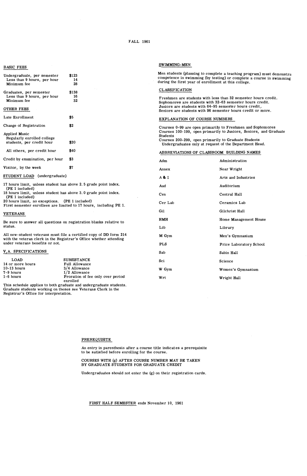#### FALL 1961

#### BASIC FEES

| Undergraduate, per semester<br>Less than 9 hours, per hour<br>Minimum fee | \$123<br>14<br>28  |
|---------------------------------------------------------------------------|--------------------|
| Graduates, per semester<br>Less than 9 hours, per hour<br>Minimum fee     | \$138<br>16<br>32. |
| <b>OTHER FEES</b>                                                         |                    |
| Late Enrollment                                                           | \$5                |
| Change of Registration                                                    | \$2                |
| Applied Music<br>Regularly enrolled college<br>students, per credit hour  | \$20               |
| All others, per credit hour                                               | \$40               |
| Credit by examination, per hour                                           | \$3                |
| Visitor, by the week                                                      | \$7                |
|                                                                           |                    |

STUDENT LOAD (undergraduate)

17 hours limit, unless student has above 2. 5 grade point index. (PE 1 included)

18 hours limit, unless student has above 3. 0 grade point index. (PE 1 included)

20 hours limit, no exceptions. (PE 1 included) First semester enrollees are limited to 17 hours, including PE 1.

VETERANS

Be sure to answer all questions on registration blanks relative to status.

All new-student veterans must file a certified copy of DD form 214 with the veteran clerk in the Registrar's Office whether attending under veterans benefits or not.

#### V,A. SPECIFICATIONS

| LOAD             | <b>SUBSISTANCE</b>                                                 |
|------------------|--------------------------------------------------------------------|
| 14 or more hours | Full Allowance                                                     |
| $10-13$ hours    | 3/4 Allowance                                                      |
| 7-9 hours        | $1/2$ Allowance                                                    |
| 1-6 hours        | Proration of fee only over period                                  |
|                  | enrolled                                                           |
|                  | This schedule applies to both graduate and undergraduate students. |

This schedule applies to both graduate and undergraduate students. Graduate students working on theses see Veterans Clerk in the Registrar's Office for interpretation.

#### **SWIMMING-MEN**

Men students (planning to complete a teaching program) must demonstra competence in swimming (by testing) or complete a course in swimming during the first year of enrollment at this college.

#### CLASSIFICATION

Freshmen are students with less than 32 semester hours credit. Sophomores are students with 32-63 semester hours credit. Juniors are students with 64-95 semester hours credit,. Seniors are students with 96 semester hours credit or more.

#### EXPLANATION OF COURSE NUMBERS

Courses 0-99 are open primarily to Freshmen and Sophomores Courses 100-199, open primarily to Juniors, Seniors, and Graduate Students

Courses 200-299, open primarily to Graduate Students Undergraduates only at request of the Department Head.

#### ABBREVIATIONS OF CLASSROOM BUILDING NAMES

| Adm        | Administration          |
|------------|-------------------------|
| Annex      | Near Wright             |
| A&I        | Arts and Industries     |
| Aud        | Auditorium              |
| Cen        | Central Hall            |
| Cer Lab    | Ceramics Lab            |
| Gil        | Gilchrist Hall          |
| HMH        | Home Management House   |
| Lib        | Library                 |
| M Gym      | Men's Gymnasium         |
| <b>PLS</b> | Price Laboratory School |
| Sab        | Sabin Hall              |
| Sci        | Science                 |
| W Gym      | Women's Gymnasium       |
| Wrt        | Wright Hall             |

#### PREREQUISITE

An entry in parenthesis after a course title indicates a prerequisite to be satisfied before enrolling for the course.

#### COURSES WITH (g) AFTER COURSE NUMBER MAY BE TAKEN BY GRADUATE STUDENTS FOR GRADUATE CREDIT

Undergraduates should not enter the (g) on their registration cards.

FIRST HALF SEMESTER ends November 10, 1961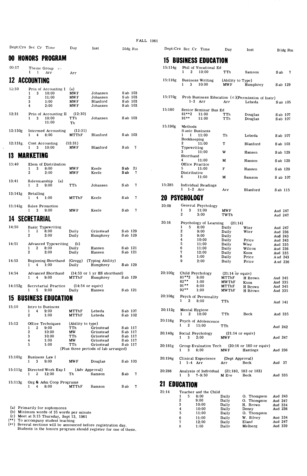| Dept:Crs Sec Cr Time |  | Dav | Inst |
|----------------------|--|-----|------|
|                      |  |     |      |

# **00 <b>HONORS PROGRAM**<br>00:17 Theme Group #3

# **12 ACCOUNTING**

| 12:30   | Prin of Accounting I<br>3<br>10:00 | (a)<br><b>MWF</b> | Johansen | S ab 103 |         |                   |
|---------|------------------------------------|-------------------|----------|----------|---------|-------------------|
|         | $\overline{2}$<br>11:00            | MW F              | Johansen | S ab 103 | 15:170g | Prob Business I   |
|         | 3<br>1:00                          | <b>MWF</b>        | Blanford | S ab 103 |         | $1-3$ Arr         |
|         | 2:00<br>4                          | MW F              | Johansen | S ab 103 |         |                   |
|         |                                    |                   |          |          | 15:180  | Senior Seminar    |
| 12:31   | Prin of Accounting II              | (12:30)           |          |          |         | $81***2$<br>11:00 |
|         | 3<br>10:00                         | TTh               | Johansen | S ab 103 |         | $91**$<br>11:00   |
|         | 11:00                              | Th                |          |          |         |                   |
|         |                                    |                   |          |          | 15:190g | Methods           |
| 12:130g | <b>Intermed Accounting</b>         | (12:31)           |          |          |         | Basic Business    |
|         | 8:00<br>4                          | MTThF             | Blanford | S ab 103 |         | 11:00             |
|         |                                    |                   |          |          |         | Bookkeeping       |
| 12:131g | Cost Accounting                    | (12:31)           |          |          |         | 2<br>11:00        |
|         | 10:00<br>3                         | <b>MWF</b>        | Blanford | S ab     |         | Typewriting       |

| 13:40   | Elem of Distribution              |              |          |      |     |        | Office Practice               |  |  |  |
|---------|-----------------------------------|--------------|----------|------|-----|--------|-------------------------------|--|--|--|
|         | 3<br>8:00                         | <b>MWF</b>   | Keefe    | S ab | -23 |        | 5.<br>11:00                   |  |  |  |
|         | 2<br>2:00                         | <b>MWF</b>   | Keefe    | S ab | 7   |        | Distributive                  |  |  |  |
|         |                                   |              |          |      |     |        | 6<br>11:00                    |  |  |  |
| 13:41   | Salesmanship<br>$\left( a\right)$ |              |          |      |     |        |                               |  |  |  |
|         | 2<br>9:00                         | TTh          | Johansen | S ab | 7   | 15:285 | <b>Individual Readings</b>    |  |  |  |
|         |                                   |              |          |      |     |        | $1-2$ Arr                     |  |  |  |
| 13:141g | Retailing                         |              |          |      |     |        |                               |  |  |  |
|         | 1:00<br>4                         | <b>MTThF</b> | Keefe    | S ab | 7   | 20     | PSYCHOLOGY                    |  |  |  |
| 13:142g | <b>Sales Promotion</b>            |              |          |      |     | 20:08  | General Psychology            |  |  |  |
|         | 1 3 900                           | <b>MWF</b>   | Keefe    | S ah |     |        | $1 \quad 3 \quad 11 \cdot 00$ |  |  |  |

| 14:50   |   | <b>Basic Typewriting</b>    |              |                                                 |          |          |         |                | 5 | 8:00             | Daily              | Wier  |
|---------|---|-----------------------------|--------------|-------------------------------------------------|----------|----------|---------|----------------|---|------------------|--------------------|-------|
|         | 2 | 8:00                        | Daily        | Grinstead                                       |          | S ab 129 |         | $\overline{2}$ |   | 9:00             | Daily              | Wier  |
|         | 2 | 2:00                        | Daily        | Humphrey                                        |          | S ab 129 |         |                |   | 9:00             | Daily              |       |
|         |   |                             |              |                                                 |          |          |         |                |   | 10:00            | Daily              | Price |
| 14:51   |   | <b>Advanced Typewriting</b> | (b)          |                                                 |          |          |         | 5              |   | 11:00            | Daily              | Wier  |
|         | 2 | 8:00                        | Daily        | Hansen                                          | S ab 121 |          |         | 6              |   | 11:00            | Daily              | Wilc  |
|         | 2 | 2:00                        | Daily        | Hansen                                          |          | Sab 121  |         |                |   | 12:00            | Daily              | Knox  |
|         |   |                             |              |                                                 |          |          |         | 8              |   | 1:00             | Daily              | Price |
| 14:53   |   | Beginning Shorthand         | (Gregg)      | (Typing Ability)                                |          |          |         | 9              |   | 2:00             | Daily              | Pric  |
|         | 4 | 1:00                        | Daily        | Humphrey                                        |          | Sab 129  |         |                |   |                  |                    |       |
| 14:54   |   | Advanced Shorthand          |              | $(14:53 \text{ or } 1 \text{ yr}$ HS shorthand) |          |          | 20:100g |                |   | Child Psychology | $(21:14$ or equiv) |       |
|         | 4 | 9:00                        | <b>MTThF</b> | Humphrey                                        |          | S ab 129 |         | $81***2$       |   | 8:00             | MTThF              | H Br  |
|         |   |                             |              |                                                 |          |          |         | $82***$        |   | 1:00             | <b>MWThF</b>       | Knox  |
| 14:152g |   | Secretarial Practice        |              | $(14:54 \text{ or }$ equiv)                     |          |          |         | $91***$        |   | 8:00             | MTThF              | H Br  |
|         |   |                             |              |                                                 |          |          |         |                |   |                  |                    |       |

## **15 BUSINESS EDUCATION**

| 15:10   | 4<br>2              | Intro to Business<br>9:00<br>1:00 | MTThF<br>MTThF                | Lebeda<br>Lebeda                                  | S ab 107<br>S ab 102             |   | 20:112g          | $\overline{\mathbf{2}}$ | Mental Hygiene<br>10:00                | TTh                                       | Beck                                                            |        | Aud 335 |
|---------|---------------------|-----------------------------------|-------------------------------|---------------------------------------------------|----------------------------------|---|------------------|-------------------------|----------------------------------------|-------------------------------------------|-----------------------------------------------------------------|--------|---------|
| 15:12   | $\mathbf{2}$        | Office Techniques<br>9:00         | (Ability to type)<br>TTh      | Grinstead                                         | S ab 117                         |   | 20:116g          | $\mathbf{2}$            | Psych of Adolescence<br>11:00          | TTh                                       |                                                                 |        | Aud 242 |
|         | 2<br>4              | 10:00<br>10:00<br>1:00            | <b>MW</b><br>TTh<br><b>MW</b> | Grinstead<br>Grinstead<br>Grinstead               | S ab 117<br>S ab 117<br>S ab 117 |   | 20:140g          | 3                       | Social Psychology<br>2:00              | $(21:14 \text{ or equity})$<br><b>MWF</b> |                                                                 |        | Aud 247 |
|         | 5                   | 1:00                              | TTh                           | Grinstead<br>(Plus three periods of lab arranged) | S ab 117                         |   | 20:181g          | 3                       | Group Evaluation Tech<br>8:00          | <b>MWF</b>                                | $(20, 16 \text{ or } 180 \text{ or } \text{equiv})$<br>Hastings |        | Aud 236 |
| 15:101g | Business Law I<br>3 | 9:00                              | <b>MWF</b>                    | Douglas                                           | S ab 103                         |   | 20:194g          |                         | Clinical Experience<br>$1 \t1-4 \tArr$ | (Dept Approval)<br>Arr                    | Beck                                                            | Aud 37 |         |
| 15:111g | $\mathbf{2}$        | Directed Work Exp I<br>12:00      | (Adv Approval)<br>Th          | Samson                                            | Sab 7                            |   | 20:286           | 3                       | Analysis of Individual<br>$7 - 9:50$   | M Eve                                     | $(21:180, 182 \text{ or } 183)$<br>Beck                         |        | Aud 335 |
| 15:113g | 4                   | Org & Adm Coop Programs<br>8:00   | MTThF                         | Samson                                            | S ab                             | 7 | <b>EDUCATION</b> |                         |                                        |                                           |                                                                 |        |         |

(a) Primarily for sophomores<br>
(b) Minimum words of 35 words per minute<br>
(c) Meet at 3:15 Thursday, Sept 13, 1961<br>
(\*\*) To accompany student teaching<br>
(#\*) Several sections will be announced before registration day.<br>
Stude

|         | Dept:Crs Sec Cr Time                |                                         | Day                         | Inst                                            |                      | Bldg Rm              |                           | Dept:Crs Sec Cr Time                        |                                          | Day                       | Inst                                                      |                    | Bldg Rm              |
|---------|-------------------------------------|-----------------------------------------|-----------------------------|-------------------------------------------------|----------------------|----------------------|---------------------------|---------------------------------------------|------------------------------------------|---------------------------|-----------------------------------------------------------|--------------------|----------------------|
|         |                                     | <b>00 HONORS PROGRAM</b>                |                             |                                                 |                      |                      | 15.                       |                                             | <b>BUSINESS EDUCATION</b>                |                           |                                                           |                    |                      |
| 00:17   | 1<br>$\mathbf{1}$                   | Theme Group $\pi$<br>Arr                | Arr                         |                                                 |                      |                      |                           | $\overline{\mathbf{2}}$<br>$\mathbf{1}$     | 15:114g Phil of Vocational Ed<br>10:00   | TTh                       | Samson                                                    | S ab               | - 7                  |
|         | <b>12 ACCOUNTING</b>                |                                         |                             |                                                 |                      |                      | 15:116g                   | 1<br>3                                      | <b>Business Writing</b><br>10:00         | (Ability to Type)<br>MW F | Humphrey                                                  |                    | S ab 129             |
| 12:30   | 3<br>1<br>2                         | Prin of Accounting I<br>10:00<br>11:00  | (a)<br><b>MWF</b><br>MW F   | Johansen<br>Johansen                            |                      | S ab 103<br>S ab 103 | 15:170g                   |                                             |                                          |                           | Prob Business Education (c)(Permission of Instr)          |                    |                      |
|         | 3<br>4                              | 1:00<br>2:00                            | <b>MWF</b><br>MW F          | Blanford<br>Johansen                            | S ab 103<br>S ab 103 |                      |                           |                                             | $1-3$ Arr                                | Arr                       | Lebeda                                                    |                    | S ab 105             |
|         |                                     |                                         |                             |                                                 |                      |                      | 15:180                    | $81***2$                                    | Senior Seminar Bus Ed                    |                           |                                                           |                    |                      |
| 12:31   | 3                                   | Prin of Accounting II<br>10:00<br>11:00 | (12:30)<br>TTh<br>Th        | Johansen                                        | S ab 103             |                      |                           | $91***$                                     | 11:00<br>11:00                           | TTh<br>TTh                | Douglas<br>Douglas                                        |                    | S ab 107<br>S ab 107 |
| 12:130g |                                     | <b>Intermed Accounting</b>              | (12:31)                     |                                                 |                      |                      | 15:190g                   | Methods                                     | <b>Basic Business</b>                    |                           |                                                           |                    |                      |
|         | 1<br>4                              | 8:00                                    | MTThF                       | Blanford                                        | S ab 103             |                      |                           | $\mathbf{1}$<br>$\mathbf{1}$<br>Bookkeeping | 11:00                                    | Th                        | Lebeda                                                    |                    | S ab 107             |
|         | 12:131g Cost Accounting<br>1<br>3   | 10:00                                   | (12:31)<br><b>MWF</b>       | Blanford                                        | S ab                 | -7                   |                           | 2<br>Typewriting<br>3                       | 11:00                                    | т                         | Blanford                                                  |                    | S ab 103             |
|         | <b>13 MARKETING</b>                 |                                         |                             |                                                 |                      |                      |                           | Shorthand                                   | 11:00                                    | W                         | Hansen                                                    |                    | S ab 129             |
|         |                                     |                                         |                             |                                                 |                      |                      |                           | 4                                           | 11:00                                    | М                         | Hansen                                                    |                    | S ab 129             |
| 13:40   | $\mathbf{1}$<br>3<br>$\mathbf 2$    | Elem of Distribution<br>8:00<br>2:00    | MW F<br><b>MWF</b>          | Keefe<br>Keefe                                  | S ab<br>S ab         | 23<br>7              |                           | Office Practice<br>5<br>Distributive        | 11:00                                    | F                         | Hansen                                                    |                    | S ab 129             |
| 13:41   | Salesmanship                        | (a)                                     |                             |                                                 |                      |                      |                           | 6                                           | 11:00                                    | М                         | Samson                                                    |                    | S ab 107             |
|         | 2<br>1                              | 9:00                                    | TTh                         | Johansen                                        | S ab                 | 7                    | 15:285                    | $1 \quad 1-2 \quad Arr$                     | Individual Readings                      | Arr                       | Blanford                                                  |                    | Sab 115              |
| 13.141g | Retailing<br>4<br>$\mathbf{1}$      | 1:00                                    | <b>MTThF</b>                | Keefe                                           | S ab                 | 7                    | <b>20 PSYCHOLOGY</b>      |                                             |                                          |                           |                                                           |                    |                      |
| 13:142g | 1<br>3                              | Sales Promotion<br>9:00                 | <b>MWF</b>                  | Keefe                                           | S ab                 | 7                    | 20:08                     | 1<br>3                                      | General Psychology<br>11:00              | MW F                      |                                                           | Aud 247            |                      |
|         |                                     |                                         |                             |                                                 |                      |                      |                           | $\mathbf{2}$                                | 3:00                                     | TWTh                      |                                                           | Aud 247            |                      |
|         | <b>14 SECRETARIAL</b>               |                                         |                             |                                                 |                      |                      | 20:16                     |                                             | Psychology of Learning                   | (21:14)                   |                                                           |                    |                      |
| 14:50   |                                     | <b>Basic Typewriting</b>                |                             |                                                 |                      |                      |                           | 1<br>5                                      | 8:00                                     | Daily                     | Wier                                                      | Aud 247            |                      |
|         | 1.<br>2                             | 8:00                                    | Daily                       | Grinstead                                       | S ab 129             |                      |                           | 2                                           | 9:00                                     | Daily                     | Wier                                                      | Aud 236            |                      |
|         | $\mathbf{2}$                        | 2:00                                    | Daily                       | Humphrey                                        | S ab 129             |                      |                           | 3<br>4                                      | 9:00<br>10:00                            | Daily<br>Daily            | Price                                                     | Aud 243            |                      |
| 14:51   |                                     | <b>Advanced Typewriting</b>             | (b)                         |                                                 |                      |                      |                           | 5                                           | 11:00                                    | Daily                     | Wier                                                      | Aud 243<br>Aud 335 |                      |
|         | $\mathbf{1}$<br>$\mathbf{2}$        | 8:00                                    | Daily                       | Hansen                                          | S ab 121             |                      |                           | 6                                           | 11:00                                    | Daily                     | Wilcox                                                    | Aud 236            |                      |
|         | $\mathbf{2}$                        | 2:00                                    | Daily                       | Hansen                                          | S ab 121             |                      |                           | 7                                           | 12:00                                    | Daily                     | Knox                                                      | Aud 335            |                      |
| 14:53   |                                     | Beginning Shorthand                     | (Greg)                      | (Typing Ability)                                |                      |                      |                           | 8<br>9                                      | 1:00<br>2:00                             | Daily                     | Price                                                     | Aud 243            |                      |
|         | 4                                   | 1:00                                    | Daily                       | Humphrey                                        | S ab 129             |                      |                           |                                             |                                          | Daily                     | Price                                                     | Aud 236            |                      |
| 14:54   |                                     | Advanced Shorthand                      |                             | $(14:53 \text{ or } 1 \text{ yr HS shorthand})$ |                      |                      | 20:100g                   |                                             | Child Psychology                         | $(21:14$ or equiv)        |                                                           |                    |                      |
|         | 1<br>4                              | 9:00                                    | MTThF                       | Humphrey                                        | S ab 129             |                      |                           | $81***2$                                    | 8:00                                     | MTThF                     | H Brown                                                   | Aud 345            |                      |
| 14.152g |                                     | Secretarial Practice                    | $(14.54 \text{ or }$ equiv) |                                                 |                      |                      |                           | $82***$<br>$91***$                          | 1:00<br>8:00                             | MWThF<br><b>MTThF</b>     | Knox                                                      | Aud 335<br>Aud 345 |                      |
|         | $\mathbf{1}$<br>5                   | 9:00                                    | Daily                       | Hansen                                          | S ab 121             |                      |                           | $92**$                                      | 1:00                                     | <b>MWThF</b>              | H Brown<br>H Brown                                        | Aud 335            |                      |
|         |                                     | <b>15 BUSINESS EDUCATION</b>            |                             |                                                 |                      |                      | 20:108g                   | $\mathbf{1}$<br>2                           | Psych of Personality<br>8:00             | TTh                       |                                                           |                    |                      |
| 15:10   |                                     | Intro to Business                       |                             |                                                 |                      |                      |                           |                                             |                                          |                           |                                                           | Aud 341            |                      |
|         | $\mathbf{1}$<br>4<br>$\mathbf{2}$   | 9:00<br>1:00                            | MTThF<br>MTThF              | Lebeda<br>Lebeda                                | S ab 107<br>S ab 102 |                      | 20:112g                   | Mental Hygiene<br>1<br>2                    | 10:00                                    | TTh                       | Beck                                                      | Aud 335            |                      |
| 15:12   |                                     | Office Techniques                       | (Ability to type)           |                                                 |                      |                      | 20:116g                   |                                             | Psych of Adolescence                     |                           |                                                           |                    |                      |
|         | 2<br>$\mathbf{1}$                   | 9:00                                    | TTh                         | Grinstead                                       | S ab 117             |                      |                           | $\mathbf{1}$<br>2                           | 11:00                                    | TTh                       |                                                           | Aud 242            |                      |
|         | $\mathbf{2}$                        | 10:00                                   | МW                          | Grinstead                                       | S ab 117             |                      | 20:140g Social Psychology |                                             |                                          |                           | $(21:14 \text{ or }$ equiv)                               |                    |                      |
|         | 3<br>4                              | 10:00<br>1:00                           | TTh<br>MW                   | Grinstead<br>Grinstead                          | S ab 117<br>S ab 117 |                      |                           | $1 \quad 3$                                 | 2:00                                     | MW F                      |                                                           | Aud 247            |                      |
|         | 5                                   | 1:00                                    | TTh                         | Grinstead                                       | S ab 117             |                      |                           |                                             |                                          |                           |                                                           |                    |                      |
|         |                                     |                                         |                             | (Plus three periods of lab arranged)            |                      |                      | 20:181g                   | $\mathbf{1}$                                | $3 \t 8:00$                              | MW F                      | Group Evaluation Tech (20:16 or 180 or equiv)<br>Hastings | Aud 236            |                      |
| 15:101g | Business Law I<br>3<br>$\mathbf{1}$ | 9:00                                    | MW F                        | Douglas                                         | S ab 103             |                      | 20:194g                   |                                             | Clinical Experience                      | (Dept Approval)           |                                                           |                    |                      |
|         |                                     |                                         |                             |                                                 |                      |                      |                           | $1 \quad 1-4 \quad Arr$                     |                                          | Arr                       | Beck                                                      | Aud 37             |                      |
| 15:111g | 1<br>2                              | Directed Work Exp I<br>12:00            | Th                          | (Adv Approval)<br>Samson                        | S ab                 | 7                    | 20:286                    | $\mathbf{1}$                                | Analysis of Individual<br>$3, 7 - 9, 50$ | M Eve                     | $(21:180, 182 \text{ or } 183)$<br>Beck                   | Aud 335            |                      |
| 15:113g | 1<br>$4\phantom{0}$                 | Org & Adm Coop Programs<br>8:00         | MTThF                       | Samson                                          | S ab                 | 7                    | <b>21 EDUCATION</b>       |                                             |                                          |                           |                                                           |                    |                      |
|         |                                     |                                         |                             |                                                 |                      |                      | 21.14                     |                                             | Toucher and the Child                    |                           |                                                           |                    |                      |

| 21:14 |   |   | Teacher and the Child |       |             |         |  |
|-------|---|---|-----------------------|-------|-------------|---------|--|
|       |   | 5 | 8:00                  | Daily | O. Thompson | Aud 243 |  |
|       | 2 |   | 9:00                  | Daily | O. Thompson | Aud 247 |  |
|       | 3 |   | 10:00                 | Daily | H. Brown    | Aud 334 |  |
|       | 4 |   | 10:00                 | Daily | Denny       | Aud 236 |  |
|       | 5 |   | 11:00                 | Daily | O. Thompson |         |  |
|       | 6 |   | 11:00                 | Daily | W. Silvey   | Aug 334 |  |
|       | 7 |   | 12:00                 | Daily | Eland       | Aud 247 |  |
|       | 8 |   | 1:00                  | Daily | Melberg     | Aud 339 |  |
|       |   |   |                       |       |             |         |  |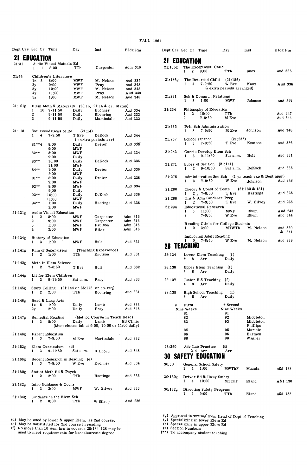| Dept:Crs Sec Cr Time |                                        |                                      | Day                                                            | Inst                                                    | Bldg Rm            |  |
|----------------------|----------------------------------------|--------------------------------------|----------------------------------------------------------------|---------------------------------------------------------|--------------------|--|
|                      | <b>21 EDUCATION</b>                    |                                      |                                                                |                                                         |                    |  |
| 21:31                | 1<br>1                                 | Audio Visual Materls Ed<br>8:00      | TTh                                                            | Carpenter                                               | Adm 316            |  |
| 21:44                |                                        | Children's Literature                |                                                                |                                                         |                    |  |
|                      | 3<br>1z<br>$_{2y}$                     | 8:00<br>9:00                         | <b>MWF</b><br><b>MWF</b>                                       | M. Nelson<br>Pray                                       | Aud 335<br>Aud 348 |  |
|                      | 3y                                     | 10:00                                | <b>MWF</b>                                                     | M. Nelson                                               | Aud 348            |  |
|                      | 4y                                     | 11:00<br>1:00                        | MW F<br><b>MWF</b>                                             | Pray<br>M. Nelson                                       | Aud 348<br>Aud 348 |  |
|                      | 5z                                     |                                      |                                                                |                                                         |                    |  |
| 21:101g              | 10<br>1                                | Elem Meth & Materials<br>$9 - 11:50$ | Daily                                                          | (20:16, 21:14 & Jr. status)<br>Euchner                  | Aud 334            |  |
|                      | 2                                      | $9 - 11:50$                          | Daily                                                          | Koehring                                                | Aud 333            |  |
|                      | 3                                      | $9 - 11:50$                          | Daily                                                          | Martindale                                              | Aud 332            |  |
| 21:118               |                                        |                                      |                                                                |                                                         |                    |  |
|                      | 1<br>4                                 | Soc Foundations of Ed<br>$7 - 9:50$  | (21:14)<br>T Eve                                               | DeKock                                                  | Aud 344            |  |
|                      |                                        |                                      |                                                                | (+ extra periods arr)                                   |                    |  |
|                      | $81***4$                               | 8:00<br>9:00                         | Daily<br><b>MWF</b>                                            | Dreier                                                  | Aud 336            |  |
|                      | $82**$                                 | 8:00                                 | <b>MWF</b>                                                     |                                                         | Aud 334            |  |
|                      |                                        | 9:00                                 | Daily                                                          |                                                         |                    |  |
|                      | 83**                                   | 10:00<br>11:00                       | Daily<br><b>MWF</b>                                            | DeKock                                                  | Aud 336            |  |
|                      | $84***$                                | 1:00                                 | Daily                                                          | Dreier                                                  | Aud 336            |  |
|                      |                                        | 2:00                                 | MW F                                                           |                                                         |                    |  |
|                      | $91***$                                | 8:00<br>9:00                         | Daily<br><b>MWF</b>                                            | Dreier                                                  | Aud 336            |  |
|                      | $92**$                                 | 8:00                                 | <b>MWF</b>                                                     |                                                         | Aud 334            |  |
|                      |                                        | 9:00                                 | Daily                                                          | DeKock                                                  |                    |  |
|                      | 93**                                   | 10:00<br>11:00                       | Daily<br>MW F                                                  |                                                         | Aud 336            |  |
|                      | $94**$                                 | 1:00                                 | Daily                                                          | Hastings                                                | Aud 336            |  |
|                      |                                        | 2:00                                 | <b>MWF</b>                                                     |                                                         |                    |  |
| 21:131g              | 2<br>1                                 | Audio Visual Education<br>8:00       | <b>MWF</b>                                                     | Carpenter                                               | Adm 316            |  |
|                      | 2                                      | 9:00                                 | <b>MWF</b>                                                     | Carpenter                                               | Adm 316            |  |
|                      | 3                                      | 1:00                                 | MW F                                                           | Paulson                                                 | Adm 316            |  |
|                      | 4                                      | 2:00                                 | <b>MWF</b>                                                     | Eller                                                   | Adm 316            |  |
| 21:134g              |                                        | History of Education                 |                                                                |                                                         |                    |  |
|                      | 3<br>1                                 | 1:00                                 | <b>MWF</b>                                                     | Hult                                                    | Aud 331            |  |
| 21:141g              |                                        | Prin of Supervision                  |                                                                | (Teaching Experience)                                   |                    |  |
|                      | $\mathbf{2}$<br>1                      | 1:00                                 | TTh                                                            | Knutson                                                 | Aud 331            |  |
| 21:142g              |                                        | Meth in Elem Science                 |                                                                |                                                         |                    |  |
|                      | $\mathbf{2}$<br>1                      | $7 - 8.50$                           | T Eve                                                          | Hult                                                    | Aud 332            |  |
|                      |                                        | Lit for Elem Children                |                                                                |                                                         |                    |  |
| 21:144g              | 3<br>1                                 | $9 - 11:50$                          | Sat a.m.                                                       | Pray                                                    | Aud 333            |  |
|                      |                                        |                                      |                                                                |                                                         |                    |  |
| 21:145g              | Story Telling<br>$\boldsymbol{2}$<br>1 | 2:00                                 | $(21:144 \text{ or } 35:112 \text{ or } \text{co-reg})$<br>TTh | Koehring                                                | Aud 331            |  |
|                      |                                        |                                      |                                                                |                                                         |                    |  |
| 21:146g              |                                        | Read & Lang Arts                     |                                                                |                                                         |                    |  |
|                      | 5<br>1z<br>2y                          | 1:00<br>2:00                         | Daily<br>Daily                                                 | Lamb<br>Pray                                            | Aud 333<br>Aud 348 |  |
|                      |                                        |                                      |                                                                |                                                         |                    |  |
| 21:147g              |                                        | Remedial Reading                     |                                                                | (Method Course in Teach Read)                           |                    |  |
|                      | 1                                      | $3 \t 8:00$                          | Daily                                                          | Lamb<br>(Must choose lab at 9:00, 10:00 or 11:00 daily) | Ed Clinic          |  |
|                      |                                        |                                      |                                                                |                                                         |                    |  |
| 21:148g              |                                        | Parent Education                     |                                                                |                                                         | Aud 332            |  |
|                      | 1                                      | $3, 7 - 9.50$                        |                                                                | M Eve Martindale                                        |                    |  |
| 21:152g              |                                        | Elem Curriculum                      | (d)                                                            |                                                         |                    |  |
|                      | 3<br>1.                                | $9 - 11:50$                          | Sat a.m.                                                       | <b>H</b> Brown                                          | Aud 348            |  |
| 21:166g              |                                        | Recent Research in Reading (e)       |                                                                |                                                         |                    |  |
|                      | 3                                      | 7-9:50                               | W Eve                                                          | Euchner                                                 | Aud 334            |  |
| 21:180g              |                                        | Statist Meth Ed & Psych              |                                                                |                                                         |                    |  |
|                      | $\mathbf{2}$<br>1.                     | 2:00                                 | TTh                                                            | Hastings                                                | Aud 335            |  |
|                      |                                        |                                      |                                                                |                                                         |                    |  |
| 21:182g              | 3<br>1                                 | Intro Guidance & Couns<br>2:00       | <b>MWF</b>                                                     | W. Silvey                                               | Aud 333            |  |
|                      |                                        |                                      |                                                                |                                                         |                    |  |
| 21:184g              |                                        | Guidance in the Elem Sch             |                                                                |                                                         |                    |  |
|                      | $\overline{2}$<br>1                    | 8:00                                 | TTh                                                            | W Silver                                                | Aud 236            |  |

(d) May be used by lower & upper Elem. as 2nd course.<br>(e) May be substituted for 2nd course in reading<br>(f) No more than 10 sem hrs in courses 28:134-138 may be<br>used to meet requirements for baccalaureate degree

|         | Dept:Crs Sec Cr Time                                                      | Day                                                          | Inst                               | Bldg Rm             |
|---------|---------------------------------------------------------------------------|--------------------------------------------------------------|------------------------------------|---------------------|
|         | <b>21 EDUCATION</b>                                                       |                                                              |                                    |                     |
| 21:185g | The Exceptional Child<br>8:00<br>$\mathbf{2}$<br>1                        | TTh                                                          | Knox                               | Aud 335             |
| 21:186g | The Retarded Child<br>$\overline{4}$<br>$7 - 9:50$<br>1                   | (21:185)<br>W Eve<br>(+ extra periods arranged)              | Knox                               | Aud 336             |
| 21:231  | Sch & Commun Relations<br>$\mathbf{3}$<br>1:00<br>1                       | <b>MWF</b>                                                   | Johnson                            | Aud 247             |
| 21:234  | Philosophy of Education<br>$\mathbf{2}$<br>10:00<br>1<br>$7 - 8:50$<br>2  | TTh<br>M Eve                                                 |                                    | Aud 247<br>Aud 344  |
| 21:235  | Prin Sch Administration<br>3<br>7-9:50<br>1                               | M Eve                                                        | Johnson                            | Aud 348             |
| 21:237  | School Finance<br>$3 \quad 7-9:50$                                        | (21:235)<br>T Eve                                            | Knutson                            | Aud 336             |
| 21:243  | Curric Develop Elem Sch<br>3<br>1                                         | 9-11:50                                                      | Sat a.m. Hult                      | Aud 331             |
| 21.271  | Super of Sec Sch<br>$\boldsymbol{2}$                                      | (21:141)<br>$9 - 10:50$                                      | Sat a.m. DeKock                    | Aud 336             |
| 21:275  | 7-9:50<br>3                                                               | Administration Sec Sch (1 yr teach exp & Dept appr)<br>W Eve | Johnson                            | Aud 348             |
| 21:280  | $2, 7-8:50$<br>1                                                          | Theory & Const of Tests $(21:180 \& 181)$<br>T Eve           | Hastings                           | Aud 336             |
| 21:288  | $7 - 9:50$<br>2<br>1                                                      | Org & Adm Guidance Prog<br>T Eve                             | W. Silvey                          | Aud 236             |
| 21:294  | <b>Educational Research</b><br>11:00<br>1<br>3<br>$7 - 9:50$<br>2         | <b>MWF</b><br>W Eve                                          | Rhum<br>Rhum                       | Aud 243<br>Aud 344  |
|         | $\mathbf{0}$<br>3:00                                                      | Reading Clinic for College Students                          | MTWTh M. Nelson                    | Aud 339<br>&<br>341 |
|         | <b>Improving Adult Reading</b><br>$\mathbf{0}$<br>1<br><b>28 TEACHING</b> | 7-8:50 W Eve M. Nelson                                       |                                    | Aud 339             |
|         |                                                                           |                                                              |                                    |                     |
| 28:134  | #<br>- 8<br>Arr                                                           | Lower Elem Teaching (f)<br>Daily                             |                                    |                     |
| 28:136  | - 8<br>Arr                                                                | Upper Elem Teaching (f)<br>Daily                             |                                    |                     |
| 28:137  | Junior H S Teaching<br>8<br>Arr<br>#                                      | $\left(1\right)$<br>Daily                                    |                                    |                     |
| 28:138  | High School Teaching<br>Arr<br>8                                          | (1)<br>Daily                                                 |                                    |                     |
| #       | First<br>Nine Weeks<br>81                                                 | # Second<br>Nine Weeks<br>91                                 |                                    |                     |
|         | 82<br>83                                                                  | 92<br>93                                                     | Middleton<br>Middleton<br>Phillips |                     |
|         | 85<br>86<br>88                                                            | 95<br>96<br>98                                               | Maricle<br>Harmon<br>Wagner        |                     |
| 28:250  | Adv Lab Practice<br>$2-4$ Arr<br>1                                        | (g)<br>Arr                                                   |                                    |                     |
| 30-     | <b>SAFETY EDUCAT</b>                                                      | ЮN                                                           |                                    |                     |
| 30:30   | General School Safety<br>4<br>1:00<br>1                                   | <b>MWThF</b>                                                 | Mazula                             | A&I 138             |
| 30:130g | Driver Ed & Hway Safety<br>10:00<br>1<br>4                                | <b>MTThF</b>                                                 | Eland                              | A&I 138             |
| 30:132g | Directing Safety Program<br>9:00<br>2                                     | TTh                                                          | Eland                              | A&I 138             |

**(g) Approval in writing· from Head of Dept of Teaching (y) Specializing in lower Elem Ed**  (z) **Specializing in upper Elem Ed**  (Jt) **Section Numbers**  (\*\*) **To accompany student teaching**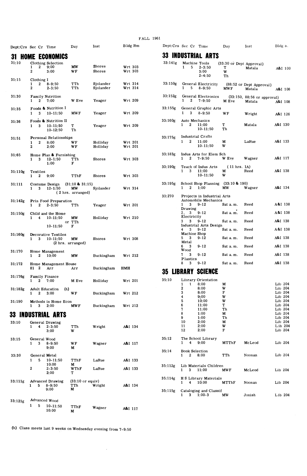| Dept:Crs Sec Cr |                     |                         | Time                                                     | Day                                           | Inst                    | Bldg Rm                   |
|-----------------|---------------------|-------------------------|----------------------------------------------------------|-----------------------------------------------|-------------------------|---------------------------|
|                 |                     |                         | <b>HOME ECONOMICS</b>                                    |                                               |                         |                           |
| 31:10           | 1<br>2              | $\boldsymbol{2}$        | Clothing Selection<br>9:00<br>3:00                       | MW<br>WF                                      | Shores<br><b>Shores</b> | Wrt 303<br>Wrt 303        |
| 31:15           | 1<br>$\overline{2}$ | Clothing I<br>2         | $8 - 9:50$<br>$2 - 3:50$                                 | TTh<br>TTh                                    | Sjolander<br>Sjolander  | Wrt 314<br>Wrt 314        |
| 31:30           | 1                   | 2                       | Family Nutrition<br>7:00                                 | W Eve                                         | Yeager                  | Wrt 209                   |
| 31:35           | $\mathbf{1}$        | 3                       | Foods & Nutrition I<br>$10 - 11:50$                      | <b>MWF</b>                                    | Yeager                  | Wrt 209                   |
| 31:36           | 1                   | 3                       | Foods & Nutrition II<br>10-11:50<br>10-12:50             | т<br>Th                                       | Yeager                  | Wrt 209                   |
| 31:51           | 1<br>2              | 2                       | Personal Relationships<br>8:00<br>2:00                   | WF<br>WF                                      | Holliday<br>Holliday    | Wrt 201<br><b>Wrt 201</b> |
| 31:65           | 1                   | 3                       | Home Plan & Furnishing<br>$12 - 1:50$<br>1:00            | TTh<br>F                                      | Shores                  | Wrt 303                   |
| 31:110g         | 1                   | Textiles<br>$\mathbf 2$ | 9:00                                                     | TThF                                          | Shores                  | Wrt 303                   |
| 31:111          | 1                   | 3                       | Costume Design<br>$12 - 1:50$                            | $(31:10 \& 31:15)$<br>MW<br>(2 hrs. arranged) | Sjolander               | Wrt 314                   |
| 31:142g         | 1                   | 2                       | Prin Food Preparation<br>$2 - 3:50$                      | TTh                                           | Yeager                  | Wrt 201                   |
| 31:150g         | 1                   | 4                       | Child and the Home<br>$10 - 11:50$<br>$10 - 11:50$       | MW<br>or TTh<br>F                             | Holliday                | Wrt 210                   |
| 31:160g         | 1                   | 3                       | Decorative Textiles<br>$10 - 11:50$<br>(2 hrs. arranged) | MW                                            | Shores                  | Wrt 308                   |
| 31:170          |                     | 2                       | Home Management<br>10:00                                 | МW                                            | Buckingham              | Wrt 212                   |
| 31:172          | 81                  | 2                       | Home Management House<br>Arr                             | Arr                                           | Buckingham              | HMH                       |
| 31:176g         | 1                   | 2                       | Family Finance<br>7:00                                   | M Eve                                         | Holliday                | Wrt 201                   |
| 31:182g         | 1                   | $\overline{2}$          | <b>Adult Education</b><br>(h)<br>3:00                    | WF                                            | Buckingham              | Wrt 212                   |
| 31:190          | 1                   | 3                       | Methods in Home Econ<br>2:00                             | <b>MWF</b>                                    | Buckingham              | Wrt 212                   |
|                 |                     |                         | 33 INDUSTRIAL ARTS                                       |                                               |                         |                           |
| 33:10           | 1                   | 4                       | General Drawing<br>$2 - 3:50$<br>3:00                    | TTh<br>w                                      | Wright                  | A&I 134                   |
| 33:15           | 1                   | 3                       | General Wood<br>$8 - 9:50$<br>9:00                       | WF<br>M                                       | Wagner                  | A&I 117                   |
| 33:30           | 1                   | 5                       | General Metal<br>$10 - 11:50$<br>10:00                   | TThF<br>м                                     | LaRue                   | A&I 133                   |
|                 | $\overline{2}$      |                         | $2 - 3:50$<br>2:00                                       | WThF<br>т                                     | LaRue                   | A&I 133                   |
| 33:111g         | 1                   | 5                       | <b>Advanced Drawing</b><br>$8 - 9:50$<br>9:00            | $(33:10 \text{ or }$ equiv)<br>TTh<br>M       | Wright                  | A&I 134                   |
| 33:121g         |                     |                         | Advanced Wood                                            |                                               |                         |                           |
|                 | 1                   | 5                       | $10 - 11:50$<br>10:00                                    | TThF<br>M                                     | Wagner                  | A&I 117                   |

(h) Class meets last 9 weeks on Wednesday evening from 7-9: 50

 $\sim$ 

| 33      | INDUSTRIAL<br>ARTS                                                        |                        |                                       |                     |
|---------|---------------------------------------------------------------------------|------------------------|---------------------------------------|---------------------|
| 33:141g | Machine Tools<br>1<br>5<br>$2 - 3:50$<br>3:00                             | т<br>W                 | (33:30 or Dept Approval)<br>Matala    | A&I 100             |
|         | $2 - 4:50$                                                                | Th                     |                                       |                     |
| 33:150g | General Electricity<br>5<br>1<br>$8 - 9:50$                               | <b>MWF</b>             | (88:52 or Dept Approval)<br>Matala    | A&I 108             |
| 33:152g | General Electronics<br>2<br>1<br>$7 - 9:50$                               | M Eve                  | (33:150, 88:56 or approval)<br>Matala | A&I 108             |
| 33:155g | General Graphic Arts<br>1<br>3<br>$8 - 9:50$                              | WF                     | Wright                                | A&I 126             |
| 33:160g | Auto Mechanics<br>1<br>$\mathbf{2}$<br>11:00<br>$10 - 11:50$              | т<br>Τh                | Matala                                | A&I 130             |
| 33.175g | <b>Industrial Crafts</b><br>2<br>1<br>11:00<br>$10 - 11:50$               | M<br>w                 | LaRue                                 | A&I 133             |
| 33:183g | Indus Arts for Elem Sch<br>$7 - 9:50$<br>1<br>2                           | W Eve                  | Wagner                                | A&I 117             |
| 33:190g | Teach of Indus Arts<br>1<br>-3<br>11:00<br>$10 - 11:50$                   | (11 hrs. IA)<br>м<br>w | Reed                                  | A&I 138             |
| 33:195g | School Shop Planning (33:10 & 190)<br>2<br>1:00<br>1                      | МW                     | Wagner                                | A&I 134             |
| 33:270  | Projects in Industrial Arts<br>Automobile Mechanics<br>1<br>3<br>$9 - 12$ | Sat a.m.               | Reed                                  | A&I 138             |
|         | Drawing<br>3.<br>$9 - 12$<br>2.                                           | Sat a.m.               | Reed                                  | A&I 138             |
|         | Electricity<br>3<br>3<br>$9 - 12$                                         | Sat a.m.               | Reed                                  | A&I 138             |
|         | Industrial Arts Design<br>4<br>3<br>9-12<br>Machine Shop                  | Sat a.m.               | Reed                                  | A&I 138             |
|         | 3<br>$9 - 12$<br>5<br>Metal                                               | Sat a.m.               | Reed                                  | A&I 138             |
|         | 3<br>$9 - 12$<br>6<br>Wood                                                | Sat a.m.               | Reed                                  | A&I 138             |
|         | 7<br>3<br>9-12<br>Plastics<br>3<br>$9 - 12$<br>8                          | Sat a.m.<br>Sat a.m.   | Reed<br>Reed                          | A&I 138<br>A&I 138  |
|         |                                                                           |                        |                                       |                     |
|         | <b>35 LIBRARY SCIENCE</b>                                                 |                        |                                       |                     |
| 35:10   | Library Orientation                                                       |                        |                                       |                     |
|         | 8:00<br>1<br>1<br>2<br>8:00                                               | M<br>w                 |                                       | Lib 204<br>Lib 204  |
|         | 3<br>8:00                                                                 | F                      |                                       | Lib 204             |
|         | 4<br>9:00                                                                 | W                      |                                       | Lib 204             |
|         | 5<br>10:00                                                                | w                      |                                       | Lib 204             |
|         | 6<br>11:00                                                                | т                      |                                       | Lib 204             |
|         | 7<br>11:00                                                                | Th                     |                                       | Lib 204             |
|         | 8<br>1:00<br>9                                                            | M                      |                                       | Lib 204             |
|         | 1:00<br>10<br>2:00                                                        | Τh<br>M                |                                       | Lib 204<br>Lib 204  |
|         | 11<br>2:00                                                                | w                      |                                       | L <sub>ib</sub> 204 |
|         | 12<br>2:00                                                                | F                      |                                       | Lib 204             |
| 35:12   | The School Library                                                        |                        |                                       |                     |
| 35:14   | ษ:บบ                                                                      | MTThF                  | McLeod                                | Lib 204             |
|         | <b>Book Selection</b><br>$\mathbf{2}$<br>8:00<br>1                        | TTh                    | Noonan                                | Lib 204             |
| 35:112g | Lib Materials Children<br>11:00<br>1<br>3                                 | MW F                   | McLeod                                | Lib 204             |
| 35:114g | H S Library Materials<br>$\overline{4}$<br>10:00<br>1                     | MTThF                  | Noonan                                | Lib 204             |
| 35:115g | Cataloging and Classif<br>$3 \t1:00-3$<br>$\mathbf{1}$                    | $\mathbf{M}\mathbf{W}$ | Jonish                                | Lib 204             |

Dept:Crs Sec Cr Time Day Inst

Bldg h

#### FALL 1961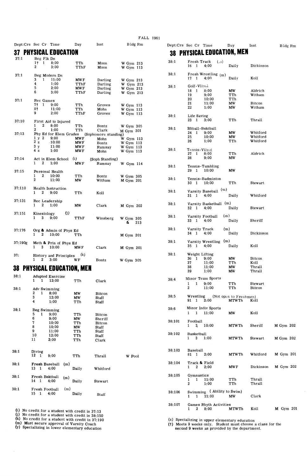|         |                                                     |             |                    | r un                   |
|---------|-----------------------------------------------------|-------------|--------------------|------------------------|
|         | Dept:Crs Sec Cr Time                                | Day         | Inst               | Bldg Rm                |
| 37      | <b>PHYSICAL EDUCATION</b>                           |             |                    |                        |
|         | Beg Flk Dn                                          |             |                    |                        |
| 37.1    | 1†<br>1<br>8:00                                     | TTh         | Moon               | W Gym 213              |
|         | 2<br>3:00                                           | TThF        | Moon               | W Gym 113              |
|         |                                                     |             |                    |                        |
| 37:1    | Beg Modern Dn                                       |             |                    |                        |
|         | 3<br>1<br>11:00<br>4<br>1:00                        | MW F        | Darling            | W Gym 213              |
|         | 5<br>2:00                                           | TThF<br>MWF | Darling<br>Darling | W Gym 213<br>W Gym 213 |
|         | 6<br>3:00                                           | TThF        | Darling            | W Gym 213              |
|         |                                                     |             |                    |                        |
| 37:1    | Rec Games                                           |             |                    |                        |
|         | 7†<br>1<br>9:00<br>8†<br>$11:00 -$                  | TTh<br>TTh  | Groves<br>Mohn     | W Gym 113              |
|         | 9<br>2:00                                           | TThF        | Groves             | W Gym 113<br>W Gym 113 |
|         |                                                     |             |                    |                        |
| 37:10   | First Aid to Injured                                |             |                    |                        |
|         | 1<br>2<br>8:00<br>2<br>1:00                         | TTh         | Bontz              | W Gym 305              |
| 37:13   | Phy Ed for Elem Grades (Sophomore standing)         | TTh         | Clark              | M Gym 201              |
|         | 1 y 2<br>9:00                                       | <b>MWF</b>  | Mohn               | W Gym 113              |
|         | 2z<br>$-10:00$                                      | <b>MWF</b>  | Bontz              | W Gym 113              |
|         | 3 <sub>y</sub><br>11:00                             | <b>MWF</b>  | Ramsay             | W Gym 113              |
|         | 4z<br>1:00                                          | <b>MWF</b>  | Mohn               | W Gym 113              |
| 37:14   | Act in Elem School (i)                              |             | (Soph Standing)    |                        |
|         | 2<br>1<br>1:00                                      | <b>MWF</b>  | Ramsay             | W Gym 114              |
|         |                                                     |             |                    |                        |
| 37:15   | Personal Health                                     |             |                    |                        |
|         | 1<br>$\mathbf{2}$<br>10:00<br>2<br>11:00            | TTh         | Bontz              | W Gym 305              |
|         |                                                     | МW          | Witham             | M Gym 201              |
| 37:110  | Health Instruction                                  |             |                    |                        |
|         | 2<br>9:00<br>1                                      | TTh         | Koll               |                        |
|         |                                                     |             |                    |                        |
| 37.131  | Rec Leadership                                      |             |                    |                        |
|         | 2<br>1<br>1:00                                      | МW          | Clark              | M Gym 202              |
| 37:151  | Kinesiology                                         | (i)         |                    |                        |
|         | 1<br>3<br>9:00                                      | TThF        | Winsberg           | W Gym 305              |
|         |                                                     |             |                    | &<br>213               |
| 37:176  |                                                     |             |                    |                        |
|         | Org & Admin of Phys Ed<br>2<br>1<br>10:00           | TTh         |                    | M Gym 201              |
|         |                                                     |             |                    |                        |
| 37:190g | Meth & Prin of Phys Ed                              |             |                    |                        |
|         | $3^{\circ}$<br>1<br>10:00                           | MW F        | Clark              | <b>M</b> Gym 201       |
| 37:     |                                                     | (k)         |                    |                        |
|         | History and Principles<br>$\mathbf{2}$<br>1<br>3:00 | WF          | Bontz              | W Gym 305              |
|         |                                                     |             |                    |                        |
|         | 38 PHYSICAL EDUCATION, MEN                          |             |                    |                        |
| 38:1    |                                                     |             |                    |                        |
|         | <b>Adapted Exercise</b><br>1<br>12:00<br>1          | TTh         | Clark              |                        |
|         |                                                     |             |                    |                        |
| 38:1    | Adv Swimming                                        |             |                    |                        |
|         | 2<br>$\mathbf{1}$<br>8:00                           | МW          | <b>Bitcon</b>      |                        |
|         | 3<br>12:00                                          | МW          | Staff              |                        |
|         | 4<br>1:00                                           | TTh         | Staff              |                        |
| 38:1    | Beg Swimming                                        |             |                    |                        |
|         | 5<br>1<br>9:00                                      | TTh         | <b>Bitcon</b>      |                        |
|         | 6<br>9:00                                           | МW          | Sheriff            |                        |
|         | 7<br>10:00                                          | TTh         | <b>Bitcon</b>      |                        |
|         | 8<br>10:00                                          | <b>MW</b>   | Staff              |                        |
|         | 9<br>11:00<br>10<br>12:00                           | TTh<br>TTh  | Staff              |                        |
|         | 11<br>2:00                                          | TTh         | Staff<br>Clark     |                        |
|         |                                                     |             |                    |                        |
|         |                                                     |             |                    |                        |
| 38:1    | Diving<br>12                                        |             |                    |                        |
|         | $\mathbf{1}$<br>9:00                                | TTh         | Thrall             | W Pool                 |
| 38:1    | Fresh Baseball                                      | (m)         |                    |                        |
|         | 13 1<br>4:00                                        | Daily       | Whitford           |                        |
|         |                                                     |             |                    |                        |
| 38:1    | Fresh Bsktball                                      | (m)         |                    |                        |
|         | 14 1<br>4:00                                        | Daily       | Stewart            |                        |
| 38:1    | Fresh Football                                      | (m)         |                    |                        |
|         | 15 1<br>4:00                                        | Daily       | Staff              |                        |
|         |                                                     |             |                    |                        |

(1) No credit for a student with credit in 37:13<br>(i) No credit for a student with credit in 38:150<br>(k) No credit for a student with credit in 37:190<br>(k) Must secure approval of Varsity Coach<br>(y) Specializing in lower elem

# **Dept:Crs Sec Cr Time Day Inst 38 PHYSICAL EDUCATION, MEN**

| 38:1   | Fresh Track<br>(.a)<br>4:00<br>16<br>1                                                                 | Daily                                   | Dickinson                                 |           |
|--------|--------------------------------------------------------------------------------------------------------|-----------------------------------------|-------------------------------------------|-----------|
| 38:1   | Fresh Wrestling (m)<br>4:00<br>17<br>$\mathbf{1}$                                                      | Daily                                   | Koll                                      |           |
| 38:1   | Golf-Vlly <sub>v</sub> i<br>18<br>8:00<br>-1<br>19<br>9:00<br>20<br>10:00<br>21<br>11:00<br>22<br>1:00 | МW<br>$\mathtt{TTh}$<br>TTh<br>MW<br>мw | Aldrich<br>Witham<br>Bitcon<br>Witham     |           |
| 38:1   | Life Saving<br>23<br>-1<br>3:00                                                                        | TTh                                     | Thrall                                    |           |
| 38:1   | Sftball-Bsktball<br>24<br>-1<br>9:00<br>25<br>10:00<br>26<br>1:00                                      | МW<br>МW<br>TTh                         | Whitford<br>Whitford<br>Whitford          |           |
| 38:1   | Tennis-Vilvol<br>27 1 8:00<br>28<br>9:00                                                               | TTh<br>МW                               | Aldrich                                   |           |
| 38:1   | Tennis-Tumbling<br>29<br>10:00<br>1                                                                    | <b>MW</b>                               |                                           |           |
| 38:1   | Tennis-Badminton<br>30<br>10:00<br>1                                                                   | TTh                                     | Stewart                                   |           |
| 38:1   | Varsity Baseball (m)<br>31<br>$\mathbf{1}$<br>4:00                                                     | Daily                                   | Whitford                                  |           |
| 38:1   | Varsity Basketball (m)<br>1<br>4:00<br>32                                                              | Daily                                   | Stewart                                   |           |
| 38.1   | (m)<br>Varsity Football<br>33<br>1<br>4:00                                                             | Daily                                   | Sheriff                                   |           |
| 38:1   | Varsity Track<br>(m)<br>4:00<br>34<br>1                                                                | Daily                                   | Dickinson                                 |           |
| 38:1   | (m)<br>Varsity Wrestling<br>35<br>1<br>4:00                                                            | Daily                                   | Koll                                      |           |
| 38:1   | Weight Lifting<br>36<br>$1^{\circ}$<br>9:00<br>37<br>11:00<br>38<br>11:00<br>39<br>1:00                | МW<br>TTh<br>МW<br>МW                   | <b>Bitcon</b><br>Koll<br>Thrall<br>Thrall |           |
| 38:4   | Minor Team Sports<br>1<br>9:00<br>1<br>2<br>11:00                                                      | TTh<br>TTh                              | Stewart<br>Bitcon                         |           |
| 38.5   | Wrestling<br>91<br>1<br>2:00                                                                           | (Not open to Freshmen)<br>MTWTh         | Koll                                      |           |
| 38.6   | Minor Indiv Sports<br>1<br>11:00<br>1                                                                  | МW                                      | Koll                                      |           |
| 38:101 | Football<br>1<br>3.<br>10:00                                                                           | <b>MTWTh</b>                            | Sheriff                                   | M Gym 202 |
| 38:102 | Basketball<br>1<br>3<br>1:00                                                                           | MTWTh                                   | Stewart                                   | M Gym 202 |
| 38:103 | Baseball<br>81<br>1<br>2:00                                                                            | <b>MTWTh</b>                            | Whitford                                  | M Gym 201 |
| 38:104 | Track & Field<br>1<br>$\mathbf{2}$<br>2:00                                                             | <b>MWF</b>                              | Dickinson                                 | M Gym 202 |
| 38:105 | Gymnastics<br>11:00<br>1<br>$\mathbf{1}$<br>$\overline{2}$<br>1:00                                     | TTh<br>TTh                              | Thrall<br>Thrall                          |           |
| 38:106 | Swimming (Ability to Swim)<br>11:00<br>1<br>$\mathbf{1}$                                               | МW                                      | Clark                                     |           |
| 38:107 | Games Rhyth Activities<br>2<br>8:00<br>1                                                               | MTWTh                                   | Koll                                      | M Gym 201 |

(z) Specializing in upper elementary education<br>(†) Meets 9 weeks only. Student must choose a class for the<br>second 9 weeks as provided by the department.

Bldg Rm

 $\bar{\gamma}$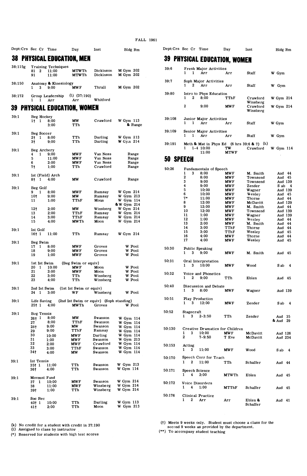**Dept: Crs Sec Cr Time** Day **Inst** Bldg Rm **Dept: Crs Sec Cr Time** Day **Inst** Bldg Rm **38 PHYSICAL EDUCATION, MEN 39 PHYSICAL EDUCATION, MEN** 38:115g **Training Techniques**  MGym 202 39:6 **Fresh Major Activities 81** 2 11:00 **MTWTh Dickinson** 1 1 Arr Arr Staff W Gym 91 11:00 **MTWTh Dickinson** MGym 202

| 38:150 | Anatomy & Kinesiology |                  |          |                  |
|--------|-----------------------|------------------|----------|------------------|
|        | 9:00<br>$1 \quad 3$   | MW F             | Thrall   | <b>M Gym 202</b> |
| 38:172 | Group Leadership      | $(1)$ $(37:190)$ |          |                  |
|        | $1 \quad 1 \quad Arr$ | Arr              | Whitford |                  |

# **39 PHYSICAL EDUCATION, WOMEN**

| 39:1 | Beg Hockey<br>1† 1                 | 8:00<br>3:00  | <b>MW</b><br>TTh                                       | Crawford           | W Gym 113<br>& Range   | 39:108 | 1                          | 1                | Junior Major Activities<br>Arr  | Arr                      | Staff                                                                | W Gym              |     |
|------|------------------------------------|---------------|--------------------------------------------------------|--------------------|------------------------|--------|----------------------------|------------------|---------------------------------|--------------------------|----------------------------------------------------------------------|--------------------|-----|
|      |                                    |               |                                                        |                    |                        | 39:109 |                            |                  | Senior Major Activities         |                          |                                                                      |                    |     |
| 39:1 | Beg Soccer                         |               |                                                        |                    |                        |        | $\mathbf{1}$               | $1$ .            | Arr                             | Arr                      | Staff                                                                | W Gym              |     |
|      | $\mathbf{1}$<br>2†                 | 8:00          | TTh                                                    | Darling            | W Gym 113              |        |                            |                  |                                 |                          |                                                                      |                    |     |
| 39:1 | 3 <sub>1</sub><br>Beg Archery      | 9:00          | TTh                                                    | Darling            | W Gym 214              | 39:191 | 1                          |                  | $1 - 4$ 10:00                   | TW                       | Meth & Mat in Phys Ed $(6 \text{ hrs } 39:6 \& 7)$ $(k)$<br>Crawford | W Gym 114          |     |
|      | $\mathbf{1}$<br>4                  | 9:00          | <b>MWF</b>                                             | Van Ness           | Range                  |        |                            |                  | 11:00                           | <b>MTWF</b>              |                                                                      |                    |     |
|      | 5                                  | 11:00         | <b>MWF</b>                                             | Van Ness           | Range                  |        | 50 SPEECH                  |                  |                                 |                          |                                                                      |                    |     |
|      | 6                                  | 2:00          | <b>MWF</b>                                             | Van Ness           | Range                  |        |                            |                  |                                 |                          |                                                                      |                    |     |
|      | 7†                                 | 1:00          | TTh                                                    | Crawford           | Range                  | 50:26  |                            |                  | Fundamentals of Speech          |                          |                                                                      |                    |     |
| 39:1 | Int (Field) Arch                   |               |                                                        |                    |                        |        | 1                          | 3                | 8:00                            | <b>MWF</b>               | M. Smith                                                             | Aud 44             |     |
|      | $8 + 1$                            | 4:00          | MW                                                     | Crawford           | Range                  |        | $\overline{\mathbf{2}}$    |                  | 8:00                            | <b>MWF</b>               | Townsend                                                             | Aud 45             |     |
|      |                                    |               |                                                        |                    |                        |        | $\mathbf{3}$               |                  | 9:00                            | <b>MWF</b>               | Townsend                                                             | Aud 139            |     |
| 39:1 | Beg Golf                           |               |                                                        |                    |                        |        | $\overline{\mathbf{4}}$    |                  | 9:00                            | <b>MWF</b>               | Zender                                                               | $S$ ab 4           |     |
|      | $\mathbf{1}$<br>9                  | 8:00          | <b>MWF</b>                                             | Ramsay             | <b>W</b> Gym 214       |        | 5<br>6                     |                  | 10:00<br>10:00                  | <b>MWF</b>               | Wagner                                                               | Aud 139            |     |
|      | 10†                                | 9:00          | МW                                                     | Ramsay             | W Gym 213              |        | $7*$                       |                  | 11:00                           | <b>MWF</b><br><b>MWF</b> | Wesley<br>Thorne                                                     | Aud 45<br>Aud 44   |     |
|      | 11                                 | 1:00          | TThF                                                   | Moon               | W Gym 114              |        | 8                          |                  | 12:00                           | <b>MWF</b>               | McDavitt                                                             | Aud 129            |     |
|      |                                    |               |                                                        |                    | & W Gym 214            |        | 9                          |                  | 12:00                           | <b>MWF</b>               | M. Smith                                                             | Aud 44             |     |
|      | 12 <sub>1</sub>                    | 2:00          | MW                                                     | Winsberg           | W Gym 214              |        | 10                         |                  | 12:00                           | <b>MWF</b>               | Townsend                                                             | Aud 139            |     |
|      | 13<br>14                           | 2:00          | TThF                                                   | Ramsay             | W Gym 214<br>W Gym 214 |        | 11                         |                  | 1:00                            | <b>MWF</b>               | Wagner                                                               | Aud 139            |     |
|      | 15                                 | 3:00<br>4:00  | TThF<br><b>MWTh</b>                                    | Ramsay<br>Moon     | W Gym 214              |        | 12                         |                  | 1:00                            | <b>MWF</b>               | Wesley                                                               | Aud 44             |     |
|      |                                    |               |                                                        |                    |                        |        | 13                         |                  | 2:00                            | <b>MWF</b>               | M. Smith                                                             | Aud 44             |     |
| 39:1 | Int Golf                           |               |                                                        |                    |                        |        | 14                         |                  | 3:00                            | TThF                     | Thorne                                                               | Aud 44             |     |
|      | 16† 1                              | 11:00         | TTh                                                    | Ramsay             | W Gym 214              |        | 15<br>16                   |                  | 3:00<br>4:00                    | TThF                     | Wesley                                                               | Aud 45             |     |
|      |                                    |               |                                                        |                    |                        |        | 17                         |                  | 4:00                            | <b>MWF</b><br><b>MWF</b> | Thorne<br>Wesley                                                     | Aud 44<br>Aud 45   |     |
| 39:1 | Beg Swim                           |               |                                                        |                    |                        |        |                            |                  |                                 |                          |                                                                      |                    |     |
|      | $17-1$                             | 8:00          | <b>MWF</b>                                             | Groves             | W Pool                 | 50:30  |                            |                  | Public Speaking                 |                          |                                                                      |                    |     |
|      | 18<br>19                           | 9:00          | <b>MWF</b><br><b>MWF</b>                               | Groves<br>Groves   | W Pool<br>W Pool       |        | 1                          | 3                | 9:00                            | <b>MWF</b>               | M. Smith                                                             | Aud 45             |     |
|      |                                    | 1:00          |                                                        |                    |                        |        |                            |                  |                                 |                          |                                                                      |                    |     |
| 39:1 | 1st Int Swim                       |               | (Beg Swim or equiv)                                    |                    |                        | 50:31  |                            |                  | Oral Interpretation             |                          |                                                                      |                    |     |
|      | 20<br>$\mathbf{1}$                 | 10:00         | MW F                                                   | Moon               | W Pool                 |        | 1.                         | 3                | 10:00                           | MW F                     | Wood                                                                 | S ab               | - 4 |
|      | 21                                 | 2:00          | <b>MWF</b>                                             | Moon               | W Pool                 | 50:32  |                            |                  | Voice and Phonetics             |                          |                                                                      |                    |     |
|      | 22                                 | 3:00          | TTh                                                    | Winsberg           | W Pool                 |        | 1                          | $\boldsymbol{2}$ | 9:00                            | TTh                      | Eblen                                                                | Aud 45             |     |
|      | 23                                 | 4:00          | TTh                                                    | Winsberg           | W Pool                 |        |                            |                  |                                 |                          |                                                                      |                    |     |
|      |                                    |               |                                                        |                    |                        | 50:40  |                            |                  | Discussion and Debate           |                          |                                                                      |                    |     |
| 39:1 | 2nd Int Swim<br>24<br>$\mathbf{1}$ | 3:00          | (1st Int Swim or equiv)<br>WF                          | Winsberg           | W Pool                 |        | $\mathbf{1}$               | 3                | 8:00                            | <b>MWF</b>               | Wagner                                                               | Aud 139            |     |
|      |                                    |               |                                                        |                    |                        |        |                            |                  |                                 |                          |                                                                      |                    |     |
| 39:1 | Life Saving<br>$25+1$              | 4:00          | (2nd Int Swim or equiv) (Soph standing)<br><b>MWTh</b> | Groves             | W Pool                 | 50:51  | 1                          | 3                | Play Production<br>12:00        | <b>MWF</b>               | Zender                                                               | Sab 4              |     |
|      |                                    |               |                                                        |                    |                        |        |                            |                  |                                 |                          |                                                                      |                    |     |
| 39:1 | Beg Tennis                         |               |                                                        |                    |                        | 50:52  | Stagecraft<br>$\mathbf{1}$ | 3                |                                 |                          |                                                                      |                    |     |
|      | $26 + 1$                           | 8:00          | MW                                                     | Swanson            | W Gym 114              |        |                            |                  | $2 - 3:50$                      | TTh                      | Zender                                                               | Aud 35<br>& Aud 29 |     |
|      | 27                                 | 8:00          | TThF                                                   | Swanson            | W Gym 114              |        |                            |                  |                                 |                          |                                                                      |                    |     |
|      | $28+$                              | 9:00<br>9:00  | <b>MW</b><br>TThF                                      | Swanson<br>Ramsay  | W Gym 114              | 50:130 |                            |                  | Creative Dramatics for Children |                          |                                                                      |                    |     |
|      | 29<br>30                           |               |                                                        |                    | W Gym 114              |        | 1                          | 3                | 10:00                           | <b>MWF</b>               | McDavitt                                                             | Aud 126            |     |
|      | 31                                 | 10:00<br>1:00 | <b>MWF</b><br><b>MWF</b>                               | Darling<br>Swanson | W Gym 114<br>W Gym 213 |        | $\overline{\mathbf{2}}$    |                  | $7 - 9:50$                      | T Eve                    | McDavitt                                                             | Aud 234            |     |
|      | 32                                 | 2:00          | <b>MWF</b>                                             | Crawford           | W Gym 114              |        |                            |                  |                                 |                          |                                                                      |                    |     |
|      | 33                                 | 3:00          | TThF                                                   | Swanson            | W Gym 114              | 50:153 | Acting                     |                  |                                 |                          |                                                                      |                    |     |
|      | 34†                                | 4:00          | <b>MW</b>                                              | Swanson            | W Gym 114              |        | $\mathbf{1}$               | 3                | 11:00                           | <b>MWF</b>               | Wood                                                                 | S ab               | -4  |
|      |                                    |               |                                                        |                    |                        | 50:170 |                            |                  | Speech Corr for Teach           |                          |                                                                      |                    |     |
| 39:1 | Int Tennis                         |               |                                                        |                    |                        |        | $\mathbf{1}$               | $\mathbf{2}$     | 11:00                           | TTh                      | Schaffer                                                             | Aud 44             |     |
|      | 3511                               | 11:00         | TTh                                                    | Swanson            | W Gym 213              |        |                            |                  |                                 |                          |                                                                      |                    |     |
|      | 36†                                | 4:00          | TTh                                                    | Swanson            | W Gym 114              | 50:171 |                            |                  | <b>Speech Science</b>           |                          |                                                                      |                    |     |
|      |                                    |               |                                                        |                    |                        |        | 1                          | 4                | 2:00                            | <b>MTWTh</b>             | Eblen                                                                | Aud 45             |     |
| 39:1 | Movmnt Fund<br>$\mathbf{1}$        | 10:00         | <b>MWF</b>                                             | Swanson            | W Gym 214              |        |                            |                  |                                 |                          |                                                                      |                    |     |
|      | 37<br>38                           | 11:00         | <b>MWF</b>                                             | Winsberg           | W Gym 214              | 50:172 |                            |                  | Voice Disorders                 |                          |                                                                      |                    |     |
|      | 39†                                | 1:00          | TTh                                                    | Winsberg           | W Gym 214              |        | 1                          | 4                | 1:00                            | <b>MTThF</b>             | Schaffer                                                             | Aud 45             |     |
|      |                                    |               |                                                        |                    |                        | 50:176 |                            |                  | Clinical Practice               |                          |                                                                      |                    |     |
| 39:1 | Soc Rec                            |               |                                                        |                    |                        |        | 1                          | 2                | Arr                             | Arr                      | Eblen &                                                              | Aud 41             |     |
|      | 40† 1                              | 10:00         | TTh                                                    | Darling            | W Gym 113              |        |                            |                  |                                 |                          | Schaffer                                                             |                    |     |
|      | 41†                                | 2:00          | TTh                                                    | Moon               | W Gym 213              |        |                            |                  |                                 |                          |                                                                      |                    |     |

| $(k)$ No credit for a student with credit in 37:190<br>(1) Assigned to class by instructor<br>(*) Reserved for students with high test scores |  | (†) Meets 9 weeks only. Student must choose a class for the<br>second 9 weeks as provided by the department.<br>(**) To accompany student teaching |
|-----------------------------------------------------------------------------------------------------------------------------------------------|--|----------------------------------------------------------------------------------------------------------------------------------------------------|
|-----------------------------------------------------------------------------------------------------------------------------------------------|--|----------------------------------------------------------------------------------------------------------------------------------------------------|

|      |  |                               | <b>39 PHYSICAL EDUCATION, WOMEN</b> |       |       |  |
|------|--|-------------------------------|-------------------------------------|-------|-------|--|
| 39:6 |  | <b>Fresh Major Activities</b> |                                     |       |       |  |
|      |  | 1 1 Arr                       | Arr                                 | Staff | W Gym |  |

|        | . .         | $1 - 00$                | .                            |          |                      |        |   |              |                         |                   |                                                           |                  |  |
|--------|-------------|-------------------------|------------------------------|----------|----------------------|--------|---|--------------|-------------------------|-------------------|-----------------------------------------------------------|------------------|--|
| 38:150 |             | Anatomy & Kinesiology   |                              |          |                      | 39:7   |   |              | Soph Major Activities   |                   |                                                           |                  |  |
|        | 3           | 9:00                    | <b>MWF</b>                   | Thrall   | <b>M</b> Gym 202     |        |   | $\mathbf{2}$ | Arr                     | Arr               | Staff                                                     | W Gym            |  |
| 38:172 |             |                         | $(1)$ $(37:190)$             |          |                      | 39:80  |   |              | Intro to Phys Education |                   |                                                           |                  |  |
|        |             | Group Leadership<br>Arr | Arr                          | Whitford |                      |        |   | $\mathbf{2}$ | 8:00                    | TThF              | Crawford<br>Winsberg                                      | <b>W</b> Gym 214 |  |
|        |             |                         | 39 PHYSICAL EDUCATION, WOMEN |          |                      |        | 2 |              | 9:00                    | <b>MWF</b>        | Crawford<br>Winsberg                                      | W Gym 214        |  |
| 39:1   | Beg Hockey  |                         |                              |          |                      | 39:108 |   |              | Junior Major Activities |                   |                                                           |                  |  |
|        | 1†          | 8:00<br>3:00            | <b>MW</b><br>TTh             | Crawford | W Gym 113<br>& Range |        |   |              | Arr                     | Arr               | Staff                                                     | W Gym            |  |
| 39:1   | Beg Soccer  |                         |                              |          |                      | 39:109 |   |              | Senior Major Activities |                   |                                                           |                  |  |
|        | 2†          | 8:00                    | TTh                          | Darling  | W Gym 113            |        |   | $1 -$        | Arr                     | Arr               | Staff                                                     | W Gym            |  |
|        | $3+$        | 9:00                    | TTh                          | Darling  | <b>W</b> Gym 214     | 39:191 |   |              |                         |                   | Meth & Mat in Phys Ed $(6 \text{ hrs } 39; 6 \& 7)$ $(k)$ |                  |  |
| 39:1   | Beg Archery |                         |                              |          |                      |        |   |              | $1 - 4$ 10:00<br>11:00  | TW<br><b>MTWF</b> | Crawford                                                  | W Gym 114        |  |
|        | 4           | 9:00                    | <b>MWF</b>                   | Van Ness | Range                |        |   |              |                         |                   |                                                           |                  |  |

# 5 11:00 MWF **Van Ness** Range **50 SPEECH** 6 2:00 **MWF Van Ness Range**

| .,              | T: OO            | - - -                                   | Clawloiu | nange       | 50:26  |                   | <b>Fundamentals of Speech</b>   |              |          |          |          |
|-----------------|------------------|-----------------------------------------|----------|-------------|--------|-------------------|---------------------------------|--------------|----------|----------|----------|
|                 | Int (Field) Arch |                                         |          |             |        | 3<br>1            | 8:00                            | <b>MWF</b>   | M. Smith | Aud 44   |          |
| 8† 1            | 4:00             | MW                                      | Crawford | Range       |        | 2                 | 8:00                            | <b>MWF</b>   | Townsend | Aud 45   |          |
|                 |                  |                                         |          |             |        | 3                 | 9:00                            | <b>MWF</b>   | Townsend |          | Aud 139  |
| Beg Golf        |                  |                                         |          |             |        | 4                 | 9:00                            | <b>MWF</b>   | Zender   |          | $S$ ab 4 |
|                 | 8:00             | <b>MWF</b>                              | Ramsay   | W Gym 214   |        | 5                 | 10:00                           | <b>MWF</b>   | Wagner   |          | Aud 139  |
| 9 1             | 9:00             |                                         | Ramsay   | W Gym 213   |        | 6                 | 10:00                           | <b>MWF</b>   | Wesley   | Aud 45   |          |
| 10†             |                  | МW                                      |          |             |        | $7*$              | 11:00                           | <b>MWF</b>   | Thorne   | Aud 44   |          |
| 11              | 1:00             | TThF                                    | Moon     | W Gym 114   |        | 8                 | 12:00                           | <b>MWF</b>   | McDavitt |          | Aud 129  |
|                 |                  |                                         |          | & W Gym 214 |        | 9                 | 12:00                           | <b>MWF</b>   | M. Smith | Aud 44   |          |
| 12 <sub>1</sub> | 2:00             | МW                                      | Winsberg | W Gym 214   |        | 10                | 12:00                           | <b>MWF</b>   | Townsend |          | Aud 139  |
| 13              | 2:00             | TThF                                    | Ramsay   | W Gym 214   |        | 11                | 1:00                            | <b>MWF</b>   | Wagner   | Aud 139  |          |
| 14              | 3:00             | TThF                                    | Ramsay   | W Gym 214   |        | 12                | 1:00                            | <b>MWF</b>   | Wesley   | Aud 44   |          |
| 15              | 4:00             | <b>MWTh</b>                             | Moon     | W Gym 214   |        | 13                | 2:00                            | <b>MWF</b>   | M. Smith | Aud 44   |          |
|                 |                  |                                         |          |             |        | 14                | 3:00                            | TThF         | Thorne   | Aud 44   |          |
| Int Golf        |                  |                                         |          |             |        | 15                | 3:00                            | TThF         | Wesley   | Aud 45   |          |
| 16† 1           | 11:00            | TTh                                     | Ramsay   | W Gym 214   |        | 16                | 4:00                            | <b>MWF</b>   | Thorne   | Aud 44   |          |
|                 |                  |                                         |          |             |        | 17                | 4:00                            | <b>MWF</b>   | Wesley   | Aud 45   |          |
| Beg Swim        |                  |                                         |          |             |        |                   |                                 |              |          |          |          |
| $17-1$          | 8:00             | <b>MWF</b>                              | Groves   | W Pool      | 50:30  |                   | Public Speaking                 |              |          |          |          |
| 18              | 9:00             | <b>MWF</b>                              | Groves   | W Pool      |        | 3<br>$\mathbf{1}$ | 9:00                            | <b>MWF</b>   | M. Smith | Aud 45   |          |
| 19              | 1:00             | <b>MWF</b>                              | Groves   | W Pool      |        |                   |                                 |              |          |          |          |
|                 |                  |                                         |          |             | 50:31  |                   | Oral Interpretation             |              |          |          |          |
| 1st Int Swim    |                  | (Beg Swim or equiv)                     |          |             |        | 3<br>1            | 10:00                           | <b>MWF</b>   | Wood     | Sab 4    |          |
| 20 1            | 10:00            | <b>MWF</b>                              | Moon     | W Pool      |        |                   |                                 |              |          |          |          |
| 21              | 2:00             | <b>MWF</b>                              | Moon     | W Pool      | 50:32  |                   | Voice and Phonetics             |              |          |          |          |
| 22              | 3:00             | TTh                                     | Winsberg | W Pool      |        | 2<br>1            | 9:00                            | TTh          | Eblen    | Aud 45   |          |
| 23              | 4:00             | TTh                                     | Winsberg | W Pool      |        |                   |                                 |              |          |          |          |
|                 |                  |                                         |          |             | 50:40  |                   | Discussion and Debate           |              |          |          |          |
| 2nd Int Swim    |                  | (1st Int Swim or equiv)                 |          |             |        | 1<br>3            | 8:00                            | <b>MWF</b>   |          |          |          |
| 24 1            | 3:00             | WF                                      | Winsberg | W Pool      |        |                   |                                 |              | Wagner   | Aud 139  |          |
|                 |                  |                                         |          |             |        |                   |                                 |              |          |          |          |
| Life Saving     |                  | (2nd Int Swim or equiv) (Soph standing) |          |             | 50:51  |                   | Play Production                 |              |          |          |          |
| $25+1$          | 4:00             | <b>MWTh</b>                             | Groves   | W Pool      |        | $\mathbf{1}$<br>3 | 12:00                           | <b>MWF</b>   | Zender   | Sab 4    |          |
|                 |                  |                                         |          |             |        |                   |                                 |              |          |          |          |
| Beg Tennis      |                  |                                         |          |             | 50:52  | Stagecraft        |                                 |              |          |          |          |
| 26† 1           | 8:00             | МW                                      | Swanson  | W Gym 114   |        | 1<br>3            | $2 - 3:50$                      | TTh          | Zender   | Aud 35   |          |
| 27              | 8:00             | TThF                                    | Swanson  | W Gym 114   |        |                   |                                 |              |          | & Aud 29 |          |
| 28†             | 9:00             | <b>MW</b>                               | Swanson  | W Gym 114   |        |                   |                                 |              |          |          |          |
| 29              | 9:00             | TThF                                    | Ramsay   | W Gym 114   | 50:130 |                   | Creative Dramatics for Children |              |          |          |          |
| 30              | 10:00            | <b>MWF</b>                              | Darling  | W Gym 114   |        | 1<br>3            | 10:00                           | <b>MWF</b>   | McDavitt | Aud 126  |          |
| 31              |                  | <b>MWF</b>                              | Swanson  | W Gym 213   |        | $\mathbf{2}$      | $7 - 9:50$                      | T Eve        | McDavitt | Aud 234  |          |
| 32              | 1:00             | <b>MWF</b>                              | Crawford | W Gym 114   |        |                   |                                 |              |          |          |          |
| 33              | 2:00             |                                         |          | W Gym 114   | 50:153 | Acting            |                                 |              |          |          |          |
|                 | 3:00             | TThF                                    | Swanson  |             |        | 1<br>3            | 11:00                           | <b>MWF</b>   | Wood     | Sab 4    |          |
| 34†             | 4:00             | <b>MW</b>                               | Swanson  | W Gym 114   |        |                   |                                 |              |          |          |          |
|                 |                  |                                         |          |             | 50:170 |                   | Speech Corr for Teach           |              |          |          |          |
| Int Tennis      |                  |                                         |          |             |        | $\mathbf{1}$<br>2 | 11:00                           | TTh          | Schaffer | Aud 44   |          |
| 35† 1           | 11:00            | TTh                                     | Swanson  | W Gym 213   |        |                   |                                 |              |          |          |          |
| 36†             | 4:00             | TTh                                     | Swanson  | W Gym 114   | 50:171 |                   | <b>Speech Science</b>           |              |          |          |          |
|                 |                  |                                         |          |             |        | 1<br>4            | 2:00                            | <b>MTWTh</b> | Eblen    | Aud 45   |          |
| Movmnt Fund     |                  |                                         |          |             |        |                   |                                 |              |          |          |          |
| 371             | 10:00            | <b>MWF</b>                              | Swanson  | W Gym 214   | 50:172 |                   | Voice Disorders                 |              |          |          |          |
| 38              | 11:00            | <b>MWF</b>                              | Winsberg | W Gym 214   |        | 1<br>4            | 1:00                            | <b>MTThF</b> | Schaffer | Aud 45   |          |
| 39†             | 1:00             | TTh                                     | Winsberg | W Gym 214   |        |                   |                                 |              |          |          |          |
|                 |                  |                                         |          |             | 50:176 |                   | Clinical Practice               |              |          |          |          |
| Soc Rec         |                  |                                         |          |             |        | 2<br>1            | Arr                             | Arr          | Eblen &  | Aud 41   |          |
| 40† 1           | 10:00            | TTh                                     | Darling  | W Gym 113   |        |                   |                                 |              | Schaffer |          |          |
| 41†             | 2:00             | TTh                                     | Moon     | W Gym 213   |        |                   |                                 |              |          |          |          |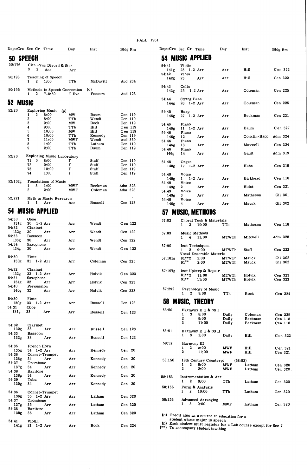### FALL 1961

|                           | Dept:Crs Sec Cr Time                                        |                                | Day                | Inst               |                    | Bldg Rm            | Dept:Crs Sec Cr Time |                         |                                                                     | Day                      | Inst                                                             | Bldg Rm            |
|---------------------------|-------------------------------------------------------------|--------------------------------|--------------------|--------------------|--------------------|--------------------|----------------------|-------------------------|---------------------------------------------------------------------|--------------------------|------------------------------------------------------------------|--------------------|
| 50 SPEECH                 |                                                             |                                |                    |                    |                    |                    |                      |                         | 54 MUSIC APPI.IED                                                   |                          |                                                                  |                    |
| 50:176                    | 3<br>2                                                      | Clin Prac Disord & Stut<br>Arr |                    |                    |                    |                    | 54:41                | Violin                  |                                                                     |                          | Hill                                                             | Cen 322            |
| 50:193                    |                                                             |                                | Arr                |                    |                    |                    | 141g<br>54:42        | $23$ 1-2 Arr<br>Viola   |                                                                     | Arr                      |                                                                  |                    |
|                           | Teaching of Speech<br>2<br>$\mathbf{1}$<br>1:00             |                                | TTh                | McDavitt           |                    | Aud 234            | 142g                 | 23                      | Arr                                                                 | Arr                      | Hill                                                             | Cen 322            |
| 50:195                    | Methods in Speech Correction                                |                                |                    | (o)                |                    |                    | 54:43<br>143g        | Cello                   | $25 \t 1-2 Arr$                                                     | Arr                      | Coleman                                                          | Cen 225            |
|                           | $\mathbf{1}$<br>2                                           | 7-8:50                         | T Eve              | Fossum             |                    | Aud 128            | 54:44                | String Bass             |                                                                     |                          |                                                                  |                    |
| 52 MUSIC                  |                                                             |                                |                    |                    |                    |                    | 144g                 | 26 1-2 Arr              |                                                                     | Arr                      | Coleman                                                          | Cen 225            |
| 52:20                     | Exploring Music (p)<br>$\overline{\mathbf{2}}$<br>8:00<br>1 |                                | MW                 | Baum               | Cen 119            |                    | 54:45<br>145g        | Harp<br>27 1-2 Arr      |                                                                     | Arr                      | Beckman                                                          | Cen 231            |
|                           | 2<br>3                                                      | 8:00<br>9:00                   | TTh<br>МW          | Wendt<br>Bock      | Cen 119<br>Cen 119 |                    |                      |                         |                                                                     |                          |                                                                  |                    |
|                           | 4<br>5                                                      | 9:00<br>10:00                  | TTh<br>MW          | Hill<br>Hill       |                    | Cen 119<br>Cen 119 | 54:46<br>146g        | Piano<br>$11 \t1-2 Arr$ |                                                                     | Arr                      | Baum                                                             | Cen 327            |
|                           | 6                                                           | 10:00                          | TTh                | Kennedy            | Cen 119            |                    | 54:46<br>146g        | Piano<br>12             | Arr                                                                 | Arr                      | Conklin-Happ                                                     | Adm 324            |
|                           | 7<br>8                                                      | 11:00<br>1:00                  | <b>MWF</b><br>TTh  | Wendt<br>Latham    | Aud 339<br>Cen 119 |                    | 54:46<br>146g        | Piano<br>13             | Arr                                                                 | Arr                      | Maxwell                                                          | Cen 324            |
|                           | 9                                                           | 2:00                           | TTh                | Baum               | Cen 119            |                    | 54:46<br>146g        | Piano<br>14             | Arr                                                                 | Arr                      | Gault                                                            | Adm 319            |
| 52:20                     | Exploring Music Laboratory<br>71<br>0<br>8:00               |                                | F                  | Staff              | Cen 119            |                    | 54:48                | Organ                   |                                                                     |                          |                                                                  |                    |
|                           | 72<br>73                                                    | 9:00<br>10:00                  | F<br>F             | Staff<br>Staff     | Cen 119<br>Cen 119 |                    | 148g                 | $17$ $1-2$ Arr          |                                                                     | Arr                      | Hahn                                                             | Cen 319            |
|                           | 74                                                          | 1:00                           | F                  | Staff              | Cen 119            |                    | 54:49                | Voice                   |                                                                     |                          |                                                                  |                    |
| 52:102g                   | Foundations of Music                                        |                                |                    |                    |                    |                    | 149g<br>54:49        | $\mathbf{1}$<br>Voice   | $1-2$ Arr                                                           | Arr                      | <b>Birkhead</b>                                                  | Cen 116            |
|                           | 1:00<br>1<br>3<br>$\mathbf 2$                               | 2:00                           | MW F<br><b>MWF</b> | Beckman<br>Coleman | Adm 328<br>Adm 328 |                    | 149g<br>54:49        | 2<br>Voice              | Arr                                                                 | Arr                      | Holst                                                            | Cen 321            |
| 52:221                    | Meth in Music Research                                      |                                |                    |                    |                    |                    | 149g<br>54:49        | 3<br>Voice              | Arr                                                                 | Arr                      | Matheson                                                         | Gil 301            |
|                           | $\mathbf{1}$<br>$\mathbf{1}$<br>Arr                         |                                | Arr                | Russell            | Cen 123            |                    | 149g                 | 4                       | Arr                                                                 | Arr                      | Mauck                                                            | Gil 302            |
|                           | <b>54 MUSIC APPLIED</b>                                     |                                |                    |                    |                    |                    |                      |                         | 57 MUSIC, METHODS                                                   |                          |                                                                  |                    |
| 54:30<br>131g             | Oboe<br>30<br>$1-2$ Arr                                     |                                | Arr                | Wendt              |                    | Cen 122            | 57:82                |                         | Choral Tech & Materials                                             |                          |                                                                  |                    |
| 54:32                     | Clarinet                                                    |                                |                    |                    |                    |                    |                      |                         | $1 \quad 2 \quad 10:00$                                             | TTh                      | Matheson                                                         | Cen 118            |
| 132g<br>54:33             | 30<br>Arr<br>Bassoon                                        |                                | Arr                | Wendt              | Cen 122            |                    | 57:83                | 1.                      | Music Methods<br>4 11:00                                            | MTWTh                    | Mitchell                                                         | Adm 328            |
| 133g<br>54.34             | 30<br>Arr<br>Saxophone                                      |                                | Arr                | Wendt              | Cen 122            |                    | 57:90                |                         | Inst Techniques                                                     |                          |                                                                  |                    |
| 134g                      | 30<br>Arr                                                   |                                | Arr                | Wendt              |                    | Cen 122            |                      | $1 \quad 2$             | 9:00<br>Vocal Ensemble Materls                                      | <b>MTWTh</b>             | Staff                                                            | Cen 222            |
| 54:30<br>130g             | Flute<br>$31$ 1-2 Arr                                       |                                | Arr                | Coleman            | Cen 225            |                    | 57:181g              | 81**2<br>$91***$        | 2:00<br>2:00                                                        | MTWTh<br><b>MTWTh</b>    | Mauck<br>Mauck                                                   | Gil 302<br>Gil 302 |
| 54:32                     | Clarinet                                                    |                                |                    |                    |                    |                    |                      |                         |                                                                     |                          |                                                                  |                    |
| 132g<br>54:34             | 32 1-2 Arr<br>Saxophone                                     |                                | Arr                | Holvik             |                    | Cen 323            | 57:197g              | $81***2$                | Inst Upkeep & Repair<br>11:00                                       | <b>MTWTh</b>             | Holvik                                                           | Cen 323            |
| 134g                      | 32<br>Arr                                                   |                                | Arr                | Holvik             | Cen 323            |                    |                      | 91**                    | 11:00                                                               | MTWTh                    | Holvik                                                           | Cen 323            |
| 54:40<br>140g             | Percussion<br>32<br>Arr                                     |                                | Arr                | Holvik             | Cen 323            |                    | 57:292               | 2<br>1                  | Psychology of Music<br>9:00                                         | TTh                      | Bock                                                             | Cen 224            |
| 54:30                     | Flute                                                       |                                |                    |                    |                    |                    |                      |                         | <b>58 MUSIC, THEORY</b>                                             |                          |                                                                  |                    |
| 130g<br>54:31             | 33 1-2 Arr<br>Oboe                                          |                                | Arr                | Russell            | Cen 123            |                    |                      |                         |                                                                     |                          |                                                                  |                    |
| 131 <sub>g</sub>          | 33<br>Arr                                                   |                                | Arr                | Russell            |                    | Cen 123            | 58:50                | 1<br>3                  | Harmony E T & SS I<br>8:00                                          | Daily                    | Coleman                                                          | Cen 225            |
|                           |                                                             |                                |                    |                    |                    |                    |                      | 2<br>3                  | 9:00<br>11:00                                                       | Daily<br>Daily           | Beckman<br>Beckman                                               | Cen 118<br>Cen 118 |
| 54:32<br>132g             | Clarinet<br>33<br>Arr                                       |                                | Arr                | Russell            |                    | Cen 123            | 58:51                |                         | Harmony E T & SS II                                                 |                          |                                                                  |                    |
| 54:33<br>133g             | Bassoon<br>33<br>Arr                                        |                                | Arr                | Russell            |                    | Cen 123            |                      | ı<br>3                  | 1:00                                                                | Daily                    | Hill                                                             | Cen 322            |
| 54:35                     | French Horn                                                 |                                |                    |                    |                    |                    | 58:52                | 3<br>1                  | Harmony III<br>ა:00                                                 | MW F                     |                                                                  | Cen 321            |
| 135g<br>54:36             | 34 1-2 Arr<br>Cornet-Trumpet                                |                                | Arr                | Kennedy            |                    | $Cen$ 20           |                      | 2                       | 11:00                                                               | MWF                      | Hill<br>Hill                                                     | Cen 321            |
| 136g<br>54:37             | 34<br>Arr<br>Trombone                                       |                                | Arr                | Kennedy            |                    | $Cen$ 20           | 58:150               |                         | 18th Century Counterpt                                              |                          | (58:53)                                                          |                    |
| 137 <sub>g</sub><br>54:38 | 34<br>Arr<br><b>Baritone</b>                                |                                | Arr                | Kennedy            |                    | Cen 20             |                      | 1<br>3<br>2             | 8:00<br>2:00                                                        | <b>MWF</b><br><b>MWF</b> | Latham<br>Latham                                                 | Cen 320<br>Cen 320 |
| 138g                      | 34<br>Arr                                                   |                                | Arr                | Kennedy            |                    | Cen 20             | 58:153               |                         | Instrumentation & Arr                                               |                          |                                                                  |                    |
| 54:39<br>139g             | Tuba<br>34<br>Arr                                           |                                | Arr                | Kennedy            |                    | Cen 20             |                      | 2<br>1                  | 9:00                                                                | TTh                      | Latham                                                           | Cen 320            |
| 54:36                     | Cornet-Trumpet                                              |                                |                    |                    |                    |                    | 58:155               | $\mathbf{1}$<br>2       | Form & Analysis<br>10:00                                            | TTh                      | Latham                                                           | Cen 320            |
| 136g<br>54:37             | 35 1-2 Arr<br>Trombone                                      |                                | Arr                | Latham             |                    | Cen 320            | 58:253               |                         | <b>Advanced Arranging</b>                                           |                          |                                                                  |                    |
| 137g<br>54:38             | 35<br>Arr<br><b>Baritone</b>                                |                                | Arr                | Latham             |                    | Cen 320            |                      | 3<br>1                  | 9:00                                                                | <b>MWF</b>               | Latham                                                           | Cen 320            |
| 138 <sub>g</sub>          | 35<br>Arr                                                   |                                | Arr                | Latham             |                    | Cen 320            |                      |                         | (o) Credit also as a course in education for a                      |                          |                                                                  |                    |
| 54:41<br>141g             | Violin<br>$21 \t1-2 Arr$                                    |                                | Arr                | Bock               |                    | Cen 224            |                      |                         | student whose major is speech<br>(**) To accompany student teaching |                          | (p) Each student must register for a Lab course except for Sec 7 |                    |

|                  | t:Crs Sec Cr Time            |                                            | Day         | Inst            | <b>Bldg Rm</b>     | Dept:Crs Sec Cr Time |                  |                    |                                   | Day                          | Inst               | Bldg Rm            |                    |
|------------------|------------------------------|--------------------------------------------|-------------|-----------------|--------------------|----------------------|------------------|--------------------|-----------------------------------|------------------------------|--------------------|--------------------|--------------------|
|                  | SPEECH                       |                                            |             |                 |                    |                      |                  |                    | 54 MUSIC APPI.IED                 |                              |                    |                    |                    |
| 176              | 3<br>$\overline{\mathbf{2}}$ | Clin Prac Disord & Stut<br>Arr             | Arr         |                 |                    | 54:41<br>141g        |                  | Violin             | $23$ 1-2 Arr                      | Arr                          | Hill               | Cen 322            |                    |
| 193              |                              | Teaching of Speech                         |             |                 |                    | 54:42                |                  | Viola              |                                   |                              | Hill               | Cen 322            |                    |
|                  | $\mathbf{1}$<br>2            | 1:00                                       | TTh         | McDavitt        | Aud 234            | 142g<br>54:43        | 23               | Cello              | Arr                               | Arr                          |                    |                    |                    |
| 195              | 2<br>1.                      | Methods in Speech Correction<br>$7 - 8:50$ | T Eve       | (0)<br>Fossum   | Aud 128            | 143g                 |                  |                    | $25 \t1-2 Arr$                    | Arr                          | Coleman            | Cen 225            |                    |
| <b>MUSIC</b>     |                              |                                            |             |                 |                    | 54:44<br>144g        |                  | <b>String Bass</b> | $26$ 1-2 Arr                      | Arr                          | Coleman            | Cen 225            |                    |
| 20               |                              | Exploring Music (p)                        |             |                 |                    | 54:45                |                  | Harp               |                                   |                              |                    |                    |                    |
|                  | $\overline{\mathbf{2}}$<br>1 | 8:00                                       | <b>MW</b>   | Baum            | Cen 119            | 145g                 |                  |                    | $27$ 1-2 Arr                      | Arr                          | Beckman            | Cen 231            |                    |
|                  | $\boldsymbol{2}$<br>3        | 8:00<br>9:00                               | TTh<br>МW   | Wendt<br>Bock   | Cen 119<br>Cen 119 |                      |                  |                    |                                   |                              |                    |                    |                    |
|                  | $\overline{\mathbf{4}}$      | 9:00                                       | TTh         | Hill            | Cen 119            | 54:46                |                  | Piano              | $11 1 - 2 Arr$                    | Arr                          | Baum               | Cen 327            |                    |
|                  | $\sqrt{5}$                   | 10:00                                      | МW          | Hill            | Cen 119            | 146g<br>54:46        |                  | Piano              |                                   |                              |                    |                    |                    |
|                  | 6                            | 10:00                                      | TTh         | Kennedy         | Cen 119            | 146g                 | 12               |                    | Arr                               | Arr                          | Conklin-Happ       | Adm 324            |                    |
|                  | 7<br>8                       | 11:00<br>1:00                              | MW F<br>TTh | Wendt<br>Latham | Aud 339            | 54:46                |                  | Piano              |                                   |                              |                    |                    |                    |
|                  | 9                            | 2:00                                       | TTh         | Baum            | Cen 119<br>Cen 119 | 146g                 | 13               |                    | Arr                               | Arr                          | Maxwell            | Cen 324            |                    |
|                  |                              |                                            |             |                 |                    | 54:46<br>146g        | 14               | Piano              | Arr                               | Arr                          | Gault              | Adm 319            |                    |
| 20               |                              | Exploring Music Laboratory                 |             |                 |                    |                      |                  |                    |                                   |                              |                    |                    |                    |
|                  | 71<br>$\mathbf 0$<br>72      | 8:00<br>9:00                               | F<br>F      | Staff<br>Staff  | Cen 119<br>Cen 119 | 54:48                |                  | Organ              |                                   |                              |                    |                    |                    |
|                  | 73                           | 10:00                                      | F           | Staff           | Cen 119            | 148g                 |                  |                    | $17$ $1-2$ Arr                    | Arr                          | Hahn               | Cen 319            |                    |
|                  | 74                           | 1:00                                       | F           | Staff           | Cen 119            | 54:49                |                  | Voice              |                                   |                              |                    |                    |                    |
|                  |                              |                                            |             |                 |                    | 149g                 | $\mathbf{1}$     |                    | $1-2$ Arr                         | Arr                          | <b>Birkhead</b>    | Cen 116            |                    |
| 102 <sub>g</sub> | 3<br>1                       | Foundations of Music<br>1:00               | MW F        | Beckman         | Adm 328            | 54:49                |                  | Voice              |                                   |                              |                    |                    |                    |
|                  | $\boldsymbol{2}$             | 2:00                                       | <b>MWF</b>  | Coleman         | Adm 328            | 149g                 | $\boldsymbol{2}$ |                    | Arr                               | Arr                          | Holst              | Cen 321            |                    |
|                  |                              |                                            |             |                 |                    | 54:49<br>149g        | 3                | Voice              | Arr                               | Arr                          | Matheson           | Gil 301            |                    |
| 221              |                              | Meth in Music Research                     |             |                 |                    | 54:49                |                  | Voice              |                                   |                              |                    |                    |                    |
|                  | $\mathbf{1}$                 | 1 Arr                                      | Arr         | Russell         | Cen 123            | 149g                 | 4                |                    | Arr                               | Arr                          | Mauck              |                    | Gil 302            |
|                  | <b>MUSIC APPLIED</b>         |                                            |             |                 |                    | 57                   |                  |                    | <b>MUSIC, METHODS</b>             |                              |                    |                    |                    |
| 30               | Oboe                         |                                            |             |                 |                    | 57:82                |                  |                    | Choral Tech & Materials           |                              |                    |                    |                    |
| 131g<br>32       | $30 \t 1-2 Arr$<br>Clarinet  |                                            | Arr         | Wendt           | Cen 122            |                      | $\mathbf{1}$     |                    | $2 \quad 10:00$                   | TTh                          | Matheson           | Cen 118            |                    |
| 132g             | 30                           | Arr                                        | Arr         | Wendt           | Cen 122            | 57:83                |                  |                    | Music Methods                     |                              |                    |                    |                    |
| 33<br>133g       | Bassoon<br>30                | Arr                                        | Arr         | Wendt           | Cen 122            |                      | $\mathbf{1}$     |                    | 4 11:00                           | MTWTh                        | Mitchell           | Adm 328            |                    |
| 34               | Saxophone                    |                                            |             |                 |                    | 57:90                |                  |                    | Inst Techniques                   |                              |                    |                    |                    |
| 134g             | 30                           | Arr                                        | Arr         | Wendt           | Cen 122            |                      | $\mathbf{1}$     | 2                  | 9:00<br>Vocal Ensemble Materls    | <b>MTWTh</b>                 | Staff              | Cen 222            |                    |
| 30               | Flute                        |                                            |             |                 |                    | 57:181g              |                  | $81***2$           | 2:00                              | MTWTh                        | Mauck              |                    | Gil 302            |
| 130g             | $31 \t1-2 Arr$               |                                            | Arr         | Coleman         | Cen 225            |                      | $91***$          |                    | 2:00                              | <b>MTWTh</b>                 | Mauck              |                    | Gil 302            |
| 32               | Clarinet                     |                                            |             |                 |                    |                      |                  |                    |                                   |                              |                    |                    |                    |
| 32g              | $32 \t1-2 Arr$               |                                            | Arr         | Holvik          | Cen 323            | 57:197g              |                  | $81***2$           | Inst Upkeep & Repair              |                              |                    |                    |                    |
| 34               | Saxophone                    |                                            |             |                 |                    |                      | 91**             |                    | 11:00<br>11:00                    | <b>MTWTh</b><br><b>MTWTh</b> | Holvik<br>Holvik   | Cen 323<br>Cen 323 |                    |
| 134g             | 32                           | Arr                                        | Arr         | Holvik          | Cen 323            |                      |                  |                    |                                   |                              |                    |                    |                    |
| 40<br>140g       | Percussion<br>32             | Arr                                        | Arr         | Holvik          | Cen 323            | 57:292               |                  |                    | Psychology of Music               |                              |                    |                    |                    |
|                  |                              |                                            |             |                 |                    |                      | $\mathbf{1}$     | $\mathbf{2}$       | 9:00                              | TTh                          | Bock               |                    | Cen 224            |
| 30               | Flute                        |                                            |             |                 |                    |                      |                  |                    | <b>58 MUSIC, THEORY</b>           |                              |                    |                    |                    |
| l 30g<br>31      | 33 1-2 Arr<br>Oboe           |                                            | Arr         | Russell         | Cen 123            |                      |                  |                    |                                   |                              |                    |                    |                    |
| 31 <sub>g</sub>  | 33                           | Arr                                        | Arr         | Russell         | Cen 123            | 58:50                |                  |                    | Harmony E T & SS I                |                              |                    |                    |                    |
|                  |                              |                                            |             |                 |                    |                      | 1<br>2           | 3                  | 8:00                              | Daily                        | Coleman            |                    | Cen 225            |
|                  |                              |                                            |             |                 |                    |                      | 3                |                    | 9:00<br>11:00                     | Daily<br>Daily               | Beckman<br>Beckman |                    | Cen 118<br>Cen 118 |
| 32               | Clarinet                     |                                            |             |                 |                    |                      |                  |                    |                                   |                              |                    |                    |                    |
| 132g<br>33       | 33<br>Bassoon                | Arr                                        | Arr         | Russell         | Cen 123            | 58:51                |                  |                    | Harmony E T & SS II               |                              |                    |                    |                    |
| 133g             | 33                           | Arr                                        | Arr         | Russell         | Cen 123            |                      |                  |                    | 1:00                              | Daily                        | Hill               |                    | Cen 322            |
|                  |                              |                                            |             |                 |                    | 58:52                |                  |                    | Harmony III                       |                              |                    |                    |                    |
| 35               | French Horn                  |                                            |             |                 |                    |                      | 1                | 3                  | ა:00                              | <b>MWF</b>                   | Hill               |                    | Cen 321            |
| 135g<br>36       | 34 1-2 Arr                   | Cornet-Trumpet                             | Arr         | Kennedy         | Cen 20             |                      | 2                |                    | 11:00                             | <b>MWF</b>                   | Hill               |                    | Cen 321            |
| 136g             | 34                           | Arr                                        | Arr         | Kennedy         | Cen 20             |                      |                  |                    |                                   |                              |                    |                    |                    |
| 37               | Trombone                     |                                            |             |                 |                    | 58:150               | 1                | 3                  | 18th Century Counterpt<br>8:00    | <b>MWF</b>                   | (58:53)<br>Latham  |                    |                    |
| 137g<br>38       | 34<br><b>Baritone</b>        | Arr                                        | Arr         | Kennedy         | Cen 20             |                      | 2                |                    | 2:00                              | <b>MWF</b>                   | Latham             |                    | Cen 320<br>Cen 320 |
| 138g<br>39       | 34<br>Tuba                   | Arr                                        | Arr         | Kennedy         | $Cen$ 20           | 58:153               | 1                |                    | Instrumentation & Arr             |                              |                    |                    |                    |
| 139g             | 34                           | Arr                                        | Arr         | Kennedy         | $Cen$ 20           |                      |                  | 2                  | 9:00                              | TTh                          | Latham             |                    | Cen 320            |
| 36               |                              |                                            |             |                 |                    | 58:155               | $\mathbf{1}$     |                    | Form & Analysis<br>$2\quad 10:00$ | TTh                          | Latham             |                    | Cen 320            |
| 136g             | $35$ 1-2 Arr                 | Cornet-Trumpet                             | Arr         | Latham          | Cen 320            |                      |                  |                    |                                   |                              |                    |                    |                    |
| 37               | Trombone                     |                                            |             |                 |                    | 58:253               |                  |                    | <b>Advanced Arranging</b>         |                              |                    |                    |                    |
| 137g             | 35                           | Arr                                        | Arr         | Latham          | Cen 320            |                      | 1.               | $\mathbf{3}$       | 9:00                              | <b>MWF</b>                   | Latham             |                    | Cen 320            |
| 38<br>138g       | <b>Baritone</b><br>35        | Arr                                        | Arr         | Latham          | Cen 320            |                      |                  |                    | $(0)$ Credit also as a counce     |                              |                    |                    |                    |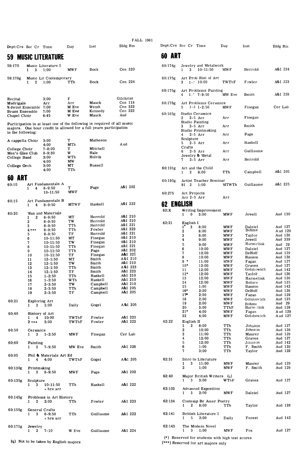|                                       |                                             |                                  |                |                                                                                                                                              |                    | <b>FALL 1961</b> |            |                                                         |                          |                      |                    |
|---------------------------------------|---------------------------------------------|----------------------------------|----------------|----------------------------------------------------------------------------------------------------------------------------------------------|--------------------|------------------|------------|---------------------------------------------------------|--------------------------|----------------------|--------------------|
| Dept:Crs Sec Cr Time                  |                                             |                                  | Day            | Inst                                                                                                                                         | Bldg Rm            |                  |            | Dept:Crs Sec Cr Time                                    | Day                      | Inst                 | Bldg Rm            |
| 59.                                   |                                             | <b>MUSIC LITERATURE</b>          |                |                                                                                                                                              |                    |                  | 60 ART     |                                                         |                          |                      |                    |
| 59:170                                |                                             | Music Literature I               |                |                                                                                                                                              |                    |                  | 60:174g    | Jewelry and Metalwork                                   |                          |                      |                    |
|                                       | 1<br>3                                      | 1:00                             | <b>MWF</b>     | Bock                                                                                                                                         | Cen 320            |                  |            | $10 - 11:50$<br>1<br>3                                  | MW F                     | Herrold              | A&I 224            |
| 59:176g                               | 1<br>2                                      | Music Lit Contemporary<br>1:00   | TTh            | Bock                                                                                                                                         | Cen 224            |                  | 60:175g    | Art Prob Hist of Art<br>$1 - ?$ 10:00<br>3              | TWThF                    | Fowler               | A&I 223            |
| Recital                               |                                             | 3:00                             | F              |                                                                                                                                              | Gilchrist          |                  | 60.175g    | Art Problems Painting<br>4<br>$1 - ?$ 7-9:50            | MW Eve                   | Smith                | A&I 228            |
| Madrigals<br>Wdwind Ensemble          |                                             | Arr<br>7:00                      | Arr<br>M Eve   | Mauck<br>Wendt                                                                                                                               | Cen 118<br>Cen 323 |                  | 60.175g    | Art Problems Ceramics<br>$1 - 3$ $1 - 2:50$<br>5        | MW F                     | Finegan              | Cer Lab            |
| <b>Brass Ensemble</b><br>Chapel Choir |                                             | 7:00<br>6:45                     | M Eve<br>W Eve | Kennedy<br>Mauck                                                                                                                             | Cen 222<br>Aud     |                  | 60:185g    | Studio Ceramics<br>2<br>$2-5$ Arr                       | Arr                      | Finegan              |                    |
|                                       |                                             |                                  |                | Participation in at least one of the following is required of all music<br>majors. One hour credit is allowed for a full years participation |                    |                  |            | Studio Painting<br>$2-5$ Arr<br>3<br>Studio Printmaking | Arr                      | Smith                |                    |
| in the following:                     |                                             |                                  |                |                                                                                                                                              |                    |                  |            | $2-5$ Arr<br>4<br>Sculpture                             | Arr                      | Page                 |                    |
| A cappella Choir                      |                                             | 3:00<br>4:00                     | т<br>MTh       | Matheson                                                                                                                                     | A ud               |                  |            | $2-5$ Arr<br>5                                          | Arr                      | Haskell              |                    |
| College Choir                         |                                             | 7-8:00<br>$8 - 9:30$             | т<br>W         | Mitchell<br>Hale                                                                                                                             |                    |                  |            | Crafts<br>$2-5$ Arr<br>6                                | Arr                      | Guillaume            |                    |
| Men's Glee Club<br>College Band       |                                             | 3:00                             | WTh            | Holvik                                                                                                                                       |                    |                  |            | Jewelry & Metal<br>$2-5$ Arr<br>7                       | Arr                      | Herrold              |                    |
| College Orch                          |                                             | 4:00<br>3:00                     | MW<br>МT       | Russell                                                                                                                                      |                    |                  |            |                                                         |                          |                      |                    |
|                                       |                                             | 4:00                             | TTh            |                                                                                                                                              |                    |                  | 60.191g    | Art and the Child<br>8:00<br>1<br>2                     | TTh                      | Campbell             | A&I 205            |
| ART<br>60                             |                                             |                                  |                |                                                                                                                                              |                    |                  |            |                                                         |                          |                      |                    |
| 60:10                                 | 4<br>1                                      | Art Fundamentals A<br>$8 - 9:50$ | т              | Page                                                                                                                                         | A&I 202            |                  | 60:195g    | Artist Teacher Seminar<br>1:00<br>91<br>2               | MTWTh                    | Guillaume            | A&I 225            |
|                                       |                                             | 10-11:50                         | MW F           |                                                                                                                                              |                    |                  | 60:275     | Art Projects<br>Arr 2-5 Arr                             | Arr                      |                      |                    |
| 60:15                                 | 4<br>1                                      | Art Fundamentals B<br>$8 - 9:50$ | <b>MTWF</b>    | Haskell                                                                                                                                      | A&I 222            |                  | 62 ENGLISH |                                                         |                          |                      |                    |
|                                       |                                             |                                  |                |                                                                                                                                              |                    |                  | $62:$ X    | Writing Improvement                                     |                          |                      |                    |
| 60:20                                 | 1<br>2                                      | Man and Materials<br>$8 - 9:50$  | МT             | Herrold                                                                                                                                      | A&I 210            |                  |            | 3:00<br>1<br>0                                          | <b>MWF</b>               | Jewell               | Aud 130            |
|                                       | $\boldsymbol{2}$                            | $8 - 9:50$                       | TW             | Herrold<br>Herrold                                                                                                                           | A&I 210<br>A&I 221 |                  | 62:21      | English I                                               |                          |                      |                    |
|                                       | 3<br>$4***$                                 | $8 - 9:50$<br>$8 - 9:50$         | TTh<br>TTh     | Fowler                                                                                                                                       | A&I 223            |                  |            | $1^*$<br>3<br>8:00<br>2<br>8:00                         | <b>MWF</b><br><b>MWF</b> | Dalziel<br>Bohme     | Aud 127<br>Aud 129 |
|                                       | 5                                           | $8 - 9:50$                       | TF             | Herrold                                                                                                                                      | A&I 221            |                  |            | 3<br>8:00                                               | <b>MWF</b>               | Taylor               | Aud 128            |
|                                       | 6<br>7                                      | $10 - 11:50$<br>$10 - 11:50$     | МT<br>TW       | Finegan<br>Finegan                                                                                                                           | A&I 210<br>A&I 210 |                  |            | 4<br>9:00                                               | <b>MWF</b>               | Jewell               | Aud 339            |
|                                       | 8                                           | $10 - 11:50$                     | TTh            | Finegan                                                                                                                                      | A&I 221            |                  |            | 5<br>9:00<br>6<br>10:00                                 | <b>MWF</b>               | Harmelink<br>Dalziel | Aud 29<br>Aud 127  |
|                                       | 9                                           | $10 - 11:50$                     | TTh            | Page                                                                                                                                         | A&I 202<br>A&I 221 |                  |            | 7<br>10:00                                              | <b>MWF</b><br>MW F       | DeHoff               | Aud 129            |
|                                       | 10<br>11                                    | $10 - 11:50$<br>$12 - 1:50$      | TF<br>MТ       | Finegan<br>Smith                                                                                                                             | A&I 210            |                  |            | 10:00<br>8                                              | <b>MWF</b>               | Hanson               | Aud 128            |
|                                       | 12                                          | $12 - 1:50$                      | TW             | Smith                                                                                                                                        | A&I 210            |                  |            | 9 *<br>11:00                                            | MW F                     | Fagan                | Aud 127            |
|                                       | 13                                          | $12 - 1:50$                      | TTh            | Smith                                                                                                                                        | A&I 223            |                  |            | $10*$<br>12:00<br>12:00<br>11                           | MW F<br><b>MWF</b>       | Graves<br>Golubowich | Aud 127<br>Aud 142 |
|                                       | 14<br>15                                    | $12 - 1:50$<br>$1 - 2:50$        | TF<br>TTh      | Smith<br>Haskell                                                                                                                             | A&I 223<br>A&I 210 |                  |            | $12*$<br>12:00                                          | <b>MWF</b>               | Taylor               | Aud 126            |
|                                       | 16                                          | $1 - 2:50$                       | WTh            | Haskell                                                                                                                                      | A&I 210            |                  |            | 13<br>12:00                                             | MW F                     | Harmelink            | Aud 128            |
|                                       | 17                                          | $2 - 3:50$                       | TW             | Campbell                                                                                                                                     | A&I 210            |                  |            | 12:00<br>14<br>15<br>1:00                               | <b>MWF</b><br><b>MWF</b> | Bohme<br>Hanson      | Aud 125<br>Aud 142 |
|                                       | 18<br>19                                    | $2 - 3:50$<br>$2 - 3:50$         | TTh<br>TF      | Campbell<br>Campbell                                                                                                                         | A&I 205<br>A&I 205 |                  |            | $16*$<br>2:00                                           | MW F                     | DeHoff               | Aud 128            |
|                                       |                                             |                                  |                |                                                                                                                                              |                    |                  |            | 17"<br>2:00<br>18                                       | MW F                     | Fagan                | Aud 129<br>Aud 125 |
| 60:21                                 | Exploring Art                               |                                  |                |                                                                                                                                              | A&I 205            |                  |            | 2:00<br>19<br>2:00                                      | <b>MWF</b><br>MW F       | Golubowich<br>Bohme  | Aud 29             |
|                                       | 3<br>1                                      | 1:00                             | Daily          | Gogel                                                                                                                                        |                    |                  |            | 20<br>3:00                                              | TThF                     | Harmelink            | Aud 128            |
| 60:40                                 | History of Art                              |                                  |                |                                                                                                                                              |                    |                  |            | $21*$<br>4:00<br>22<br>4:00                             | MW F<br><b>MWF</b>       | Fagan<br>Golubowich  | Aud 129<br>Aud 127 |
|                                       | 1<br>4<br>$2***$                            | 10:00<br>3:00                    | TWThF<br>TWThF | Fowler<br>Fowler                                                                                                                             | A&I 223<br>A&I 223 |                  | 62:22      | English II                                              |                          |                      |                    |
|                                       |                                             |                                  |                |                                                                                                                                              |                    |                  |            | 2<br>$\mathbf{1}$<br>8:00                               | TTh                      | Johuson              | Aud 127            |
| 60:50                                 | Ceramics<br>3<br>1                          | $1 - 2:50$                       | MW F           | Finegan                                                                                                                                      | Cer Lab            |                  |            | $\boldsymbol{2}$<br>10:00<br>3<br>11:00                 | TTh<br>TTh               | Johnson<br>Maurer    | Aud 128<br>Aud 129 |
|                                       |                                             |                                  |                |                                                                                                                                              |                    |                  |            | 4<br>12:00                                              | TTh                      | Graves               | Aud 127            |
| 60:80                                 | Painting<br>$\mathbf{1}$                    | $3$ 7-9:50                       | MW Eve         | Smith                                                                                                                                        | A&I 228            |                  |            | 5<br>12:00<br>6<br>1:00                                 | TTh<br>TTh               | Johnson<br>F Smith   | Aud 142<br>Aud 129 |
|                                       |                                             |                                  |                |                                                                                                                                              |                    |                  |            | 7<br>3:00                                               | TTh                      | Taylor               | Aud 128            |
| 60:95                                 | $\mathbf{1}$<br>4                           | Phil & Materials Art Ed<br>4:00  | TWThF          | Gogel                                                                                                                                        | A&I 205            |                  | 62:31      | Intro to Literature                                     |                          |                      |                    |
|                                       |                                             |                                  |                |                                                                                                                                              |                    |                  |            | 11:00<br>1<br>3                                         | <b>MWF</b>               | Maurer               | Aud 129            |
| 60:130g                               | Printmaking<br>$\mathbf{3}$<br>$\mathbf{1}$ | $8 - 9:50$                       | <b>MWF</b>     | Page                                                                                                                                         | A&I 202            |                  |            | $\boldsymbol{2}$<br>1:00                                | <b>MWF</b>               | F. Smith             | Aud 129            |
|                                       |                                             |                                  |                |                                                                                                                                              |                    |                  | 62:40      | Major British Writers (q)                               |                          |                      |                    |
| 60:135g                               | Sculpture<br>$\mathbf{1}$<br>3              |                                  |                | Haskell                                                                                                                                      | A&I 222            |                  |            | 3:00<br>$\mathbf{1}$<br>3                               | WThF                     | Graves               | Aud 127            |
|                                       |                                             | 10-11:50<br>$+$ hrs arr          | TTh            |                                                                                                                                              |                    |                  | 62:103     | Advanced Exposition                                     |                          |                      |                    |
| 60:145g                               |                                             | Problems in Art History          |                |                                                                                                                                              |                    |                  |            | 3<br>2:00<br>1                                          | <b>MWF</b>               | Dalziel              | Aud 127            |
|                                       | $\mathbf{1}$<br>2                           | 2:00                             | TTh            | Fowler                                                                                                                                       | A&I 223            |                  | 62:134     | Contemp Br Amer Poetry                                  |                          |                      |                    |
| 60:155g                               | General Crafts                              |                                  |                |                                                                                                                                              |                    |                  |            | 2<br>8:00<br>1                                          | TTh                      | Taylor               | Aud 128            |
|                                       | 1<br>3                                      | $8 - 9;50$                       | TTh            | Guillaume                                                                                                                                    | A&I 222            |                  | 62:141     | British Literature I                                    |                          |                      |                    |
|                                       |                                             | $+$ hrs $arr$                    |                |                                                                                                                                              |                    |                  |            | 2:00<br>$\mathbf{1}$<br>5                               | Daily                    | Forest               | Aud 142            |
| 60:171g                               | Jewelry                                     |                                  |                |                                                                                                                                              |                    |                  | 62:143     | The Modern Novel                                        |                          |                      |                    |
|                                       | $\mathbf{2}$<br>1                           | $7 - 10$                         | W Eve          | Guillaume                                                                                                                                    | A&I 224            |                  |            | 1:00<br>1<br>3                                          | <b>MWF</b>               | Fox                  | Aud 127            |
|                                       |                                             |                                  |                |                                                                                                                                              |                    |                  |            | (*) Reserved for students with high test scores         |                          |                      |                    |

| Sec Cr Time                             |                                  | Day          | Inst                                                         | Bldg Rm            |            | Dept:Crs Sec Cr Time                             | Day               | Inst               | Bldg Rm            |
|-----------------------------------------|----------------------------------|--------------|--------------------------------------------------------------|--------------------|------------|--------------------------------------------------|-------------------|--------------------|--------------------|
|                                         | <b>IC LITERATURE</b>             |              |                                                              |                    | 60 ART     |                                                  |                   |                    |                    |
|                                         | Music Literature I               |              |                                                              |                    | 60:174g    | Jewelry and Metalwork                            |                   |                    |                    |
| 3                                       | 1:00                             | <b>MWF</b>   | Bock                                                         | Cen 320            |            | $10 - 11:50$<br>1<br>3                           | MW F              | Herrold            | A&I 224            |
| 2                                       | Music Lit Contemporary<br>1:00   | TTh          | Bock                                                         | Cen 224            | 60:175g    | Art Prob Hist of Art<br>$1 - ?$ 10:00<br>3       | TWThF             | Fowler             | A&I 223            |
|                                         |                                  |              |                                                              |                    | 60.175g    | Art Problems Painting<br>4<br>$1 - ?$ 7-9:50     | MW Eve            | Smith              | A&I 228            |
|                                         | 3:00                             | F            |                                                              | Gilchrist          |            |                                                  |                   |                    |                    |
| semble 7:00                             | Arr                              | Arr<br>M Eve | Mauck<br>Wendt                                               | Cen 118<br>Cen 323 | 60.175g    | Art Problems Ceramics<br>$1 - 3$ $1 - 2:50$<br>5 | MW F              | Finegan            | Cer Lab            |
| emble                                   | 7:00                             | M Eve        | Kennedy                                                      | Cen 222            |            |                                                  |                   |                    |                    |
| ıir                                     | 6:45                             | W.Eve        | Mauck                                                        | Aud                | 60:185g    | <b>Studio Ceramics</b><br>$2-5$ Arr<br>2         | Arr               | Finegan            |                    |
|                                         |                                  |              | on in at least one of the following is required of all music |                    |            | Studio Painting<br>3<br>$2-5$ Arr                | Arr               | Smith              |                    |
| wing:                                   |                                  |              | me hour credit is allowed for a full years participation     |                    |            | Studio Printmaking<br>$2-5$ Arr<br>4             | Arr               | Page               |                    |
| Choir                                   | 3:00                             | т            | Matheson                                                     |                    |            | Sculpture                                        |                   |                    |                    |
|                                         | 4:00                             | MTh          |                                                              | A ud               |            | $2-5$ Arr<br>5                                   | Arr               | Haskell            |                    |
| oir                                     | $7 - 8:00$                       | т            | Mitchell                                                     |                    |            | Crafts<br>$2-5$ Arr                              | Arr               | Guillaume          |                    |
| : Club                                  | $8 - 9:30$                       | W            | Hale                                                         |                    |            | Jewelry & Metal                                  |                   |                    |                    |
| nd                                      | 3:00<br>4:00                     | WTh<br>MW    | Holvik                                                       |                    |            | $2-5$ Arr<br>7                                   | Arr               | Herrold            |                    |
| ch                                      | 3:00                             | MТ           | Russell                                                      |                    |            |                                                  |                   |                    |                    |
|                                         | 4:00                             | TTh          |                                                              |                    | 60.191g    | Art and the Child<br>2<br>8:00<br>1              | TTh               | Campbell           | A&I 205            |
|                                         |                                  |              |                                                              |                    | 60:195g    | Artist Teacher Seminar                           |                   |                    |                    |
| 4<br>1                                  | Art Fundamentals A<br>$8 - 9:50$ | т            | Page                                                         | A&I 202            |            | 91 2<br>1:00                                     | MTWTh             | Guillaume          | A&I 225            |
|                                         | $10 - 11:50$                     | <b>MWF</b>   |                                                              |                    | 60:275     | Art Projects<br>Arr 2-5 Arr                      | Arr               |                    |                    |
| 4                                       | Art Fundamentals B<br>$8 - 9:50$ | <b>MTWF</b>  | Haskell                                                      | A&I 222            | 62 ENGLISH |                                                  |                   |                    |                    |
| 1                                       |                                  |              |                                                              |                    | $62:$ X    |                                                  |                   |                    |                    |
|                                         | Man and Materials                |              |                                                              |                    |            | Writing Improvement<br>3:00<br>1<br>0            | MW F              | Jewell             | Aud 130            |
| 1<br>2                                  | $8 - 9:50$                       | МT           | Herrold<br>Herrold                                           | A&I 210<br>A&I 210 |            |                                                  |                   |                    |                    |
| 2                                       | $8 - 9:50$<br>$8 - 9:50$         | TW<br>TTh    | Herrold                                                      | A&I 221            | 62:21      | English I                                        |                   |                    |                    |
| 3<br>4***                               | $8 - 9:50$                       | TTh          | Fowler                                                       | A&I 223            |            | $1^*$<br>8:00<br>3                               | MW F              | Dalziel<br>Bohme   | Aud 127            |
| 5                                       | $8 - 9:50$                       | TF           | Herrold                                                      | A&I 221            |            | 2<br>8:00<br>3                                   | MW F              | Taylor             | Aud 129<br>Aud 128 |
| 6                                       | 10-11:50                         | МT           | Finegan                                                      | A&I 210            |            | 8:00<br>4<br>9:00                                | MW F<br>MW F      | Jewell             | Aud 339            |
| 7                                       | $10 - 11:50$                     | TW           | Finegan                                                      | A&I 210            |            | 5<br>9:00                                        | <b>MWF</b>        | Harmelink          | Aud 29             |
| 8                                       | $10 - 11:50$                     | TTh          | Finegan                                                      | A&I 221            |            | 6<br>10:00                                       | MW F              | Dalziel            | Aud 127            |
| 9                                       | 10-11:50                         | TTh          | Page                                                         | A&I 202            |            | 7<br>10:00                                       | MW F              | DeHoff             | Aud 129            |
| 10                                      | 10-11:50                         | TF           | Finegan                                                      | A&I 221<br>A&I 210 |            | 8<br>10:00                                       | <b>MWF</b>        | Hanson             | Aud 128            |
| 11                                      | $12 - 1:50$                      | МT<br>TW     | Smith<br>Smith                                               | A&I 210            |            | $9 *$<br>11:00                                   | MW F              | Fagan              | Aud 127            |
| 12<br>13                                | $12 - 1:50$<br>$12 - 1:50$       | TTh          | Smith                                                        | A&I 223            |            | 12:00<br>$10*$                                   | MW F              | Graves             | Aud 127            |
| 14                                      | $12 - 1:50$                      | TF           | Smith                                                        | A&I 223            |            | 12:00<br>11                                      | MW F              | Golubowich         | Aud 142            |
| 15                                      | $1 - 2:50$                       | TTh          | Haskell                                                      | A&I 210            |            | $12*$<br>12:00                                   | MW F              | Taylor.            | Aud 126            |
| 16                                      | $1 - 2:50$                       | WTh          | Haskell                                                      | A&I 210            |            | 13<br>12:00<br>14<br>12:00                       | MW F              | Harmelink          | Aud 128<br>Aud 125 |
| 17                                      | $2 - 3:50$                       | TW           | Campbell                                                     | A&I 210            |            | 15<br>1:00                                       | MWF<br><b>MWF</b> | Bohme<br>Hanson    | Aud 142            |
| 18                                      | $2 - 3:50$                       | TTh          | Campbell                                                     | A&I 205            |            | $16*$<br>2:00                                    | MWF               | DeHoff             | Aud 128            |
| 19                                      | $2 - 3:50$                       | TF           | Campbell                                                     | A&I 205            |            | 17"<br>2:00                                      | MW F              | Fagan              | Aud 129            |
| Exploring Art                           |                                  |              |                                                              |                    |            | 18<br>2:00                                       | <b>MWF</b>        | Golubowich         | Aud 125            |
| 3<br>1                                  | 1:00                             | Daily        | Gogel                                                        | A&I 205            |            | 2:00<br>19                                       | <b>MWF</b>        | Bohme              | Aud 29             |
|                                         |                                  |              |                                                              |                    |            | 20<br>3:00                                       | TThF              | Harmelink          | Aud 128            |
| History of Art                          |                                  |              |                                                              |                    |            | $21*$<br>4:00<br>22                              | MW F              | Fagan              | Aud 129            |
| 4<br>1                                  | 10:00                            | TWThF        | Fowler                                                       | A&I 223            |            | 4:00                                             | MWF               | Golubowich         | Aud 127            |
| $2***$                                  | 3:00                             | TWThF        | Fowler                                                       | A&I 223            | 62:22      | English II<br>8:00                               | TTh               |                    | Aud 127            |
| Ceramics                                |                                  |              |                                                              |                    |            | 1<br>2<br>2<br>10:00                             | TTh               | Johnson<br>Johnson | Aud 128            |
| $\mathbf{1}$<br>3                       | $1 - 2:50$                       | MW F         | Finegan                                                      | Cer Lab            |            | 3<br>11:00                                       | TTh               | Maurer             | Aud 129            |
|                                         |                                  |              |                                                              |                    |            | 4<br>12:00                                       | TTh               | Graves             | Aud 127            |
| Painting                                |                                  |              |                                                              |                    |            | 5<br>12:00                                       | TTh               | Johnson            | Aud 142            |
| $\mathbf{3}$<br>$\mathbf{1}$            | 7-9:50                           | MW Eve       | Smith                                                        | A&I 228            |            | 6<br>1:00                                        | TTh               | F. Smith           | Aud 129            |
|                                         |                                  |              |                                                              |                    |            | 7<br>3:00                                        | TTh               | Taylor             | Aud 128            |
|                                         | Phil & Materials Art Ed          | TWThF        |                                                              | A&I 205            | 62:31      | Intro to Literature                              |                   |                    |                    |
| $\mathbf{1}$<br>4                       | 4:00                             |              | Gogel                                                        |                    |            | 11:00<br>1<br>3                                  | MW F              | Maurer             | Aud 129            |
| Printmaking                             |                                  |              |                                                              |                    |            | $\mathbf{2}$<br>1:00                             | <b>MWF</b>        | F. Smith           | Aud 129            |
| 1<br>3                                  | $8 - 9:50$                       | <b>MWF</b>   | Page                                                         | A&I 202            |            |                                                  |                   |                    |                    |
|                                         |                                  |              |                                                              |                    | 62:40      | Major British Writers (q)                        |                   |                    |                    |
| Sculpture                               |                                  |              |                                                              |                    |            | 3:00<br>1<br>3                                   | WThF              | Graves             | Aud 127            |
| $\mathbf{1}$<br>3                       | 10-11.50                         | TTh          | Haskell                                                      | A&I 222            |            |                                                  |                   |                    |                    |
|                                         | $+$ hrs arr                      |              |                                                              |                    | 62:103     | Advanced Exposition<br>2:00<br>3                 | <b>MWF</b>        |                    |                    |
|                                         | Problems in Art History          |              |                                                              |                    |            |                                                  |                   | Dalziel            | Aud 127            |
| $\mathbf{1}$<br>$\mathbf{2}$            | 2:00                             | TTh          | Fowler                                                       | A&I 223            | 62:134     | Contemp Br Amer Poetry                           |                   |                    |                    |
|                                         |                                  |              |                                                              |                    |            | 8:00<br>2<br>1.                                  | TTh               | Taylor             | Aud 128            |
| General Crafts                          |                                  |              |                                                              |                    |            |                                                  |                   |                    |                    |
| $\mathbf{1}$<br>3                       | $8 - 9:50$                       | TTh          | Guillaume                                                    | A&I 222            | 62:141     | British Literature I                             |                   |                    |                    |
|                                         | $+$ hrs $\arctan$                |              |                                                              |                    |            | 2:00<br>5<br>$\mathbf{1}$                        | Daily             | Forest             | Aud 142            |
|                                         |                                  |              |                                                              |                    |            |                                                  |                   |                    |                    |
| Jewelry<br>$\mathbf{1}$<br>$\mathbf{2}$ |                                  |              |                                                              |                    | 62:143     | The Modern Novel<br>1<br>3<br>1:00               | MW F              | Fox                | Aud 127            |
|                                         | $7 - 10$                         | W Eve        | Guillaume                                                    | A&I 224            |            |                                                  |                   |                    |                    |
|                                         |                                  |              |                                                              |                    |            | (*) Reserved for students with high test scores  |                   |                    |                    |

**(q)** Not to be taken by English majors

(\*\*\*) **Reserved for art majors only**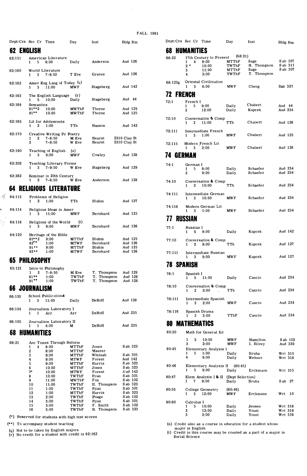| Dept:Crs Sec Cr Time |                                                |                                          | Day                           | Inst                                      | Bldg Rm                       |                     |                   | Dept:Crs Sec Cr Time                          |                                               | Day                       | Inst                 | Bldg Rm              |
|----------------------|------------------------------------------------|------------------------------------------|-------------------------------|-------------------------------------------|-------------------------------|---------------------|-------------------|-----------------------------------------------|-----------------------------------------------|---------------------------|----------------------|----------------------|
| 62 ENGLISH           |                                                |                                          |                               |                                           |                               |                     | 68                | HUMANITIES                                    |                                               |                           |                      |                      |
| 62:151               | 1 5 8:00                                       | American Literature                      | Daily                         | Anderson                                  | Aud 126                       |                     | 68:22             | $1 \quad$<br>$2*$                             | 17th Century to Present<br>$4\quad 9:00$      | (68:21)<br>MTThF<br>TWThF | Sage<br>H. Thompson  | S ab 307<br>S ab 311 |
| 62:160               | World Literature<br>3<br>1                     | 7-9:50                                   | T Eve                         | Graves                                    | Aud 126                       |                     |                   | 3<br>4                                        | 10:00<br>11:00<br>2:00                        | MTThF<br>TWThF            | Sage<br>T. Thompson  | S ab 307             |
| 62:162               | 3<br>$\mathbf{1}$                              | Amer Eng Lang of Today (q)<br>11:00      | <b>MWF</b>                    | Stageberg                                 | Aud 142                       |                     | 68:123g           | 3<br>1                                        | Oriental Civilization<br>8:00                 | <b>MWF</b>                | Cheng                | Sab 327              |
| 62:163               |                                                | The English Language                     | (r)                           |                                           |                               |                     | <b>72 FRENCH</b>  |                                               |                                               |                           |                      |                      |
| 62:164               | 5<br>$\mathbf{1}$<br>Semantics<br>$81***2$     | 10:00<br>10:00                           | Daily<br>MWThF                | Stageberg<br>Thorne                       | Aud 44<br>Aud 125             |                     | 72:1              | French I<br>$\mathbf{1}$<br>5<br>$\mathbf{2}$ | 9:00<br>12:00                                 | Daily<br>Daily            | Chabert<br>Kupcek    | Aud 44<br>Aud 234    |
|                      | $91***$                                        | 10:00                                    | <b>MWThF</b>                  | Thorne                                    | Aud 125                       |                     | 72:10             |                                               |                                               |                           |                      |                      |
| 62:165               | $\mathbf{2}$<br>$\mathbf{1}$                   | Lit for Adolescents<br>1:00              | TTh                           | Hanson                                    | Aud 142                       |                     |                   | $\boldsymbol{2}$<br>1                         | Conversation & Comp<br>11:00                  | TTh                       | Chabert              | Aud 126              |
| 62:170               | 2<br>1                                         | Creative Writing Pr Poetry<br>$7 - 8:50$ | M Eve                         | Hearst                                    | 2310 Clay St                  |                     | 72:111            | 3<br>$\mathbf{1}$                             | Intermediate French<br>1:00                   | <b>MWF</b>                | Chabert              | Aud 125              |
| 62:190               | 2                                              | $7 - 8:50$<br>Teaching of English        | W Eve<br>(s)                  | Hearst                                    | 2310 Clay St                  |                     | 72:115            | $\mathbf{1}$<br>3                             | Modern French Lit<br>2:00                     | MW F                      | Chabert              | Aud 126              |
|                      | $\mathbf{1}$<br>3                              | 9:00                                     | MW F                          | Cowley                                    | Aud 128                       |                     | <b>74 GERMAN</b>  |                                               |                                               |                           |                      |                      |
| 62:202               | 3                                              | Teaching Literary Forms<br>7-9:50        | W Eve                         | Stageberg                                 | Aud 129                       |                     | 74:1              | German I<br>1<br>5<br>$\mathbf{2}$            | 8:00<br>9:00                                  | Daily<br>Daily            | Schaefer<br>Schaefer | Aud 234<br>Aud 234   |
| 62:282               | $\mathbf{1}$<br>2                              | Seminar in 20th Century<br>$7 - 8:50$    | W Eve                         | Anderson                                  | Aud 128                       |                     | 74:10             | $\mathbf{2}$<br>$\mathbf{1}$                  | Conversation & Comp<br>10:00                  | TTh                       | Schaefer             | Aud 234              |
|                      |                                                | <b>64 RELIGIOUS LITERATURE</b>           |                               |                                           |                               |                     | 74:111            |                                               | Intermediate German                           |                           |                      |                      |
| 64:113               | $\mathbf{1}$                                   | Problems of Religion<br>2 1:00           | TTh                           | Bluhm                                     | Aud 127                       |                     |                   | 3<br>1                                        | 10:00                                         | <b>MWF</b>                | Schaefer             | Aud 234              |
| 64:114               | $\mathbf{3}$<br>$\mathbf{1}$                   | Religious Ideas in Amer<br>11:00         | <b>MWF</b>                    | Bernhard                                  | Aud 125                       |                     | 74:116            | $\mathbf{1}$<br>3                             | Modern German Lit<br>1:00                     | <b>MWF</b>                | Schaefer             | Aud 234              |
| 64:116               |                                                | Religions of the World                   | (t)                           |                                           |                               |                     | <b>77 RUSSIAN</b> |                                               |                                               |                           |                      |                      |
| 64:120               | $\mathbf{1}$<br>3                              | 9:00<br>Heritage of the Bible            | MW F                          | Bernhard                                  | Aud 126                       |                     | 77:1              | Russian I<br>$\mathbf{1}$                     | $5 \t 8:00$                                   | Daily                     | Kupcek               | Aud 142              |
|                      | $81***2$<br>$82***$<br>$91**$                  | 9:00<br>1:00<br>9:00                     | MTThF<br><b>MTWF</b><br>MTThF | Bluhm<br>Bernhard<br>Bluhm                | Aud 125<br>Aud 126<br>Aud 125 |                     | 77:10             | $\boldsymbol{2}$<br>$\mathbf{1}$              | Conversation & Comp<br>9:00                   | TTh                       | Kupcek               | Aud 127              |
|                      | $92**$                                         | 1:00                                     | MTWF                          | Bernhard                                  | Aud 126                       |                     | 77:111            | $\mathbf{1}$<br>3                             | Intermediate Russian<br>9:00                  | <b>MWF</b>                | Kupcek               | Aud 127              |
| <b>65 PHILOSOPHY</b> |                                                |                                          |                               |                                           |                               |                     | <b>78 SPANISH</b> |                                               |                                               |                           |                      |                      |
| 65:121               | $1 \quad 2 \quad 7-8:50$<br>$81***$<br>$91***$ | Intro to Philosophy<br>1:00<br>1:00      | M Eve<br>TWThF<br>TWThF       | T. Thompson<br>T. Thompson<br>T. Thompson | Aud 129<br>Aud 128            | Aud 128             | 78:1              | Spanish I<br>$1 \quad 5 \quad 11:00$          |                                               | Daily                     | Cancio               | Aud 234              |
| <b>66 JOURNALISM</b> |                                                |                                          |                               |                                           |                               |                     | 78:10             | 2<br>1                                        | Conversation & Comp<br>2:00                   | TTh                       | Cancio               | Aud 234              |
| 66:103               | $1 \quad 3 \quad 11:00$                        | School Publications                      | Daily                         | DeHoff                                    | Aud 128                       |                     | 78:111            |                                               | Intermediate Spanish                          |                           |                      | Aud 234              |
| 66:104               | 1<br>1.                                        | Journalism Laboratory I<br>Arr           | Arr                           | DeHoff                                    | Aud 235                       |                     | 78:116            | 3<br>$\mathbf{1}$<br>Spanish Drama            | 2:00                                          | <b>MWF</b>                | Cancio               |                      |
| 66:105               |                                                | Journalism Laboratory II                 |                               |                                           |                               |                     | 80                | 1<br>3<br><b>MATHEMATICS</b>                  | 3:00                                          | TThF                      | Cancio               | Aud 234              |
|                      |                                                | 4:00                                     | M                             | DeHoff                                    | Aud 235                       |                     | 80:20             |                                               | Math for General Ed                           |                           |                      |                      |
| 68                   | <b>HUMANITIES</b>                              |                                          |                               |                                           |                               |                     |                   | 3<br>1                                        | 10:00                                         | <b>MWF</b>                | Hamilton             | S ab 102             |
| 68:21                | 1<br>4                                         | Anc Times Through Reform<br>8:00         | MTThF                         | Jones                                     | Sab 323                       |                     | 80:45             | 3                                             | 2:00<br>Elementary Analysis I                 | <b>MWF</b>                | I. Silvey            | Aud 339              |
|                      | $\overline{\mathbf{2}}$<br>$\bf{3}$<br>4       | 8:00<br>9:00<br>9:00                     | MTThF<br>MTThF<br>MTWF        | Maurer<br>Whitnah<br>Forest               | Sab 301<br>Aud 142            |                     |                   | 5<br>1<br>4                                   | 1:00<br>9:00                                  | Daily<br>Daily            | Bruha<br>Wehner      | Wrt 315<br>Wrt 318   |
|                      | 5<br>6                                         | 9:00<br>10:00                            | MTThF<br>MTThF                | Harris<br>Jones                           | S ab 323<br>S ab 323          |                     | 80:46             |                                               | Elementary Analysis II (80:45)                |                           |                      |                      |
|                      | $7^*$                                          | 10:00                                    | <b>MTWF</b>                   | Forest                                    | Aud 142                       |                     |                   | $5 -$<br>$\mathbf{1}$                         | 9:00                                          | Daily                     | Erckmann             | Wrt 315              |
|                      | 8<br>9                                         | 10:00<br>11:00                           | TWThF<br><b>MWThF</b>         | Ryan<br>Fox                               | Sab 301                       | S ab 102            | 80:47             | 7<br>$\mathbf{1}$                             | Elem Analysis I & II (Dept Selection)<br>9:00 | Daily                     | Bruha                | S ab 27              |
|                      | 10<br>11                                       | 11:00<br>1:00                            | TWThF<br>TWThF                | H. Thompson<br>Ryan                       | S ab 323<br>S ab 301          |                     | 80:55             |                                               | College Geometry                              | (80.46)                   |                      |                      |
|                      | 12<br>13                                       | 1:00<br>2:00                             | MTThF<br>TWThF                | Harris<br>Poage                           |                               | Sab 323<br>Sab 102  |                   | $\mathbf{1}$                                  | $3\quad 12:00$                                | <b>MWF</b>                | Erckmann             | Wrt 10               |
|                      | 14                                             | 3:00                                     | TWThF                         | Ryan                                      |                               | S ab 301            | 80:60             | Calculus I                                    |                                               |                           |                      |                      |
|                      | 15<br>16                                       | 3:00<br>3:00                             | TWThF<br>TWThF                | F. Smith<br>H. Thompson                   |                               | Sab 102<br>S ab 323 |                   | 5<br>1<br>2                                   | 10:00<br>12:00                                | Daily<br>Daily            | Jensen<br>Yount      | Wrt 318<br>Wrt 318   |

L  $\eta'$ 

(\*) **Reserved for students with high test scores** 3 2:00 Daily **Yount** Wrt <sup>318</sup>

(q) Not to be taken by English majors  $(r)$  No credit for a student with credit in  $62:162$ 

| F AL L | 1961 |
|--------|------|
|--------|------|

 $\bar{\beta}$ 

|            | Dept:Crs Sec Cr Time                                                  | Day                     | Inst                                      | Bldg Rm                       |         | Dept:Crs Sec Cr Time                |                                               | Day                      | Inst                               | Bldg Rm            |                      |
|------------|-----------------------------------------------------------------------|-------------------------|-------------------------------------------|-------------------------------|---------|-------------------------------------|-----------------------------------------------|--------------------------|------------------------------------|--------------------|----------------------|
| 62 ENGLISH |                                                                       |                         |                                           |                               | 68      | HUMANITIES                          |                                               |                          |                                    |                    |                      |
| 62:151     | American Literature<br>$5 \t 8:00$<br>$\mathbf{1}$                    | Daily                   | Anderson                                  | Aud 126                       | 68:22   | $\mathbf{1}$<br>4                   | 17th Century to Present<br>9:00               | (68:21)<br>MTThF         | Sage                               |                    | S ab 307<br>S ab 311 |
| 62:160     | World Literature<br>7-9:50<br>3<br>1                                  | T Eve                   | Graves                                    | Aud 126                       |         | $2*$<br>3<br>4                      | 10:00<br>11:00<br>2:00                        | TWThF<br>MTThF<br>TWThF  | H. Thompson<br>Sage<br>T. Thompson |                    | S ab 307             |
| 62:162     | Amer Eng Lang of Today (q)<br>11:00<br>$\mathbf{1}$<br>3              | <b>MWF</b>              | <b>Stageberg</b>                          | Aud 142                       | 68:123g | 1<br>3                              | Oriental Civilization<br>8:00                 | <b>MWF</b>               | Cheng                              | Sab 327            |                      |
| 62:163     | The English Language                                                  | (r)                     |                                           |                               |         | <b>72 FRENCH</b>                    |                                               |                          |                                    |                    |                      |
| 62:164     | 10:00<br>$\mathbf{1}$<br>5<br>Semantics                               | Daily                   | Stageberg                                 | Aud 44                        | 72:1    | French I<br>5                       | 9:00                                          | Daily                    | Chabert                            | Aud 44             |                      |
|            | $81***2$<br>10:00<br>$91***$<br>10:00                                 | MWThF<br><b>MWThF</b>   | Thorne<br>Thorne                          | Aud 125<br>Aud 125            |         | 1<br>$\mathbf{2}$                   | 12:00                                         | Daily                    | Kupcek                             | Aud 234            |                      |
| 62:165     | Lit for Adolescents<br>1:00<br>2<br>$\mathbf{1}$                      | TTh                     | Hanson                                    | Aud 142                       | 72:10   | $\mathbf{1}$                        | Conversation & Comp<br>2 11:00                | TTh                      | Chabert                            | Aud 126            |                      |
| 62:170     | Creative Writing Pr Poetry                                            |                         |                                           |                               | 72:111  | 3<br>1                              | Intermediate French<br>1:00                   | <b>MWF</b>               | Chabert                            | Aud 125            |                      |
|            | $\mathbf{2}$<br>7-8:50<br>$\mathbf{1}$<br>$\mathbf{2}$<br>$7 - 8:50$  | M Eve<br>W Eve          | Hearst<br>Hearst                          | 2310 Clay St<br>2310 Clay St  | 72:115  | 3<br>1                              | Modern French Lit<br>2:00                     | <b>MWF</b>               | Chabert                            | Aud 126            |                      |
| 62:190     | Teaching of English<br>3<br>9:00                                      | (s)<br>MW F             | Cowley                                    | Aud 128                       |         | <b>74 GERMAN</b>                    |                                               |                          |                                    |                    |                      |
| 62:202     | Teaching Literary Forms                                               | W Eve                   |                                           | Aud 129                       | 74:1    | German I                            |                                               |                          |                                    |                    |                      |
| 62:282     | 3<br>$7 - 9:50$<br>Seminar in 20th Century                            |                         | Stageberg                                 |                               |         | 1<br>- 5<br>$\overline{\mathbf{2}}$ | 8:00<br>9:00                                  | Daily<br>Daily           | Schaefer<br>Schaefer               | Aud 234<br>Aud 234 |                      |
|            | $7 - 8:50$<br>$\mathbf{2}$<br>64 RELIGIOUS LITERATURE                 | W Eve                   | Anderson                                  | Aud 128                       | 74:10   | 2<br>1                              | Conversation & Comp<br>10:00                  | TTh                      | Schaefer                           | Aud 234            |                      |
| 64:113     | Problems of Religion                                                  |                         |                                           |                               | 74:111  | $\mathbf{1}$<br>- 3                 | Intermediate German<br>10:00                  | <b>MWF</b>               | Schaefer                           | Aud 234            |                      |
| 64:114     | 2<br>1:00<br>$\mathbf{1}$<br>Religious Ideas in Amer                  | TTh                     | Bluhm                                     | Aud 127                       | 74:116  |                                     | Modern German Lit                             |                          |                                    |                    |                      |
|            | $\mathbf{1}$<br>3<br>11:00                                            | <b>MWF</b>              | Bernhard                                  | Aud 125                       |         | 1<br>3                              | 1:00                                          | MW F                     | Schaefer                           | Aud 234            |                      |
| 64:116     | Religions of the World                                                | (t)                     |                                           |                               |         | <b>77 RUSSIAN</b>                   |                                               |                          |                                    |                    |                      |
|            | $\mathbf{1}$<br>3<br>9:00                                             | MWF                     | Bernhard                                  | Aud 126                       | 77:1    | Russian I<br>- 5<br>1.              | 8:00                                          | Daily                    | Kupcek                             | Aud 142            |                      |
| 64:120     | Heritage of the Bible<br>$81***2$<br>9:00                             | MTThF                   | Bluhm                                     | Aud 125                       | 77:10   |                                     | Conversation & Comp                           |                          |                                    |                    |                      |
|            | $82***$<br>1:00<br>9:00<br>$91**$                                     | <b>MTWF</b><br>MTThF    | Bernhard<br>Bluhm                         | Aud 126<br>Aud 125            |         | 2<br>$\mathbf{1}$                   | 9:00                                          | TTh                      | Kupcek                             | Aud 127            |                      |
|            | $92**$<br>1:00                                                        | <b>MTWF</b>             | Bernhard                                  | Aud 126                       | 77:111  |                                     | Intermediate Russian                          |                          |                                    |                    |                      |
|            | 65 PHILOSOPHY                                                         |                         |                                           |                               |         | $\mathbf{1}$<br>3                   | 9:00                                          | <b>MWF</b>               | Kupcek                             | Aud 127            |                      |
| 65:121     | Intro to Philosophy                                                   |                         |                                           |                               |         | <b>78 SPANISH</b>                   |                                               |                          |                                    |                    |                      |
|            | $\mathbf{1}$<br>2<br>$7 - 8:50$<br>$81***$<br>1:00<br>$91***$<br>1:00 | M Eve<br>TWThF<br>TWThF | T. Thompson<br>T. Thompson<br>T. Thompson | Aud 129<br>Aud 128<br>Aud 128 | 78:1    | Spanish I<br>5<br>$\mathbf{1}$      | 11:00                                         | Daily                    | Cancio                             |                    | Aud 234              |
|            | 66 JOURNALISM                                                         |                         |                                           |                               | 78:10   |                                     | Conversation & Comp                           |                          |                                    |                    | Aud 234              |
| 66:103     | School Publications                                                   |                         |                                           |                               |         | 2<br>1                              | 2:00<br>÷.                                    | TTh                      | Cancio                             |                    |                      |
| 66:104     | 11:00<br>$\mathbf{1}$<br>3<br>Journalism Laboratory I                 | Daily                   | DeHoff                                    | Aud 128                       | 78:111  | 1<br>3                              | Intermediate Spanish<br>2:00                  | MW F                     | Cancio                             |                    | Aud 234              |
|            | Arr<br>1                                                              | Arr                     | DeHoff                                    | Aud 235                       | 78:116  | Spanish Drama<br>$\mathbf{1}$       | $3 \t3:00$                                    | TThF                     | Cancio                             |                    | Aud 234              |
| 66:105     | Journalism Laboratory II<br>4:00<br>1.<br>$\mathbf{1}$                | М                       | DeHoff                                    | Aud 235                       |         | <b>80 MATHEMATICS</b>               |                                               |                          |                                    |                    |                      |
|            | <b>68 HUMANITIES</b>                                                  |                         |                                           |                               | 80:20   |                                     | Math for General Ed                           |                          |                                    |                    |                      |
| 68:21      | Anc Times Through Reform<br>8:00<br>1<br>4                            | MTThF                   | Jones                                     | Sab 323                       |         | $\mathbf{1}$<br>3<br>3              | 10:00<br>2:00                                 | <b>MWF</b><br><b>MWF</b> | Hamilton<br>I. Silvey              |                    | S ab 102<br>Aud 339  |
|            | 2<br>8:00                                                             | MTThF                   | Maurer                                    |                               | 80:45   | 5<br>1                              | Elementary Analysis I<br>1:00                 | Daily                    | Bruha                              |                    | Wrt 315              |
|            | 9:00<br>3<br>4<br>9:00                                                | MTThF<br><b>MTWF</b>    | Whitnah<br>Forest                         | Sab 301<br>Aud 142            |         | 4                                   | 9:00                                          | Daily                    | Wehner                             |                    | Wrt 318              |
|            | 5<br>9:00<br>6<br>10:00                                               | MTThF<br><b>MTThF</b>   | Harris<br>Jones                           | Sab 323<br>Sab 323            | 80:46   |                                     | Elementary Analysis II (80:45)                |                          |                                    |                    |                      |
|            | $7^*$<br>10:00                                                        | MTWF                    | Forest                                    | Aud 142<br>Sab 301            |         | $\mathbf{1}$<br>5                   | 9:00                                          | Daily                    | Erckmann                           |                    | Wrt 315              |
|            | 10:00<br>8<br>11:00<br>9                                              | TWThF<br><b>MWThF</b>   | Ryan<br>Fox                               | S ab 102                      | 80:47   | 1 7                                 | Elem Analysis I & II (Dept Selection)<br>9:00 | Daily                    | Bruha                              | S ab 27            |                      |
|            | 11:00<br>10<br>1:00<br>11                                             | TWThF<br>TWThF          | H. Thompson<br>Ryan                       | S ab 323<br>Sab 301           | 80:55   |                                     | College Geometry                              | (80, 46)                 |                                    |                    |                      |
|            | 1:00<br>12<br>2:00<br>13                                              | MTThF<br>TWThF          | Harris<br>Poage                           | Sab 323<br>Sab 102            |         | $\mathbf{1}$<br>3                   | 12:00                                         | <b>MWF</b>               | Erckmann                           | Wrt 10             |                      |
|            | 14<br>3:00                                                            | TWThF                   | Ryan                                      | Sab 301                       | 80:60   | Calculus I                          |                                               |                          |                                    |                    |                      |
|            | 3:00<br>15<br>16<br>3:00                                              | TWThF<br>TWThF          | F. Smith<br>H. Thompson                   | S ab 102<br>S ab 323          |         | 1<br>5<br>2                         | 10:00<br>12:00                                | Daily<br>Daily           | Jensen<br>Yount                    | Wrt 318<br>Wrt 318 |                      |
|            | (*) Reserved for students with high test scores                       |                         |                                           |                               |         | 3                                   | 2:00                                          | Daily                    | Yount                              | Wrt 318            |                      |

(\*\*) **To accompany student teaching** (s) **Credit also as a course in education for a student whose** 

(a) Not to be taken by English imports the 62:162 (b) Credit in this course may be counted as a part of a major in  $\frac{1}{2}$  (c) No credit for a student with credit in 62:162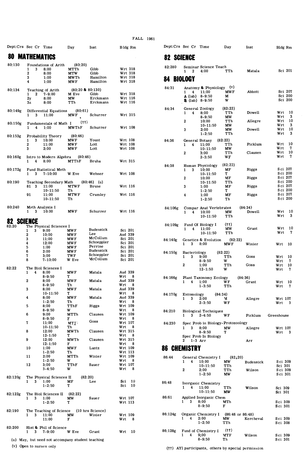| Dept:Crs Sec Cr Time |                                    |                                                  | Day                      | Inst                          | Bldg Rm            |      |         |         | Dept:Crs Sec Cr Time                    |                                                 | Day                         | Inst             |                    |                    | Bldg Rm                |
|----------------------|------------------------------------|--------------------------------------------------|--------------------------|-------------------------------|--------------------|------|---------|---------|-----------------------------------------|-------------------------------------------------|-----------------------------|------------------|--------------------|--------------------|------------------------|
| 80                   | <b>MATHEMATICS</b>                 |                                                  |                          |                               |                    |      |         |         | <b>82 SCIENCE</b>                       |                                                 |                             |                  |                    |                    |                        |
| 80:130               |                                    | Foundations of Arith                             | (80; 20)                 |                               |                    |      |         | 82:280  |                                         | Seminar Science Teach                           |                             |                  |                    |                    |                        |
|                      | 1<br>3<br>$\mathbf 2$              | 8:00<br>8:00                                     | MTTh<br>MTW              | Gibb<br>Gibb                  | Wrt 318<br>Wrt 318 |      |         |         | $\mathbf{2}$<br>1.                      | 4:00                                            | TTh                         | Matala           |                    |                    | Sci 201                |
|                      | 3                                  | 1:00                                             | <b>MWTh</b>              | Hamilton                      | Wrt 318            |      |         |         | 84 BIOLOGY                              |                                                 |                             |                  |                    |                    |                        |
|                      | 4                                  | 1:00                                             | MWF                      | Hamilton                      | Wrt 318            |      |         |         |                                         |                                                 |                             |                  |                    |                    |                        |
| 80:134               |                                    | Teaching of Arith                                | $(80; 20 \& 80; 130)$    |                               |                    |      | 84:31   |         | $\mathbf{1}$<br>4                       | Anatomy & Physiology (v)<br>11:00               | <b>MWF</b>                  | Abbott           |                    |                    | Sci 207                |
|                      | $\mathbf{2}$<br>$\mathbf{1}$<br>2y | 7-9.00<br>8:00                                   | M Eve<br>МW              | Gibb<br>Erckmann              | Wrt 318<br>Wrt 116 |      |         |         |                                         | $A$ (lab) 8-9:50                                | м                           |                  |                    |                    | Sci 200                |
|                      | 3z                                 | 8:00                                             | TTh                      | Erckmann                      | Wrt 116            |      |         |         |                                         | B (lab) 8-9:50                                  | W                           |                  |                    |                    | Sci 200                |
| 80:149g              |                                    | Differential Equations                           | (80:61)                  |                               |                    |      | 84:34   |         |                                         | General Zoology                                 | (82:22)                     |                  |                    |                    |                        |
|                      | $\mathbf{1}$<br>3                  | 11:00                                            | MW F                     | Schurrer                      | Wrt 315            |      |         |         | $\mathbf{1}$<br>$\overline{\mathbf{4}}$ | 8:00<br>$8 - 9:50$                              | TTh<br>МW                   | Dowell           | Wrt                |                    | Wrt 10<br>- 3          |
| 80:150g              |                                    | Fundamentals of Math I                           | (††)                     |                               |                    |      |         |         | $\mathbf{2}$                            | 10:00                                           | TTh                         | Allegre          |                    |                    | Wrt 10                 |
|                      | 1<br>4                             | 1:00                                             | <b>MWThF</b>             | Schurrer                      | Wrt 108            |      |         |         | 3                                       | $10 - 11:50$<br>2:00                            | мw<br>МW                    | Dowell           | Wrt                |                    | $\mathbf{3}$<br>Wrt 10 |
| 80:153g              |                                    | Probability Theory                               | (80:46)                  |                               |                    |      |         |         |                                         | $1 - 2:50$                                      | TTh                         |                  | Wrt                |                    | $\mathbf{3}$           |
|                      | 1<br>3                             | 10:00                                            | MW F                     | Yount                         | Wrt 108            |      | 84:36   |         |                                         | General Botany                                  | (82:22)                     |                  |                    |                    |                        |
|                      | 2<br>3                             | 11:00<br>2:00                                    | MW F<br><b>MWF</b>       | Lott<br>Lott                  | Wrt 108<br>Wrt 108 |      |         |         | 4<br>1                                  | 11:00<br>10-11:50                               | TTh<br>МW                   | Picklum          | Wrt                |                    | Wrt 10<br>- 7          |
|                      |                                    |                                                  |                          |                               |                    |      |         |         | 2                                       | 3:00                                            | TTh                         | Clausen          |                    |                    | Wrt 10                 |
| 80:160g              | $\mathbf{1}$<br>4                  | Intro to Modern Algebra<br>8:00                  | (80:46)<br>MTThF         | Bruha                         | Wrt 315            |      |         |         |                                         | $2 - 3:50$                                      | WF                          |                  | Wrt                |                    | - 7                    |
|                      |                                    |                                                  |                          |                               |                    |      | 84:38   |         |                                         | Human Physiology                                | (82:22)                     |                  |                    |                    |                        |
| 80:172g              | 3<br>1                             | Fund Statistical Meth<br>$7 - 10:00$             | W Eve                    | Wehner                        | Wrt 108            |      |         |         | 3<br>1                                  | 10:00<br>$10 - 11:50$                           | МF<br>т                     | Riggs            |                    |                    | Sci 207<br>Sci 200     |
|                      |                                    |                                                  |                          |                               |                    |      |         |         | $\boldsymbol{2}$                        | 10:00                                           | МF                          | Riggs            |                    |                    | Sci 207                |
| 80:190               | 81 3                               | Teaching Secondary Math<br>11:00                 | <b>MTWF</b>              | $(80:46)$ (u)<br><b>Brune</b> | Wrt 116            |      |         |         | 3                                       | $10-11:50$<br>1:00                              | TTh<br>МF                   | Riggs            |                    |                    | Sci 200<br>Sci 207     |
|                      |                                    | $10 - 11:50$                                     | Th                       |                               |                    |      |         |         |                                         | $1 - 2:50$                                      | T.                          |                  |                    |                    | Sci 200                |
|                      | 91                                 | 11:00<br>$10 - 11:50$                            | <b>MTWF</b><br>Th        | Crumley                       | Wrt 116            |      |         |         | 4                                       | 1:00                                            | MF                          | Riggs            |                    |                    | Sci 207<br>Sci 200     |
|                      |                                    |                                                  |                          |                               |                    |      |         |         |                                         | $1 - 2:50$                                      | Тh                          |                  |                    |                    |                        |
| 80:240               | Math Analysis I<br>$1 \quad 3$     | 10:00                                            | <b>MWF</b>               | Schurrer                      | Wrt 116            |      |         | 84:106g |                                         | Compar Anat Vertebrates                         |                             | (84:34)          |                    |                    | Wrt 10                 |
|                      |                                    |                                                  |                          |                               |                    |      |         |         | $\mathbf{1}$<br>4                       | 10:00<br>$10 - 11:50$                           | мw<br>TTh                   | Dowell           | Wrt                |                    | $\mathbf{3}$           |
| 82                   | <b>SCIENCE</b>                     |                                                  |                          |                               |                    |      |         |         |                                         |                                                 |                             |                  |                    |                    |                        |
| 82:20                | 3                                  | The Physical Sciences I<br>9:00                  | <b>MWF</b>               | Budensick                     | Sci 201            |      |         | 84:109g | $\mathbf{1}$<br>4                       | Fund Of Biology I<br>11:00                      | (††)<br>МW                  | Grant            |                    |                    | Wrt 10                 |
|                      | 1<br>2                             | 10:00                                            | <b>MWF</b>               | Lee                           | Aud 339            |      |         |         |                                         | $10 - 11:50$                                    | TTh                         |                  | Wrt                |                    | - 7                    |
|                      | 3                                  | 11:00                                            | <b>MWF</b>               | McCollum<br>Schoeppler        | Sci 201            |      |         | 84:140g |                                         | Genetics & Evolution                            | (82:22)                     |                  |                    |                    |                        |
|                      | 4<br>5                             | 12:00<br>1:00                                    | <b>MWF</b><br><b>MWF</b> | Perrine                       | Sci 201<br>Sci 201 |      |         |         | 3<br>$\mathbf{1}$                       | 8:00                                            | MW F                        | Winier           | Wrt                |                    | - 10                   |
|                      | 6                                  | 2:00                                             | <b>MWF</b>               | Budensick                     | Sci 201            |      |         | 84:150g | Bacteriology                            |                                                 | (82:22)                     |                  |                    |                    |                        |
|                      | 7<br>8                             | 3:00<br>$7 - 10:00$                              | TWF<br>W Eve             | Schoeppler<br>McCollum        | Sci 201<br>Sci 201 |      |         |         | 3<br>1                                  | 9:00<br>$8 - 9:50$                              | TTh<br>w                    | Goss             | Wrt                |                    | Wrt 10<br>7            |
|                      |                                    |                                                  |                          |                               |                    |      |         |         | 2                                       | 1:00                                            | TTh                         | Goss             | Wrt 10             |                    |                        |
| 82:22                | 4<br>1                             | The Biol Sciences I<br>8:00                      | <b>MWF</b>               | Matala                        | Aud 339            |      |         |         |                                         | $12 - 1:50$                                     | w                           |                  | Wrt                |                    | -7                     |
|                      |                                    | $8 - 9:50$                                       | т                        |                               | Wrt 8              |      |         | 84.166g |                                         | Plant Taxonomy Ecology                          |                             | (84:36)          |                    |                    |                        |
|                      | 2                                  | 8:00<br>$8 - 9:50$                               | MWF<br>Тh                | Matala                        | Aud 339<br>Wrt     | - 8  |         |         | $\mathbf{1}$<br>4                       | 1:00<br>$1 - 3:50$                              | WF                          | Grant            | Wrt 10             |                    | -7                     |
|                      | 3                                  | 8:00                                             | MW F                     | Matala                        | Aud 339            |      |         |         |                                         |                                                 | TTh                         |                  | Wrt                |                    |                        |
|                      | 4                                  | 10-11:50<br>8:00                                 | т<br>MW F                | Matala                        | Wrt<br>Aud 339     | 8    |         | 84:170g | Entomology                              | (84:34)                                         |                             |                  |                    |                    |                        |
|                      |                                    | $1 - 2.50$                                       | Тh                       |                               | Wrt                | - 8  |         |         | $\mathbf{1}$<br>3                       | 2:00<br>$2 - 3:50$                              | м<br>WF                     | Allegre          | Wrt 107<br>Wrt     |                    | - 3                    |
|                      | 5                                  | 8:00<br>$8 - 9:50$                               | TThF<br>w                | Riggs                         | Wrt 109<br>Wrt     | - 8  |         |         |                                         |                                                 |                             |                  |                    |                    |                        |
|                      | 6                                  | 9:00                                             | MTTh                     | Clausen                       | Wrt 109            |      | 84:210  |         | 1                                       | <b>Biological Techniques</b><br>$3\quad 2-4:50$ | WF                          | Picklum          | Greenhouse         |                    |                        |
|                      | 7                                  | $8 - 9:50$<br>11:00                              | F<br>MTF                 | Goss                          | Wrt<br>Wrt 107     | - 8  | 84:230  |         |                                         | Spec Prob in Biology-Protozoology               |                             |                  |                    |                    |                        |
|                      |                                    | $10 - 11:50$                                     | Th                       |                               | Wrt 8              |      |         |         | $1 \t3 \t8:00$                          |                                                 | МW                          | Allegre          | Wrt 107            |                    |                        |
|                      | 8                                  | 12:00<br>$12 - 1:50$                             | <b>MWTh</b><br>т         | Clausen                       | Wrt 315<br>Wrt 8   |      |         |         |                                         | $8 - 9:50$                                      | T.                          |                  | Wrt                |                    | - 3                    |
|                      | 9                                  | 12:00                                            | <b>MWTh</b>              | Clausen                       | Wrt 315            |      |         |         | $2 \t1-3 Arr$                           | Spec Prob In Biology                            |                             | Arr              |                    |                    |                        |
|                      | 10                                 | $12 - 1:50$<br>1:00                              | F<br><b>MWF</b>          | Lantz                         | Wrt 8<br>Wrt 109   |      |         |         | <b>CHEMISTRY</b>                        |                                                 |                             |                  |                    |                    |                        |
|                      |                                    | $1 - 2:50$                                       | Тh                       |                               | Wrt 113            |      | 86      |         |                                         |                                                 |                             |                  |                    |                    |                        |
|                      | 11                                 | 2:00<br>$1 - 2:50$                               | MTTh<br>w                | Winier                        | Wrt 109<br>Wrt 8   |      | 86:44   |         |                                         | General Chemistry I                             | (82, 20)                    |                  |                    |                    |                        |
|                      | 12                                 | 3:00                                             | TThF                     | Sauer                         | Wrt 107            |      |         |         | $\mathbf{1}$                            | 4 10:00<br>$10 - 11:50$                         | МW<br>TTh                   | <b>Budensick</b> |                    | Sci 309<br>Sci 301 |                        |
|                      |                                    | $3 - 4:50$                                       | W                        |                               | Wrt                | - 8  |         |         | 2                                       | 2:00                                            | TTh                         | Wilson           |                    | Sci 309            |                        |
| 82:120g              |                                    | The Physical Sciences II                         | (82:20)                  |                               |                    |      |         |         |                                         | $1 - 2:50$                                      | МW                          |                  |                    | Sci 301            |                        |
|                      | $\mathbf{1}$<br>3                  | 1:00<br>$1 - 2:50$                               | МF<br>т                  | Lee                           | $Sci$ 10<br>Sci    | - 10 | 86:48   |         |                                         | Inorganic Chemistry                             |                             |                  |                    |                    |                        |
|                      |                                    |                                                  |                          |                               |                    |      |         |         | $\mathbf{1}$<br>4                       | 11:00<br>$10 - 11:50$                           | TTh                         | Wilson           | Sci 309            |                    |                        |
| 82:122g              |                                    | The Biol Sciences II                             | (82:22)                  |                               |                    |      | 86:61   |         |                                         | Applied Inorganic Chem                          | МW                          |                  | Sci 301            |                    |                        |
|                      | 3<br>$\mathbf{1}$                  | 1:00<br>$1 - 2:50$                               | МW<br>т                  | Sauer                         | Wrt 107<br>Wrt 113 |      |         |         | $\bf{3}$<br>1                           | 8:00                                            | MTh                         |                  | Sci 309            |                    |                        |
|                      |                                    |                                                  |                          |                               |                    |      |         |         |                                         | $8 - 9:50$                                      | F                           |                  | Sci 301            |                    |                        |
| 82:190               | 1<br>3                             | The Teaching of Science<br>11:00                 | МW                       | (10 hrs Science)<br>Winier    | Wrt 109            |      | 86:124g |         |                                         | Organic Chemistry I                             | $(86:46 \text{ or } 86:48)$ |                  |                    |                    |                        |
|                      |                                    | 11:00                                            | F                        |                               | Wrt                | 8    |         |         | $\mathbf{1}$<br>4                       | 2:00<br>$1 - 2.50$                              | МW<br>TTh                   | Kercheval        | Sci 309<br>Sci 308 |                    |                        |
| 82:200               |                                    | Hist & Phil of Science                           |                          |                               |                    |      |         |         |                                         |                                                 |                             |                  |                    |                    |                        |
|                      | $\mathbf{1}$<br>3                  | $7 - 9:00$                                       | W Eve                    | Grant                         | Wrt 10             |      | 86:128g |         | 4<br>$\mathbf{1}$                       | Fund of Chemistry I<br>9;00                     | (††)<br>MTF                 | Wilson           | Sci 309            |                    |                        |
|                      |                                    | (u) May, but need not accompany student teaching |                          |                               |                    |      |         |         |                                         | $8 - 9:50$                                      | Τh                          |                  | Sci 301            |                    |                        |

FALL 1961

| THEMATICS                            |                                         |                          |                            |                    |     | <b>82 SCIENCE</b> |                         |                                   |                             |                   |                  |                    |
|--------------------------------------|-----------------------------------------|--------------------------|----------------------------|--------------------|-----|-------------------|-------------------------|-----------------------------------|-----------------------------|-------------------|------------------|--------------------|
| 1<br>3                               | Foundations of Arith<br>8:00            | (80; 20)<br>MTTh         | Gibb                       | Wrt 318            |     | 82:280            | 2<br>1.                 | Seminar Science Teach<br>4:00     | TTh                         | Matala            |                  | Sci 201            |
| 2<br>3                               | 8:00<br>1:00                            | MTW<br><b>MWTh</b>       | Gibb<br>Hamilton           | Wrt 318<br>Wrt 318 |     | 84 BIOLOGY        |                         |                                   |                             |                   |                  |                    |
| $\overline{\mathbf{4}}$              | 1:00                                    | <b>MWF</b>               | Hamilton                   | Wrt 318            |     |                   |                         |                                   |                             |                   |                  |                    |
|                                      | Teaching of Arith                       | $(80; 20 \& 80; 130)$    |                            |                    |     | 84:31             | 4<br>1                  | Anatomy & Physiology<br>11:00     | (v)<br>MW F                 | Abbott            |                  | Sci 207            |
| 1<br>2                               | $7 - 9:00$                              | M Eve                    | Gibb                       | Wrt 318<br>Wrt 116 |     |                   | $A$ (lab) 8-9:50        |                                   | м                           |                   |                  | Sci 200            |
| 2y<br>3z                             | 8:00<br>8:00                            | МW<br>TTh                | Erckmann<br>Erckmann       | Wrt 116            |     |                   | <b>B</b> (lab) $8-9:50$ |                                   | W                           |                   |                  | Sci 200            |
|                                      |                                         |                          |                            |                    |     | 84:34             |                         | General Zoology                   | (82:22)                     |                   |                  |                    |
| 3<br>1                               | Differential Equations<br>11:00         | (80:61)<br>MW F          | Schurrer                   | Wrt 315            |     |                   | 1<br>4                  | 8:00                              | TTh                         | Dowell            |                  | Wrt 10             |
|                                      |                                         |                          |                            |                    |     |                   | $\mathbf 2$             | $8 - 9:50$<br>10:00               | МW<br>TTh                   | Allegre           | Wrt<br>Wrt       | 3<br>10            |
| 4<br>1                               | Fundamentals of Math I<br>1:00          | (††)<br><b>MWThF</b>     | Schurrer                   | Wrt 108            |     |                   |                         | $10 - 11:50$                      | мw                          |                   | Wrt              | 3                  |
|                                      |                                         |                          |                            |                    |     |                   | 3                       | 2:00<br>$1 - 2:50$                | MW<br>TTh                   | Dowell            | Wrt              | Wrt 10<br>-3       |
| 3<br>1                               | Probability Theory<br>10:00             | (80:46)<br>MW F          | Yount                      | Wrt 108            |     | 84:36             | General Botany          |                                   | (82:22)                     |                   |                  |                    |
| 2                                    | 11:00                                   | <b>MWF</b>               | Lott                       | Wrt 108            |     |                   | 4<br>1                  | 11:00                             | TTh                         | Picklum           |                  | Wrt 10             |
| 3                                    | 2:00                                    | MW F                     | Lott                       | Wrt 108            |     |                   |                         | $10 - 11:50$                      | МW                          |                   | Wrt              | 7<br>Wrt 10        |
|                                      | Intro to Modern Algebra                 | (80:46)                  |                            |                    |     |                   | $\boldsymbol{2}$        | 3:00<br>$2 - 3:50$                | TTh<br>WF                   | Clausen           | Wrt              | -7                 |
| 1<br>4                               | 8:00                                    | MTThF                    | Bruha                      | Wrt 315            |     |                   |                         |                                   |                             |                   |                  |                    |
|                                      | Fund Statistical Meth                   |                          |                            |                    |     | 84:38             | 3<br>$\mathbf{1}$       | Human Physiology<br>10:00         | (82:22)<br>MF               | Riggs             |                  | Sci 207            |
| 1<br>3                               | $7 - 10:00$                             | W Eve                    | Wehner                     | Wrt 108            |     |                   |                         | 10-11:50                          | т                           |                   |                  | Sci 200            |
|                                      |                                         |                          |                            |                    |     |                   | $\boldsymbol{2}$        | 10:00                             | MF                          | Riggs             |                  | Sci 207<br>Sci 200 |
| 81 3                                 | Teaching Secondary Math<br>11:00        | <b>MTWF</b>              | $(80:46)$ (u)<br>Brune     | Wrt 116            |     |                   | 3                       | $10 - 11:50$<br>1:00              | TTh<br>MF                   | Riggs             |                  | Sci 207            |
|                                      | $10 - 11:50$                            | Th                       |                            |                    |     |                   |                         | $1 - 2:50$                        | т                           |                   |                  | Sci 200            |
| 91                                   | 11:00<br>$10 - 11:50$                   | <b>MTWF</b><br>Th        | Crumley                    | Wrt 116            |     |                   | 4                       | 1:00<br>$1 - 2:50$                | MF<br>Τh                    | Riggs             |                  | Sci 207<br>Sci 200 |
|                                      |                                         |                          |                            |                    |     |                   |                         |                                   |                             |                   |                  |                    |
| Math Analysis I<br>$\mathbf{1}$<br>3 | 10:00                                   | <b>MWF</b>               | Schurrer                   | Wrt 116            |     | 84:106g           |                         | Compar Anat Vertebrates           |                             | (84:34)<br>Dowell |                  | Wrt 10             |
|                                      |                                         |                          |                            |                    |     |                   | 4<br>1                  | 10:00<br>10-11:50                 | МW<br>TTh                   |                   | Wrt              | 3                  |
| ENCE                                 |                                         |                          |                            |                    |     |                   |                         |                                   |                             |                   |                  |                    |
|                                      | The Physical Sciences I                 |                          | <b>Budensick</b>           |                    |     | 84:109g           | 4<br>$\mathbf{1}$       | Fund Of Biology I<br>11:00        | (††)<br><b>MW</b>           | Grant             |                  | Wrt 10             |
| 1<br>3<br>2                          | 9:00<br>10:00                           | <b>MWF</b><br><b>MWF</b> | Lee                        | Sci 201<br>Aud 339 |     |                   |                         | $10 - 11:50$                      | TTh                         |                   | Wrt              | 7                  |
| 3                                    | 11:00                                   | <b>MWF</b>               | McCollum                   | Sci 201            |     | 84:140g           |                         | Genetics & Evolution              | (82:22)                     |                   |                  |                    |
| 4<br>5                               | 12:00<br>1:00                           | MW F<br><b>MWF</b>       | Schoeppler<br>Perrine      | Sci 201<br>Sci 201 |     |                   | 1<br>- 3                | 8:00                              | <b>MWF</b>                  | Winier            | Wrt              | - 10               |
| 6                                    | 2:00                                    | <b>MWF</b>               | Budensick                  | Sci 201            |     | 84:150g           | Bacteriology            |                                   | (82:22)                     |                   |                  |                    |
| 7                                    | 3:00                                    | TWF                      | Schoeppler<br>McCollum     | Sci 201<br>Sci 201 |     |                   | 1<br>3                  | 9:00                              | TTh                         | Goss              | Wrt              | -10                |
| 8                                    | $7 - 10:00$                             | W Eve                    |                            |                    |     |                   | $\mathbf{2}$            | $8 - 9:50$<br>1:00                | w<br>TTh                    | Goss              | Wrt<br>Wrt       | -7<br>10           |
|                                      | The Biol Sciences I                     |                          |                            |                    |     |                   |                         | $12 - 1:50$                       | w                           |                   | Wrt              | 7                  |
| 4<br>1                               | 8:00<br>$8 - 9:50$                      | <b>MWF</b><br>т          | Matala                     | Aud 339<br>Wrt     | 8   | 84:166g           |                         | Plant Taxonomy Ecology            |                             | (84:36)           |                  |                    |
| 2                                    | 8:00                                    | <b>MWF</b>               | Matala                     | Aud 339            |     |                   | $\mathbf{1}$            | 41:00                             | WF                          | Grant             |                  | Wrt 10             |
| 3                                    | $8 - 9:50$<br>8:00                      | Th<br>MW F               | Matala                     | Wrt<br>Aud 339     | -8  |                   |                         | $1 - 3:50$                        | TTh                         |                   | Wrt              | -7                 |
|                                      | 10-11:50                                | т                        |                            | Wrt                | 8   | 84:170g           | Entomology              | (84:34)                           |                             |                   |                  |                    |
| 4                                    | 8:00<br>$1 - 2:50$                      | <b>MWF</b><br>Th         | Matala                     | Aud 339<br>Wrt     | - 8 |                   | 1<br>3                  | 2:00                              | M                           | Allegre           | Wrt 107          |                    |
| 5                                    | 8:00                                    | TThF                     | Riggs                      | Wrt 109            |     |                   |                         | $2 - 3:50$                        | WF                          |                   | Wrt              | - 3                |
|                                      | $8 - 9:50$                              | w                        |                            | Wrt                | 8   | 84:210            |                         | <b>Biological Techniques</b>      |                             |                   |                  |                    |
| 6                                    | 9:00<br>$8 - 9:50$                      | MTTh<br>F                | Clausen                    | Wrt 109<br>Wrt     | -8  |                   | $\mathbf{1}$<br>3       | $2 - 4:50$                        | WF                          | Picklum           | Greenhouse       |                    |
| 7                                    | 11:00                                   | MTF                      | Goss                       | Wrt 107            |     | 84:230            |                         | Spec Prob in Biology-Protozoology |                             |                   |                  |                    |
| 8                                    | $10 - 11:50$<br>12:00                   | Th<br>MWTh               | Clausen                    | Wrt<br>Wrt 315     | 8   |                   | $\mathbf{1}$<br>- 3     | 8:00<br>$8 - 9:50$                | MW<br>т                     | Allegre           | Wrt 107<br>Wrt 3 |                    |
|                                      | $12 - 1:50$                             | т                        |                            | Wrt                | 8   |                   |                         | Spec Prob In Biology              |                             |                   |                  |                    |
| 9                                    | 12:00<br>$12 - 1:50$                    | <b>MWTh</b><br>F         | Clausen                    | Wrt 315<br>Wrt 8   |     |                   | $2 \t1-3$ Arr           |                                   |                             | Arr               |                  |                    |
| 10                                   | 1:00                                    | <b>MWF</b>               | Lantz                      | Wrt 109            |     | 86 CHEMISTRY      |                         |                                   |                             |                   |                  |                    |
|                                      | $1 - 2:50$                              | Тh                       |                            | Wrt 113            |     |                   |                         |                                   |                             |                   |                  |                    |
| 11                                   | 2:00<br>$1 - 2:50$                      | MTTh<br>w                | Winier                     | Wrt 109<br>Wrt 8   |     | 86:44             | $\mathbf{1}$<br>4       | General Chemistry I<br>10:00      | (82, 20)<br>МW              |                   | Sci 309          |                    |
| 12                                   | 3:00                                    | TThF                     | Sauer                      | Wrt 107            |     |                   |                         | $10 - 11:50$                      | TTh                         | <b>Budensick</b>  | Sci 301          |                    |
|                                      | $3 - 4:50$                              | W                        |                            | Wrt                | 8   |                   | 2                       | 2:00                              | TTh                         | Wilson            | Sci 309          |                    |
|                                      | The Physical Sciences II                | (82:20)                  |                            |                    |     |                   |                         | $1 - 2:50$                        | МW                          |                   | Sci 301          |                    |
| $\mathbf{1}$<br>3                    | 1:00<br>$1 - 2:50$                      | МF<br>T                  | Lee                        | $Sci$ 10<br>Sci 10 |     | 86:48             |                         | Inorganic Chemistry               |                             |                   |                  |                    |
|                                      |                                         |                          |                            |                    |     |                   | $\overline{4}$<br>1     | 11:00<br>$10 - 11:50$             | TTh                         | Wilson            | Sci 309          |                    |
|                                      | The Biol Sciences II                    | (82:22)                  |                            |                    |     | 86:61             |                         | Applied Inorganic Chem            | MW                          |                   | Sci 301          |                    |
| $\mathbf{1}$<br>- 3                  | 1:00<br>$1 - 2:50$                      | МW<br>т                  | Sauer                      | Wrt 107<br>Wrt 113 |     |                   | $\mathbf{3}$<br>1.      | 8:00                              | MTh                         |                   | Sci 309          |                    |
|                                      |                                         |                          |                            |                    |     |                   |                         | $8 - 9:50$                        | F                           |                   | Sci 301          |                    |
| 3<br>$\mathbf{1}$                    | The Teaching of Science<br>11:00        | МW                       | (10 hrs Science)<br>Winier | Wrt 109            |     | 86:124g           |                         | Organic Chemistry I               | $(86:46 \text{ or } 86:48)$ |                   |                  |                    |
|                                      | 11:00                                   | F                        |                            | Wrt                | -8  |                   | $\overline{4}$<br>1     | 2:00                              | МW                          | Kercheval         | Sci 309          |                    |
|                                      | Hist & Phil of Science                  |                          |                            |                    |     |                   |                         | $1 - 2.50$                        | TTh                         |                   | Sci 308          |                    |
| $\mathbf{1}$<br>3                    | $7 - 9:00$                              | W Eve                    | Grant                      | Wrt 10             |     | 86.128g           |                         | Fund of Chemistry I               | (††)                        |                   |                  |                    |
|                                      | hut need not accompany student teaching |                          |                            |                    |     |                   | 1<br>4                  | 9:00<br>$8 - 9:50$                | <b>MTF</b><br>Th            | Wilson            | Sci 309          | Sci 301            |

Dept: Crs Sec Cr **Time** Day Inst Bldg Rm Dept: Crs Sec Cr Time Day Inst Bldg Rm

(v) **Open to nurses only** (tt) **AYI participants, others by special permisi:ioion**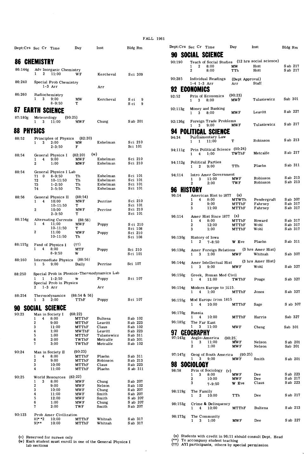|         |                             |                                             |                          |                                            | <b>FALI</b>            |
|---------|-----------------------------|---------------------------------------------|--------------------------|--------------------------------------------|------------------------|
|         | Dept:Crs Sec Cr Time        |                                             | Day                      | Inst                                       | Bldg Rm                |
|         | <b>86 CHEMISTRY</b>         |                                             |                          |                                            |                        |
| 86:144g | 1<br>2                      | Adv Inorganic Chemistry<br>11:00            | WF                       | Kercheval                                  | Sci 309                |
| 86:240  | $1-3$ Arr                   | Special Prob Chemistry                      |                          | Arr                                        |                        |
| 86:260  | Radiochemistry<br>1<br>3    | 9:00<br>$8 - 9:50$                          | MW<br>т                  | Kercheval                                  | S ci<br>9<br>S ci<br>9 |
|         | <b>87 EARTH SCIENCE</b>     |                                             |                          |                                            |                        |
| 87:180g | Meteorology<br>1<br>3       | (90:25)<br>11:00                            | MW F                     | Chung                                      | S ab 201               |
| 88      | <b>PHYSICS</b>              |                                             |                          |                                            |                        |
| 88:52   | 3<br>1                      | Principles of Physics<br>2:00<br>$2 - 3:50$ | (82:20)<br>МW<br>F       | Eshelman                                   | Sci 210<br>Sci 101     |
| 88:54   | General Physics I           |                                             | (w)<br>(82, 20)          |                                            |                        |
|         | 4<br>1<br>2                 | 9:00<br>1:00                                | MW F<br>MW F             | Eshelman<br>Eshelman                       | Sci 210<br>Sci 210     |
| 88:54   |                             | General Physics I Lab                       |                          |                                            |                        |
|         | 71<br>$\Omega$<br>72        | $8 - 9:50$<br>$10 - 11:50$                  | Th<br>Th                 | Eshelman<br>Eshelman                       | Sci 101<br>Sci 101     |
|         | 73<br>74                    | $1 - 2:50$<br>$3 - 5:50$                    | Th<br>Th                 | Eshelman<br>Eshelman                       | Sci 101<br>Sci 101     |
| 88:56   | 1<br>4                      | General Physics II<br>10:00                 | (88:54)<br>MWF           | Perrine                                    | Sci 210                |
|         | $\mathbf 2$                 | $10 - 11:50$<br>10:00                       | Т<br>MW F                | Perrine                                    | Sci 101<br>Sci 210     |
| 88:154g |                             | $2 - 3:50$<br>Alternating Currents          | т<br>(88:56)             |                                            | Sci 101                |
|         | 1<br>4                      | 11:00<br>10-11:50                           | MW F<br>т                | Poppy                                      | S ci 210<br>Sci 108    |
|         | 2                           | 11:00<br>10-11:50                           | <b>MWF</b><br>Th         | Poppy                                      | Sci 210<br>Sci 108     |
| 88:157g | Fund of Physics I<br>4<br>1 | 8:00<br>$8 - 9:50$                          | (††)<br>MTF<br>w         | Poppy                                      | Sci 210<br>Sci 101     |
| 88:160  | 1<br>5                      | Intermediate Physics<br>9:00                | (88:56)<br>Daily         | Perrine                                    | Sci 107                |
| 88:250  |                             |                                             |                          | Special Prob in Physics-Thermodynamics Lab |                        |
|         | 1<br>1                      | $1 - 2:50$<br>Special Prob in Physics       | w                        | Poppy                                      | Sci 107                |
|         | $1-3$ Arr<br>2              |                                             |                          | Arr                                        |                        |
| 88:254  | Thermodynamics<br>1<br>3    | 2:00                                        | $(88:54 \& 56)$<br>TThF  | Poppy                                      | Sci 107                |
| 90      | SOCIAL SCIENCE              |                                             |                          |                                            |                        |
| 90:23   | Man in Society I<br>1<br>4  | 8:00                                        | (68.22)<br>MTThF         | <b>Bultena</b>                             | Sab 102                |
|         | 2                           | 9:00                                        | MTThF                    | Leavitt                                    | S ab 223               |
|         | 3<br>4                      | 11:00<br>1:00                               | <b>MTThF</b><br>MWThF    | Claus<br>Leavitt                           | S ab 102<br>Sab 223    |
|         | 5                           | 1:00                                        | MTThF                    | Tulasiewicz                                | S ab 311               |
|         | 6<br>7                      | 2:00<br>3:00                                | TWThF<br>TWThF           | Metcalfe<br>Metcalfe                       | Sab 301<br>S ab 102    |
| 90:24   | Man in Society II<br>4<br>1 | 8:00                                        | (90, 23)<br>MTThF        | Plaehn                                     | S ab 311               |
|         | $\mathbf{2}$                | 9:00                                        | MTThF                    | Robinson                                   | S ab 213               |
|         | 3<br>4                      | 10:00<br>11:00                              | MTThF<br>MTThF           | Claus<br>Plaehn                            | Sab 223<br>S ab 311    |
| 90:25   | World Resources             |                                             | (82:22)                  |                                            |                        |
|         | 1<br>3<br>2                 | 8:00<br>9:00                                | <b>MWF</b><br><b>MWF</b> | Chung<br>Nelson                            | S ab 207<br>S ab 102   |
|         | 3                           | 10:00                                       | MW F                     | Chung                                      | S ab 207               |
|         | 4                           | 11:00                                       | MW F                     | Smith                                      | S ab 207               |
|         | 5<br>6                      | 12:00<br>1:00                               | <b>MWF</b><br>MW F       | Smith<br>Chung                             | S ab 207<br>S ab 207   |
|         | 7                           | 2:00                                        | TWF                      | Smith                                      | Sab 207                |
| 90:123  | $81$ * *2                   | Prob Amer Civilization<br>10:00             | MTThF                    | Whitnah                                    | S ab 317               |
|         | $91**$                      | 10:00                                       | MTThF                    | Whitnah                                    | S ab 317               |

**(v)** Reserved for nurses only<br>**(w)** Each student must enroll in one of the General Physics I<br>lab sections

| Dept.Crs Sec Cr |                       |                          | Time                                                     | Day                           | Inst                                                | Bldg Rm              |
|-----------------|-----------------------|--------------------------|----------------------------------------------------------|-------------------------------|-----------------------------------------------------|----------------------|
| 90.             |                       |                          | SOCIAL SCIENCE                                           |                               |                                                     |                      |
| 90:190          |                       |                          |                                                          |                               | Teach of Social Studies (12 hrs social science)     |                      |
|                 | 1.<br>$\overline{2}$  |                          | $2 \t 8:00$<br>8:00                                      | $\mathbf{M}\mathbf{W}$<br>TTh | Hott<br>Hott                                        | S ab 217<br>S ab 217 |
| 90:285          |                       |                          | Individual Readings (Dept Approval)<br>$1-4$ $1-3$ $Arr$ | Arr                           | Staff                                               |                      |
|                 | <b>ECONOMICS</b>      |                          |                                                          |                               |                                                     |                      |
| 92:52           | 1.                    |                          | Prin of Economics (90:23)<br>$3 \t 8:00$                 | <b>MWF</b>                    | Tulasiewicz                                         | Sab 301              |
| 92:113g         | 1                     | 3                        | Money and Banking<br>8:00                                | <b>MWF</b>                    | Leavitt                                             | Sab 227              |
| 92:136g         | 1                     |                          | Foreign Trade Problems<br>$3 \t 9:00$                    | <b>MWF</b>                    | Tulasiewicz                                         | S ab 217             |
|                 |                       |                          | <b>94 POLITICAL SCIENCE</b>                              |                               |                                                     |                      |
| 94:34           | 1                     | $\mathbf{1}$             | Parliamentary Law<br>11:00                               | T                             | Robinson                                            | S ab 213             |
| 94:111g         | 1.                    | $\overline{4}$           | Prin Political Science (90:24)<br>1:00                   | TWThF                         | Metcalfe                                            | S ab 217             |
| 94:112g         | 1                     | $\mathbf{2}$             | <b>Political Parties</b><br>9:00                         | TTh                           | Plaehn                                              | S ab 311             |
| 94:114          |                       |                          | Intro Amer Government                                    |                               | Robinson                                            | S ab 213             |
|                 | 1<br>2                |                          | $3 \quad 11:00$<br>2:00                                  | <b>MWF</b><br>TWF             | Robinson                                            | S ab 213             |
|                 | <b>96 HISTORY</b>     |                          |                                                          |                               |                                                     |                      |
| 96:14           |                       |                          | American Hist to 1877 (x)                                |                               |                                                     |                      |
|                 |                       |                          | 1 4 8:00 MTWTh                                           |                               | Pendergraft                                         | S ab 307             |
|                 | 2<br>3                |                          | 9:00<br>11:00                                            | MTThF<br>MTThF                | Fahrney<br>Fahrney                                  | S ab 317<br>S ab 317 |
|                 |                       |                          |                                                          |                               |                                                     |                      |
| 96:114          |                       | $1 \quad 4$              | Amer Hist Since 1877 (x)<br>8:00                         | MTThF                         | Howard                                              | S ab 317             |
|                 | 2                     |                          | 12:00                                                    | MTThF                         | Wohl                                                | S ab 317             |
|                 | 3                     |                          | 1:00                                                     | MTThF                         | Wohl                                                | S ab 317             |
| 96:130g         | 1                     | $\mathbf{2}$             | History of Iowa<br>$7 - 8:50$                            | W Eve                         | Plaehn                                              | S ab 311             |
| 96:138g         | 1                     | 3                        | 1:00                                                     | <b>MWF</b>                    | Amer Foreign Relations (3 hrs Amer Hist)<br>Whitnah | S ab 307             |
| 96:144g         | 1                     | 3                        | Amer Intellectual Hist (3 hrs Amer Hist)<br>9:00         | <b>MWF</b>                    | Wohl                                                | S ab 327             |
| 96:150g         |                       | $\overline{4}$           | Greek, Roman Med Civil<br>11:00                          | TWThF                         | Poage                                               | S ab 327             |
| 96:154g         | 1                     | $\overline{4}$           | Modern Europe to 1815.<br>1:00                           | MTThF                         | Jones                                               | S ab 327             |
| 96:155g         |                       |                          | Mod Europe from 1815                                     |                               |                                                     |                      |
| 96:170g         | 1                     | $\overline{4}$<br>Russia | 10:00                                                    | MTThF                         | Sage                                                | S ab 307             |
|                 | 1                     | 4                        | 10:00                                                    | MTThF                         | Harris                                              | Sab 327              |
| 96:185g<br>97   | 1<br><b>GEOGRAPHY</b> | 3                        | The Far East<br>11:00                                    | <b>MWF</b>                    | Cheng                                               | Sab 301              |
| 97:143g         |                       |                          | Anglo-America                                            | (90, 25)                      |                                                     |                      |
|                 | 1<br>$\overline{2}$   |                          | $3 \quad 11:00$<br>1:00                                  | <b>MWF</b><br><b>MWF</b>      | Nelson<br>Nelson                                    | S ab 201<br>Sab 201  |
| 97:147g         | $\mathbf{1}$          | 3                        | Geog of South America (90:25)<br>9:00                    | <b>MWF</b>                    | Smith                                               | S ab 201             |
| 98              | SOCIOLOGY             |                          |                                                          |                               |                                                     |                      |
| 98:58           | $\mathbf{1}$          | $\bf{3}$                 | Prin of Sociology<br>(v)<br>8:00                         | <b>MWF</b>                    | Dee                                                 | S ab 223             |
|                 | 2<br>3                |                          | 10:00<br>$7 - 9:50$                                      | MW F<br>W Eve                 | Dee<br>Claus                                        | S ab 217<br>Sab 223  |
| 98:119g         | 1                     | 2                        | The Family<br>10:00                                      | TTh                           | Dee                                                 | S ab 217             |
| 98:153g         | 1                     | $\overline{4}$           | Crime & Delinquency<br>10:00                             | MTThF                         | Bultena                                             | Sab 213              |
| 98:173g         | 1                     | 3                        | The Community<br>1:00                                    | <b>MWF</b>                    | Dee                                                 | S ab 227             |

(x) Students with credit in 96:11 should consult Dept. Head<br>(\*\*) To accompany student teaching<br>(††) AYI participants, others by special permission

 $\ddot{\phantom{a}}$ 

J.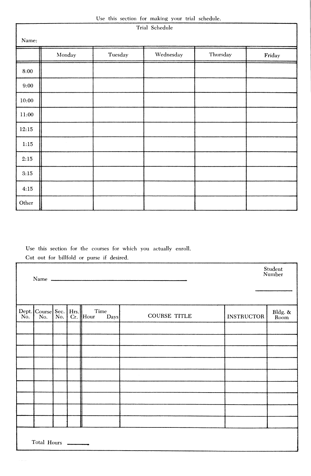|  |  |  |  |  |  |  | Use this section for making your trial schedule. |
|--|--|--|--|--|--|--|--------------------------------------------------|
|--|--|--|--|--|--|--|--------------------------------------------------|

| Use this section for making your trial schedule.<br>Trial Schedule |                |                                |           |          |                             |  |  |  |  |  |
|--------------------------------------------------------------------|----------------|--------------------------------|-----------|----------|-----------------------------|--|--|--|--|--|
| Name:                                                              |                |                                |           |          |                             |  |  |  |  |  |
|                                                                    | Monday         | $\label{p:2} \textbf{Tuesday}$ | Wednesday | Thursday | $\operatorname{\bf Friday}$ |  |  |  |  |  |
| 8:00                                                               |                |                                |           |          |                             |  |  |  |  |  |
| 9:00                                                               |                |                                |           |          |                             |  |  |  |  |  |
| 10:00                                                              |                |                                |           |          |                             |  |  |  |  |  |
| 11:00                                                              |                |                                |           |          |                             |  |  |  |  |  |
| 12:15                                                              |                |                                |           |          |                             |  |  |  |  |  |
| 1:15                                                               | $\sim 10^{-1}$ |                                |           |          |                             |  |  |  |  |  |
| 2:15                                                               |                |                                |           | $\sim$   |                             |  |  |  |  |  |
| $3:15$                                                             |                |                                |           |          |                             |  |  |  |  |  |
| 4:15                                                               |                | ÷.                             |           |          |                             |  |  |  |  |  |
| Other                                                              |                |                                |           |          |                             |  |  |  |  |  |

Use this section for the courses for which you actually enroll. Cut out for billfold or purse if desired.

|                                              |  |              |                     |                   | Student<br>Number |
|----------------------------------------------|--|--------------|---------------------|-------------------|-------------------|
| Dept. Course Sec. Hrs. T<br>No. No. Cr. Hour |  | Time<br>Days | <b>COURSE TITLE</b> | <b>INSTRUCTOR</b> | Bldg. &<br>Room   |
|                                              |  |              |                     |                   |                   |
|                                              |  |              |                     |                   |                   |
|                                              |  |              |                     |                   |                   |
|                                              |  |              |                     |                   |                   |
|                                              |  |              | $\sim 10^{-1}$      |                   |                   |
|                                              |  |              |                     |                   |                   |
|                                              |  |              |                     |                   |                   |
|                                              |  |              |                     |                   |                   |
|                                              |  |              |                     |                   |                   |
| Total Hours                                  |  |              |                     |                   |                   |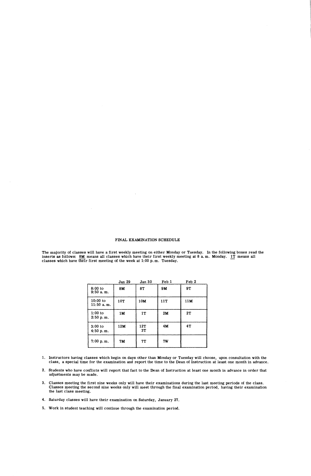#### FINAL **EXAMINATION** SCHEDULE

The majority of classes will have a first weekly meeting on either Monday or Tuesday. In the following boxes read the<br>inserts as follows: 8M means all classes which have their first weekly meeting at 8 a.m. Monday. 1T mean

|                           | Jan 29 | Jan 30    | Feb 1 | Feb <sub>2</sub> |
|---------------------------|--------|-----------|-------|------------------|
| $8:00$ to<br>$9:50a$ . m. | 8M     | 8T        | 9M    | 9T               |
| 10:00 to<br>$11:50$ a.m.  | 10T    | 10M       | 11T   | 11M              |
| $1:00$ to<br>2:50 p.m.    | 1M     | 1T        | 2M    | 2T               |
| $3:00$ to<br>4:50 p.m.    | 12M    | 12T<br>3T | 4M    | 4T               |
| 7:00 p.m.                 | 7M     | 7T        | 7W    |                  |

- 1. Instructors having classes which begin on days other than Monday or Tuesday will choose, upon consultation with the<br>class, a special time for the examination and report the time to the Dean of Instruction at least one m
- 2. Students who have conflicts will report that fact to the Dean of Instruction at least one month in advance in order that adjustments may be made.
- 3. Classes meeting the first nine weeks only will have their examinations during the last meeting periods of the class.<br>Classes meeting the second nine weeks only will meet through the final examination period, having thei the last class meeting.
- 4. Saturday classes will have their examination on Saturday, January 27.
- 5. Work in student teaching will continue through the examination period.